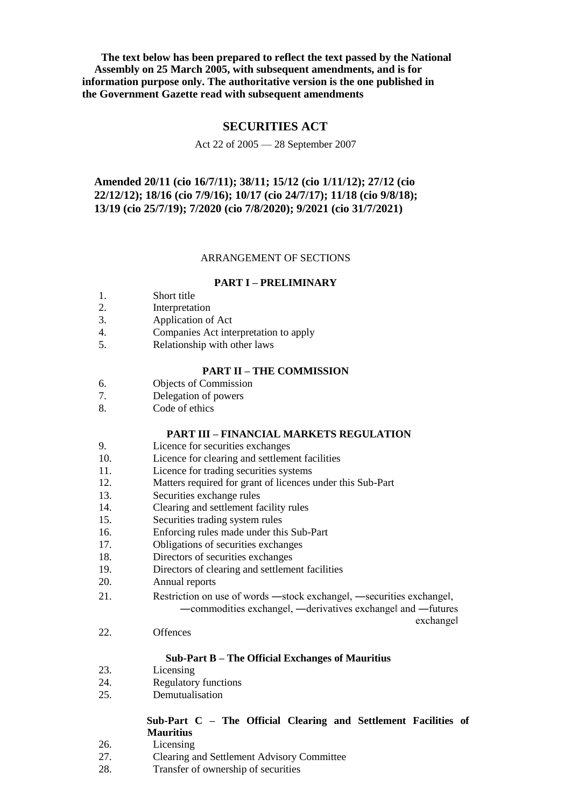**The text below has been prepared to reflect the text passed by the National Assembly on 25 March 2005, with subsequent amendments, and is for information purpose only. The authoritative version is the one published in the Government Gazette read with subsequent amendments**

# **SECURITIES ACT**

# Act 22 of 2005 — 28 September 2007

# **Amended 20/11 (cio 16/7/11); 38/11; 15/12 (cio 1/11/12); 27/12 (cio 22/12/12); 18/16 (cio 7/9/16); 10/17 (cio 24/7/17); 11/18 (cio 9/8/18); 13/19 (cio 25/7/19); 7/2020 (cio 7/8/2020); 9/2021 (cio 31/7/2021)**

# ARRANGEMENT OF SECTIONS

### **PART I – PRELIMINARY**

- 1. Short title
- 2. Interpretation
- 3. Application of Act
- 4. Companies Act interpretation to apply
- 5. Relationship with other laws

# **PART II – THE COMMISSION**

- 6. Objects of Commission
- 7. Delegation of powers
- 8. Code of ethics

# **PART III – FINANCIAL MARKETS REGULATION**

- 9. Licence for securities exchanges
- 10. Licence for clearing and settlement facilities
- 11. Licence for trading securities systems
- 12. Matters required for grant of licences under this Sub-Part
- 13. Securities exchange rules
- 14. Clearing and settlement facility rules
- 15. Securities trading system rules
- 16. Enforcing rules made under this Sub-Part
- 17. Obligations of securities exchanges
- 18. Directors of securities exchanges
- 19. Directors of clearing and settlement facilities
- 20. Annual reports
- 21. Restriction on use of words ―stock exchange‖, ―securities exchange‖, ―commodities exchange‖, ―derivatives exchange‖ and ―futures

exchange‖

22. Offences

# **Sub-Part B – The Official Exchanges of Mauritius**

- 23. Licensing
- 24. Regulatory functions
- 25. Demutualisation

# **Sub-Part C – The Official Clearing and Settlement Facilities of Mauritius**

- 26. Licensing
- 27. Clearing and Settlement Advisory Committee
- 28. Transfer of ownership of securities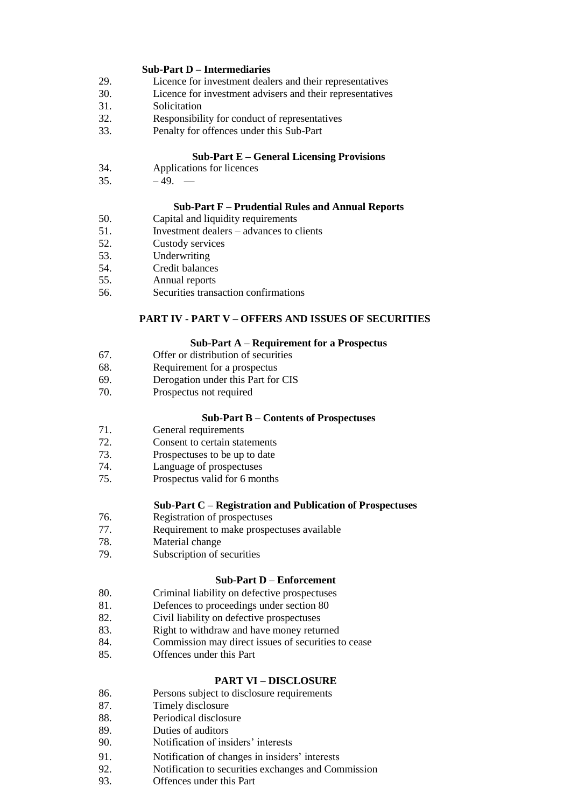# **Sub-Part D – Intermediaries**

- 29. Licence for investment dealers and their representatives
- 30. Licence for investment advisers and their representatives
- 31. Solicitation
- 32. Responsibility for conduct of representatives
- 33. Penalty for offences under this Sub-Part

# **Sub-Part E – General Licensing Provisions**

- 34. Applications for licences
- $35. -49. -$

# **Sub-Part F – Prudential Rules and Annual Reports**

- 50. Capital and liquidity requirements<br>51. Investment dealers advances to c
- 51. Investment dealers advances to clients
- 52. Custody services
- 53. Underwriting
- 54. Credit balances
- 55. Annual reports
- 56. Securities transaction confirmations

# **PART IV - PART V – OFFERS AND ISSUES OF SECURITIES**

# **Sub-Part A – Requirement for a Prospectus**

- 67. Offer or distribution of securities
- 68. Requirement for a prospectus
- 69. Derogation under this Part for CIS
- 70. Prospectus not required

# **Sub-Part B – Contents of Prospectuses**

- 71. General requirements
- 72. Consent to certain statements
- 73. Prospectuses to be up to date
- 74. Language of prospectuses
- 75. Prospectus valid for 6 months

# **Sub-Part C – Registration and Publication of Prospectuses**

- 76. Registration of prospectuses
- 77. Requirement to make prospectuses available
- 78. Material change
- 79. Subscription of securities

# **Sub-Part D – Enforcement**

- 80. Criminal liability on defective prospectuses
- 81. Defences to proceedings under section 80
- 82. Civil liability on defective prospectuses
- 83. Right to withdraw and have money returned
- 84. Commission may direct issues of securities to cease
- 85. Offences under this Part

# **PART VI – DISCLOSURE**

- 86. Persons subject to disclosure requirements
- 87. Timely disclosure
- 88. Periodical disclosure
- 89. Duties of auditors
- 90. Notification of insiders' interests
- 91. Notification of changes in insiders' interests
- 92. Notification to securities exchanges and Commission
- 93. Offences under this Part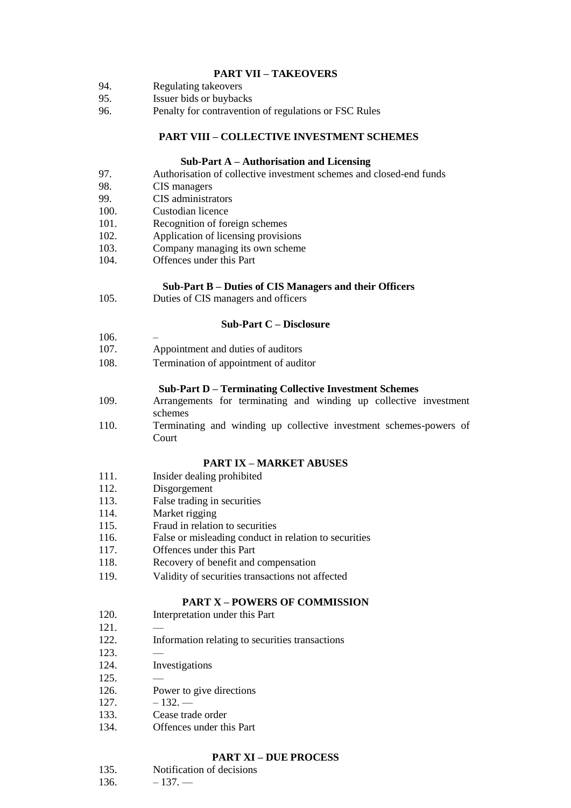# **PART VII – TAKEOVERS**

- 94. Regulating takeovers
- 95. Issuer bids or buybacks
- 96. Penalty for contravention of regulations or FSC Rules

# **PART VIII – COLLECTIVE INVESTMENT SCHEMES**

# **Sub-Part A – Authorisation and Licensing**

- 97. Authorisation of collective investment schemes and closed-end funds
- 98. CIS managers<br>99. CIS administra
- CIS administrators
- 100. Custodian licence
- 101. Recognition of foreign schemes
- 102. Application of licensing provisions
- 103. Company managing its own scheme
- 104. Offences under this Part

# **Sub-Part B – Duties of CIS Managers and their Officers**

105. Duties of CIS managers and officers

# **Sub-Part C – Disclosure**

- 106. –
- 107. Appointment and duties of auditors
- 108. Termination of appointment of auditor

### **Sub-Part D – Terminating Collective Investment Schemes**

- 109. Arrangements for terminating and winding up collective investment schemes
- 110. Terminating and winding up collective investment schemes-powers of Court

# **PART IX – MARKET ABUSES**

- 111. Insider dealing prohibited
- 112. Disgorgement
- 113. False trading in securities
- 114. Market rigging
- 115. Fraud in relation to securities
- 116. False or misleading conduct in relation to securities
- 117. Offences under this Part
- 118. Recovery of benefit and compensation
- 119. Validity of securities transactions not affected

# **PART X – POWERS OF COMMISSION**

- 120. Interpretation under this Part
- 121. —
- 122. Information relating to securities transactions
- 123. —
- 124. Investigations
- 125. —
- 126. Power to give directions
- $127. -132. -$
- 133. Cease trade order
- 134. Offences under this Part

### **PART XI – DUE PROCESS**

| 135. | Notification of decisions |
|------|---------------------------|
|      |                           |

 $136. -137. -$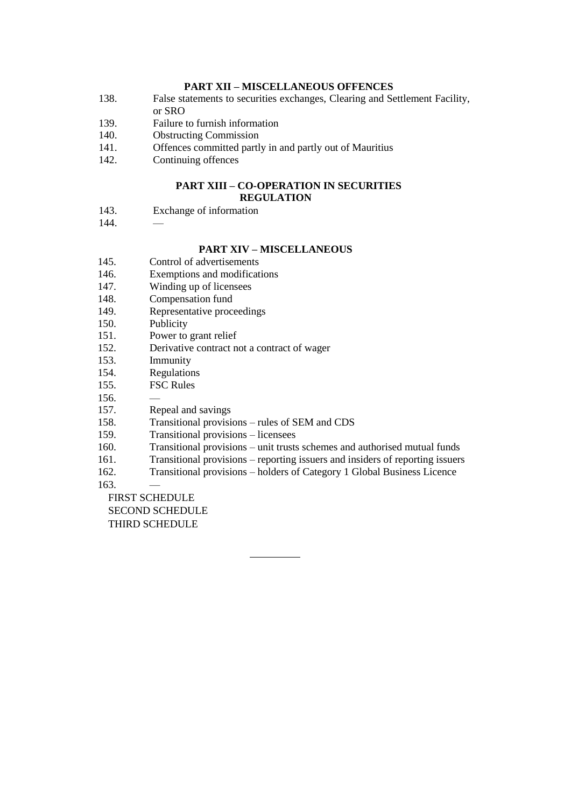# **PART XII – MISCELLANEOUS OFFENCES**

- 138. False statements to securities exchanges, Clearing and Settlement Facility,
- or SRO
- 139. Failure to furnish information
- 140. Obstructing Commission
- 141. Offences committed partly in and partly out of Mauritius
- 142. Continuing offences

### **PART XIII – CO-OPERATION IN SECURITIES REGULATION**

- 143. Exchange of information
- 144. —

# **PART XIV – MISCELLANEOUS**

- 145. Control of advertisements
- 146. Exemptions and modifications
- 147. Winding up of licensees
- 148. Compensation fund
- 149. Representative proceedings
- 150. Publicity
- 151. Power to grant relief
- 152. Derivative contract not a contract of wager
- 153. Immunity
- 154. Regulations
- 155. FSC Rules
- 156. —
- 157. Repeal and savings
- 158. Transitional provisions rules of SEM and CDS
- 159. Transitional provisions licensees
- 160. Transitional provisions unit trusts schemes and authorised mutual funds
- 161. Transitional provisions reporting issuers and insiders of reporting issuers
- 162. Transitional provisions holders of Category 1 Global Business Licence
- 163. —

FIRST SCHEDULE

SECOND SCHEDULE

THIRD SCHEDULE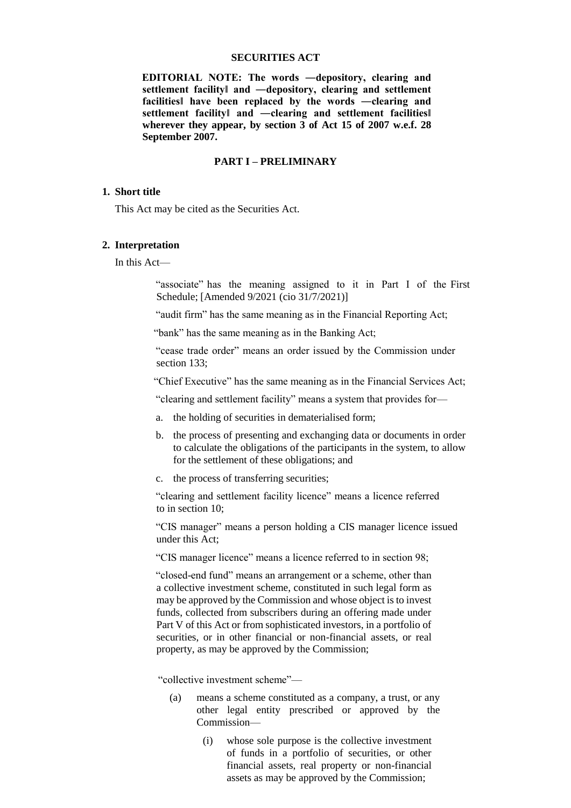### **SECURITIES ACT**

**EDITORIAL NOTE: The words ―depository, clearing and settlement facility‖ and ―depository, clearing and settlement facilities‖ have been replaced by the words ―clearing and settlement facility‖ and ―clearing and settlement facilities‖ wherever they appear, by section 3 of Act 15 of 2007 w.e.f. 28 September 2007.** 

### **PART I – PRELIMINARY**

### **1. Short title**

This Act may be cited as the Securities Act.

### **2. Interpretation**

In this Act—

"associate" has the meaning assigned to it in Part I of the First Schedule; [Amended 9/2021 (cio 31/7/2021)]

"audit firm" has the same meaning as in the Financial Reporting Act;

"bank" has the same meaning as in the Banking Act;

"cease trade order" means an order issued by the Commission under section 133:

"Chief Executive" has the same meaning as in the Financial Services Act;

"clearing and settlement facility" means a system that provides for—

- a. the holding of securities in dematerialised form;
- b. the process of presenting and exchanging data or documents in order to calculate the obligations of the participants in the system, to allow for the settlement of these obligations; and
- c. the process of transferring securities;

"clearing and settlement facility licence" means a licence referred to in section 10;

"CIS manager" means a person holding a CIS manager licence issued under this Act;

"CIS manager licence" means a licence referred to in section 98;

"closed-end fund" means an arrangement or a scheme, other than a collective investment scheme, constituted in such legal form as may be approved by the Commission and whose object is to invest funds, collected from subscribers during an offering made under Part V of this Act or from sophisticated investors, in a portfolio of securities, or in other financial or non-financial assets, or real property, as may be approved by the Commission;

"collective investment scheme"—

- (a) means a scheme constituted as a company, a trust, or any other legal entity prescribed or approved by the Commission—
	- (i) whose sole purpose is the collective investment of funds in a portfolio of securities, or other financial assets, real property or non-financial assets as may be approved by the Commission;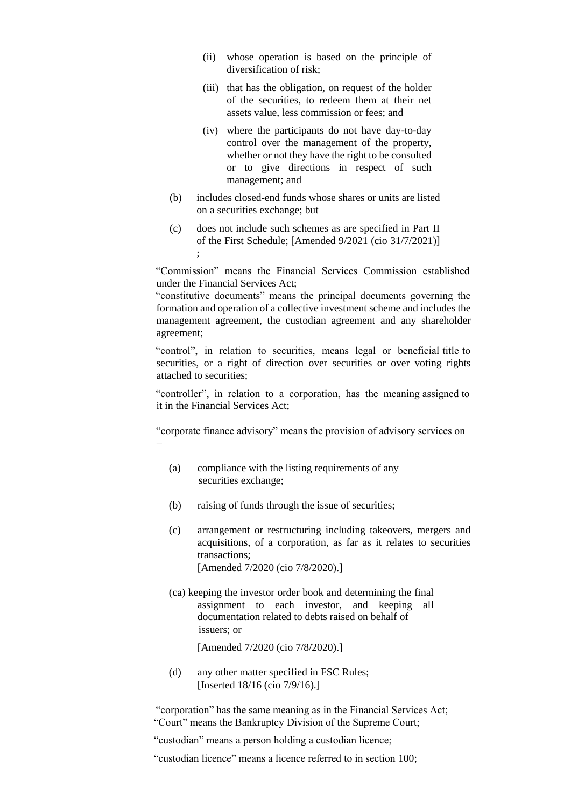- (ii) whose operation is based on the principle of diversification of risk;
- (iii) that has the obligation, on request of the holder of the securities, to redeem them at their net assets value, less commission or fees; and
- (iv) where the participants do not have day-to-day control over the management of the property, whether or not they have the right to be consulted or to give directions in respect of such management; and
- (b) includes closed-end funds whose shares or units are listed on a securities exchange; but
- (c) does not include such schemes as are specified in Part II of the First Schedule; [Amended 9/2021 (cio 31/7/2021)] ;

"Commission" means the Financial Services Commission established under the Financial Services Act;

"constitutive documents" means the principal documents governing the formation and operation of a collective investment scheme and includes the management agreement, the custodian agreement and any shareholder agreement;

"control", in relation to securities, means legal or beneficial title to securities, or a right of direction over securities or over voting rights attached to securities;

"controller", in relation to a corporation, has the meaning assigned to it in the Financial Services Act;

"corporate finance advisory" means the provision of advisory services on –

- (a) compliance with the listing requirements of any securities exchange;
- (b) raising of funds through the issue of securities;
- (c) arrangement or restructuring including takeovers, mergers and acquisitions, of a corporation, as far as it relates to securities transactions; [Amended 7/2020 (cio 7/8/2020).]
- (ca) keeping the investor order book and determining the final assignment to each investor, and keeping all documentation related to debts raised on behalf of issuers; or

[Amended 7/2020 (cio 7/8/2020).]

(d) any other matter specified in FSC Rules; [Inserted 18/16 (cio 7/9/16).]

"corporation" has the same meaning as in the Financial Services Act; "Court" means the Bankruptcy Division of the Supreme Court;

"custodian" means a person holding a custodian licence;

"custodian licence" means a licence referred to in section 100;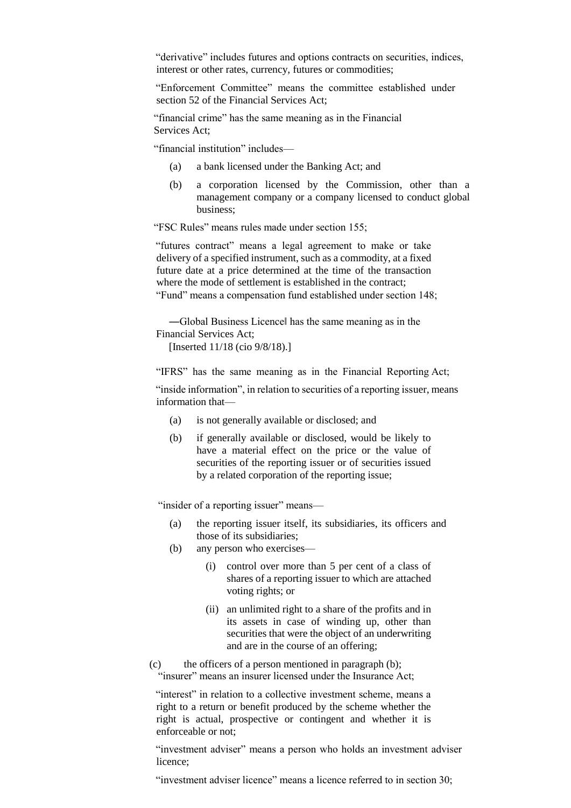"derivative" includes futures and options contracts on securities, indices, interest or other rates, currency, futures or commodities;

"Enforcement Committee" means the committee established under section 52 of the Financial Services Act;

"financial crime" has the same meaning as in the Financial Services Act;

"financial institution" includes—

- (a) a bank licensed under the Banking Act; and
- (b) a corporation licensed by the Commission, other than a management company or a company licensed to conduct global business;

"FSC Rules" means rules made under section 155;

"futures contract" means a legal agreement to make or take delivery of a specified instrument, such as a commodity, at a fixed future date at a price determined at the time of the transaction where the mode of settlement is established in the contract; "Fund" means a compensation fund established under section 148;

―Global Business Licence‖ has the same meaning as in the Financial Services Act;

[Inserted 11/18 (cio 9/8/18).]

"IFRS" has the same meaning as in the Financial Reporting Act;

"inside information", in relation to securities of a reporting issuer, means information that—

- (a) is not generally available or disclosed; and
- (b) if generally available or disclosed, would be likely to have a material effect on the price or the value of securities of the reporting issuer or of securities issued by a related corporation of the reporting issue;

"insider of a reporting issuer" means—

- (a) the reporting issuer itself, its subsidiaries, its officers and those of its subsidiaries;
- (b) any person who exercises—
	- (i) control over more than 5 per cent of a class of shares of a reporting issuer to which are attached voting rights; or
	- (ii) an unlimited right to a share of the profits and in its assets in case of winding up, other than securities that were the object of an underwriting and are in the course of an offering;
- (c) the officers of a person mentioned in paragraph (b);

"insurer" means an insurer licensed under the Insurance Act;

"interest" in relation to a collective investment scheme, means a right to a return or benefit produced by the scheme whether the right is actual, prospective or contingent and whether it is enforceable or not;

"investment adviser" means a person who holds an investment adviser licence;

"investment adviser licence" means a licence referred to in section 30;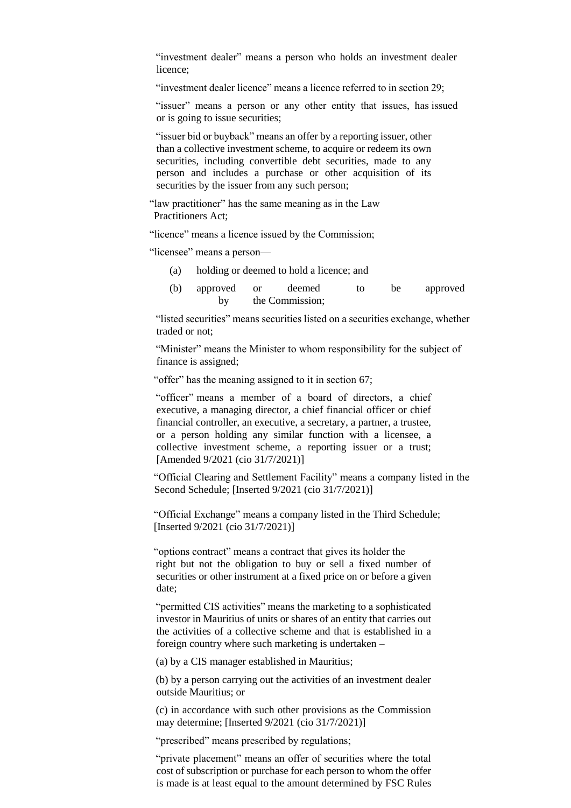"investment dealer" means a person who holds an investment dealer licence;

"investment dealer licence" means a licence referred to in section 29;

"issuer" means a person or any other entity that issues, has issued or is going to issue securities;

"issuer bid or buyback" means an offer by a reporting issuer, other than a collective investment scheme, to acquire or redeem its own securities, including convertible debt securities, made to any person and includes a purchase or other acquisition of its securities by the issuer from any such person;

"law practitioner" has the same meaning as in the Law Practitioners Act;

"licence" means a licence issued by the Commission;

"licensee" means a person—

- (a) holding or deemed to hold a licence; and
- (b) approved or deemed to be approved by the Commission;

"listed securities" means securities listed on a securities exchange, whether traded or not;

"Minister" means the Minister to whom responsibility for the subject of finance is assigned;

"offer" has the meaning assigned to it in section 67;

"officer" means a member of a board of directors, a chief executive, a managing director, a chief financial officer or chief financial controller, an executive, a secretary, a partner, a trustee, or a person holding any similar function with a licensee, a collective investment scheme, a reporting issuer or a trust; [Amended 9/2021 (cio 31/7/2021)]

"Official Clearing and Settlement Facility" means a company listed in the Second Schedule; [Inserted 9/2021 (cio 31/7/2021)]

"Official Exchange" means a company listed in the Third Schedule; [Inserted 9/2021 (cio 31/7/2021)]

"options contract" means a contract that gives its holder the right but not the obligation to buy or sell a fixed number of securities or other instrument at a fixed price on or before a given date;

"permitted CIS activities" means the marketing to a sophisticated investor in Mauritius of units or shares of an entity that carries out the activities of a collective scheme and that is established in a foreign country where such marketing is undertaken –

(a) by a CIS manager established in Mauritius;

(b) by a person carrying out the activities of an investment dealer outside Mauritius; or

(c) in accordance with such other provisions as the Commission may determine; [Inserted 9/2021 (cio 31/7/2021)]

"prescribed" means prescribed by regulations;

"private placement" means an offer of securities where the total cost of subscription or purchase for each person to whom the offer is made is at least equal to the amount determined by FSC Rules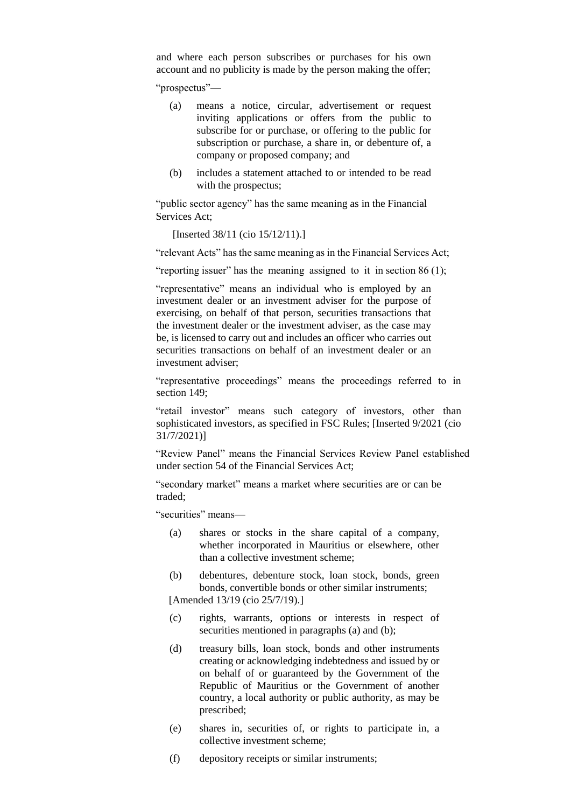and where each person subscribes or purchases for his own account and no publicity is made by the person making the offer;

"prospectus"—

- (a) means a notice, circular, advertisement or request inviting applications or offers from the public to subscribe for or purchase, or offering to the public for subscription or purchase, a share in, or debenture of, a company or proposed company; and
- (b) includes a statement attached to or intended to be read with the prospectus;

"public sector agency" has the same meaning as in the Financial Services Act;

[Inserted 38/11 (cio 15/12/11).]

"relevant Acts" has the same meaning as in the Financial Services Act;

"reporting issuer" has the meaning assigned to it in section  $86(1)$ ;

"representative" means an individual who is employed by an investment dealer or an investment adviser for the purpose of exercising, on behalf of that person, securities transactions that the investment dealer or the investment adviser, as the case may be, is licensed to carry out and includes an officer who carries out securities transactions on behalf of an investment dealer or an investment adviser;

"representative proceedings" means the proceedings referred to in section 149;

"retail investor" means such category of investors, other than sophisticated investors, as specified in FSC Rules; [Inserted 9/2021 (cio 31/7/2021)]

"Review Panel" means the Financial Services Review Panel established under section 54 of the Financial Services Act;

"secondary market" means a market where securities are or can be traded;

"securities" means—

- (a) shares or stocks in the share capital of a company, whether incorporated in Mauritius or elsewhere, other than a collective investment scheme;
- (b) debentures, debenture stock, loan stock, bonds, green bonds, convertible bonds or other similar instruments;

[Amended 13/19 (cio 25/7/19).]

- (c) rights, warrants, options or interests in respect of securities mentioned in paragraphs (a) and (b);
- (d) treasury bills, loan stock, bonds and other instruments creating or acknowledging indebtedness and issued by or on behalf of or guaranteed by the Government of the Republic of Mauritius or the Government of another country, a local authority or public authority, as may be prescribed;
- (e) shares in, securities of, or rights to participate in, a collective investment scheme;
- (f) depository receipts or similar instruments;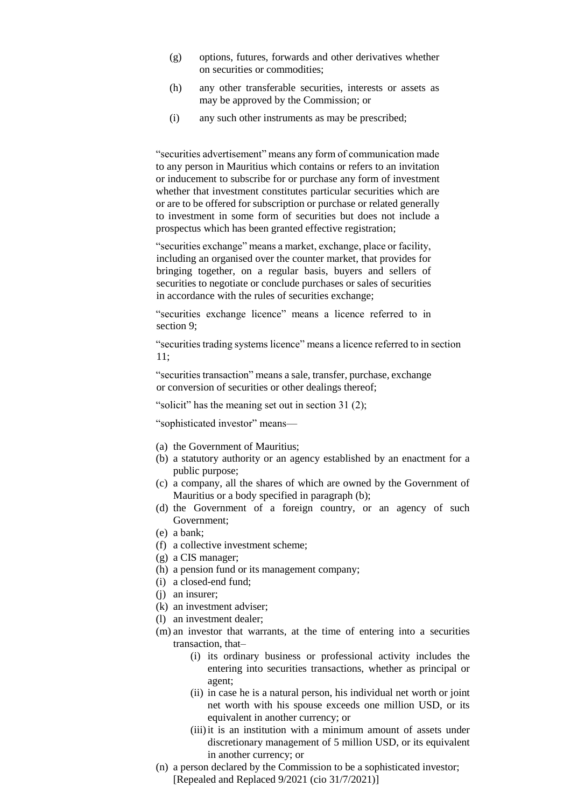- (g) options, futures, forwards and other derivatives whether on securities or commodities;
- (h) any other transferable securities, interests or assets as may be approved by the Commission; or
- (i) any such other instruments as may be prescribed;

"securities advertisement" means any form of communication made to any person in Mauritius which contains or refers to an invitation or inducement to subscribe for or purchase any form of investment whether that investment constitutes particular securities which are or are to be offered for subscription or purchase or related generally to investment in some form of securities but does not include a prospectus which has been granted effective registration;

"securities exchange" means a market, exchange, place or facility, including an organised over the counter market, that provides for bringing together, on a regular basis, buyers and sellers of securities to negotiate or conclude purchases or sales of securities in accordance with the rules of securities exchange;

"securities exchange licence" means a licence referred to in section 9;

"securities trading systems licence" means a licence referred to in section 11;

"securities transaction" means a sale, transfer, purchase, exchange or conversion of securities or other dealings thereof;

"solicit" has the meaning set out in section 31 (2);

"sophisticated investor" means—

- (a) the Government of Mauritius;
- (b) a statutory authority or an agency established by an enactment for a public purpose;
- (c) a company, all the shares of which are owned by the Government of Mauritius or a body specified in paragraph (b);
- (d) the Government of a foreign country, or an agency of such Government;
- (e) a bank;
- (f) a collective investment scheme;
- (g) a CIS manager;
- (h) a pension fund or its management company;
- (i) a closed-end fund;
- (j) an insurer;
- (k) an investment adviser;
- (l) an investment dealer;
- (m) an investor that warrants, at the time of entering into a securities transaction, that–
	- (i) its ordinary business or professional activity includes the entering into securities transactions, whether as principal or agent;
	- (ii) in case he is a natural person, his individual net worth or joint net worth with his spouse exceeds one million USD, or its equivalent in another currency; or
	- (iii) it is an institution with a minimum amount of assets under discretionary management of 5 million USD, or its equivalent in another currency; or
- (n) a person declared by the Commission to be a sophisticated investor; [Repealed and Replaced 9/2021 (cio 31/7/2021)]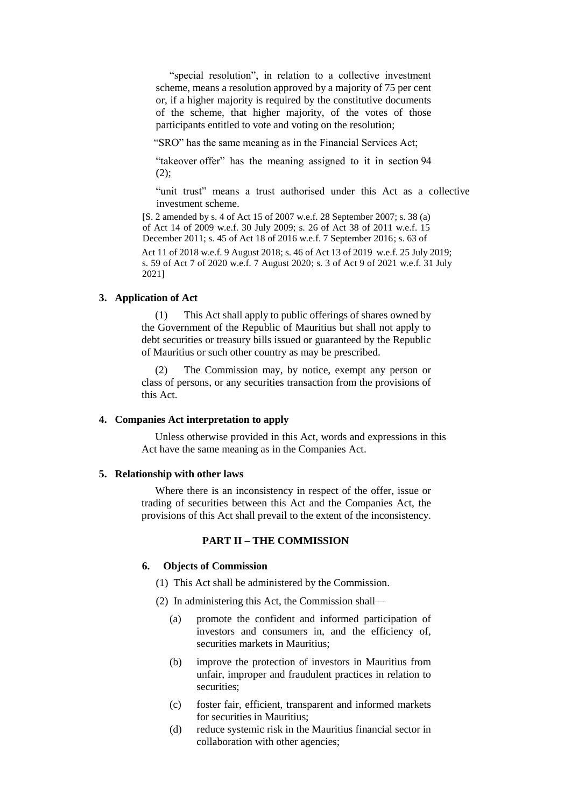"special resolution", in relation to a collective investment scheme, means a resolution approved by a majority of 75 per cent or, if a higher majority is required by the constitutive documents of the scheme, that higher majority, of the votes of those participants entitled to vote and voting on the resolution;

"SRO" has the same meaning as in the Financial Services Act;

"takeover offer" has the meaning assigned to it in section 94  $(2);$ 

"unit trust" means a trust authorised under this Act as a collective investment scheme.

[S. 2 amended by s. 4 of Act 15 of 2007 w.e.f. 28 September 2007; s. 38 (a) of Act 14 of 2009 w.e.f. 30 July 2009; s. 26 of Act 38 of 2011 w.e.f. 15 December 2011; s. 45 of Act 18 of 2016 w.e.f. 7 September 2016; s. 63 of Act 11 of 2018 w.e.f. 9 August 2018; s. 46 of Act 13 of 2019 w.e.f. 25 July 2019; s. 59 of Act 7 of 2020 w.e.f. 7 August 2020; s. 3 of Act 9 of 2021 w.e.f. 31 July

### **3. Application of Act**

2021]

This Act shall apply to public offerings of shares owned by the Government of the Republic of Mauritius but shall not apply to debt securities or treasury bills issued or guaranteed by the Republic of Mauritius or such other country as may be prescribed.

(2) The Commission may, by notice, exempt any person or class of persons, or any securities transaction from the provisions of this Act.

### **4. Companies Act interpretation to apply**

Unless otherwise provided in this Act, words and expressions in this Act have the same meaning as in the Companies Act.

### **5. Relationship with other laws**

Where there is an inconsistency in respect of the offer, issue or trading of securities between this Act and the Companies Act, the provisions of this Act shall prevail to the extent of the inconsistency.

# **PART II – THE COMMISSION**

### **6. Objects of Commission**

- (1) This Act shall be administered by the Commission.
- (2) In administering this Act, the Commission shall—
	- (a) promote the confident and informed participation of investors and consumers in, and the efficiency of, securities markets in Mauritius;
	- (b) improve the protection of investors in Mauritius from unfair, improper and fraudulent practices in relation to securities;
	- (c) foster fair, efficient, transparent and informed markets for securities in Mauritius;
	- (d) reduce systemic risk in the Mauritius financial sector in collaboration with other agencies;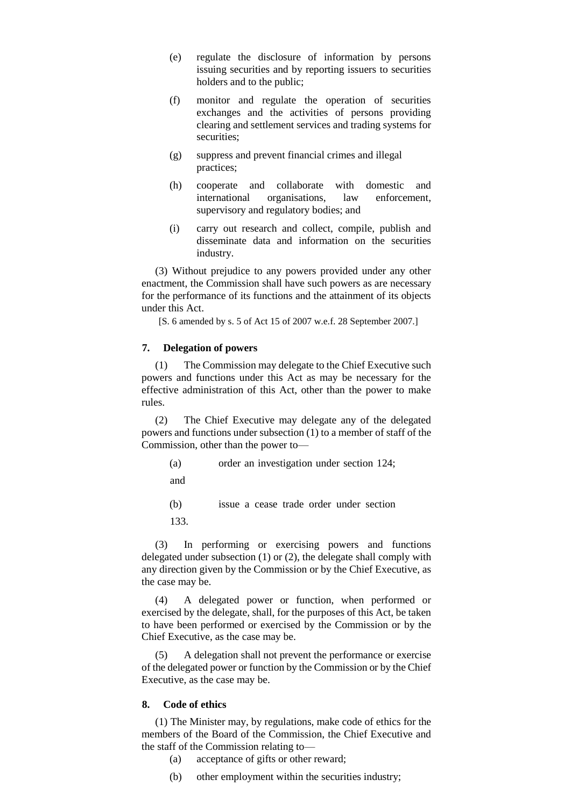- (e) regulate the disclosure of information by persons issuing securities and by reporting issuers to securities holders and to the public;
- (f) monitor and regulate the operation of securities exchanges and the activities of persons providing clearing and settlement services and trading systems for securities:
- (g) suppress and prevent financial crimes and illegal practices;
- (h) cooperate and collaborate with domestic and international organisations, law enforcement, supervisory and regulatory bodies; and
- (i) carry out research and collect, compile, publish and disseminate data and information on the securities industry.

(3) Without prejudice to any powers provided under any other enactment, the Commission shall have such powers as are necessary for the performance of its functions and the attainment of its objects under this Act.

[S. 6 amended by s. 5 of Act 15 of 2007 w.e.f. 28 September 2007.]

### **7. Delegation of powers**

(1) The Commission may delegate to the Chief Executive such powers and functions under this Act as may be necessary for the effective administration of this Act, other than the power to make rules.

(2) The Chief Executive may delegate any of the delegated powers and functions under subsection (1) to a member of staff of the Commission, other than the power to—

- (a) order an investigation under section 124;
- and

(b) issue a cease trade order under section

133.

(3) In performing or exercising powers and functions delegated under subsection (1) or (2), the delegate shall comply with any direction given by the Commission or by the Chief Executive, as the case may be.

(4) A delegated power or function, when performed or exercised by the delegate, shall, for the purposes of this Act, be taken to have been performed or exercised by the Commission or by the Chief Executive, as the case may be.

(5) A delegation shall not prevent the performance or exercise of the delegated power or function by the Commission or by the Chief Executive, as the case may be.

### **8. Code of ethics**

(1) The Minister may, by regulations, make code of ethics for the members of the Board of the Commission, the Chief Executive and the staff of the Commission relating to—

- (a) acceptance of gifts or other reward;
- (b) other employment within the securities industry;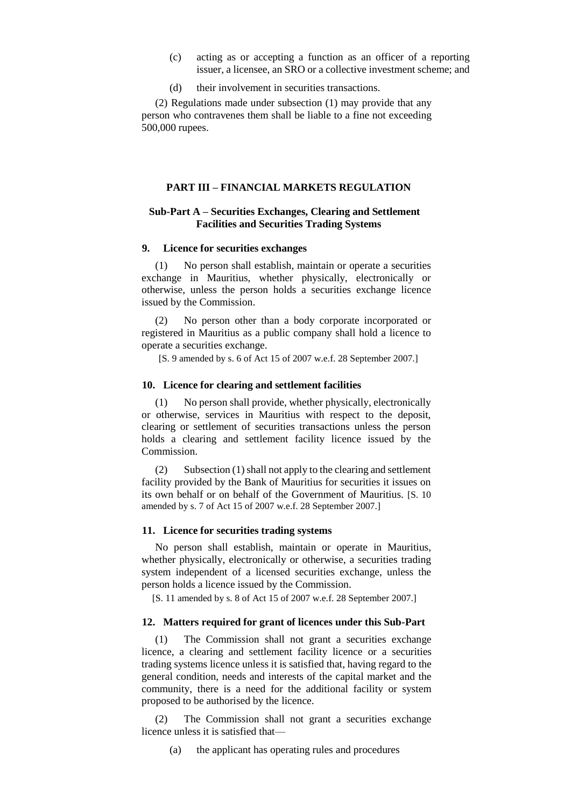- (c) acting as or accepting a function as an officer of a reporting issuer, a licensee, an SRO or a collective investment scheme; and
- (d) their involvement in securities transactions.

(2) Regulations made under subsection (1) may provide that any person who contravenes them shall be liable to a fine not exceeding 500,000 rupees.

# **PART III – FINANCIAL MARKETS REGULATION**

### **Sub-Part A – Securities Exchanges, Clearing and Settlement Facilities and Securities Trading Systems**

### **9. Licence for securities exchanges**

(1) No person shall establish, maintain or operate a securities exchange in Mauritius, whether physically, electronically or otherwise, unless the person holds a securities exchange licence issued by the Commission.

(2) No person other than a body corporate incorporated or registered in Mauritius as a public company shall hold a licence to operate a securities exchange.

[S. 9 amended by s. 6 of Act 15 of 2007 w.e.f. 28 September 2007.]

#### **10. Licence for clearing and settlement facilities**

(1) No person shall provide, whether physically, electronically or otherwise, services in Mauritius with respect to the deposit, clearing or settlement of securities transactions unless the person holds a clearing and settlement facility licence issued by the Commission.

(2) Subsection (1) shall not apply to the clearing and settlement facility provided by the Bank of Mauritius for securities it issues on its own behalf or on behalf of the Government of Mauritius. [S. 10 amended by s. 7 of Act 15 of 2007 w.e.f. 28 September 2007.]

### **11. Licence for securities trading systems**

No person shall establish, maintain or operate in Mauritius, whether physically, electronically or otherwise, a securities trading system independent of a licensed securities exchange, unless the person holds a licence issued by the Commission.

[S. 11 amended by s. 8 of Act 15 of 2007 w.e.f. 28 September 2007.]

# **12. Matters required for grant of licences under this Sub-Part**

(1) The Commission shall not grant a securities exchange licence, a clearing and settlement facility licence or a securities trading systems licence unless it is satisfied that, having regard to the general condition, needs and interests of the capital market and the community, there is a need for the additional facility or system proposed to be authorised by the licence.

The Commission shall not grant a securities exchange licence unless it is satisfied that—

(a) the applicant has operating rules and procedures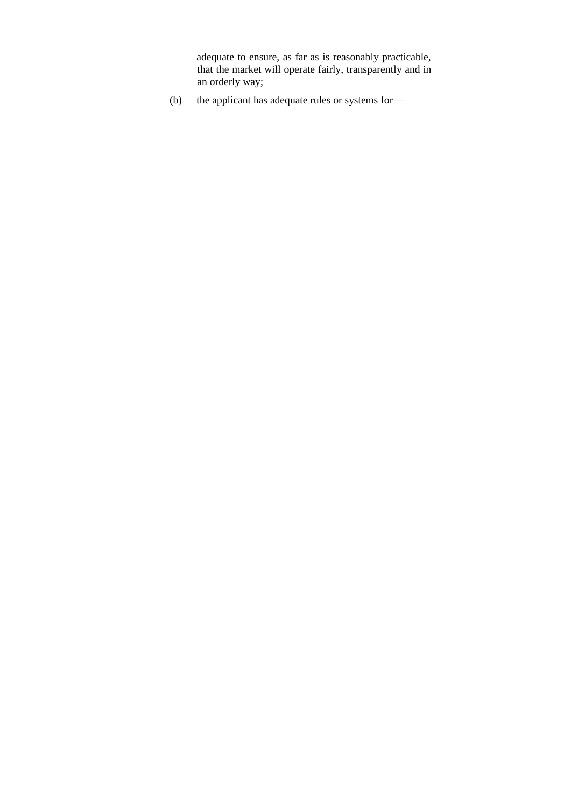adequate to ensure, as far as is reasonably practicable, that the market will operate fairly, transparently and in an orderly way;

(b) the applicant has adequate rules or systems for—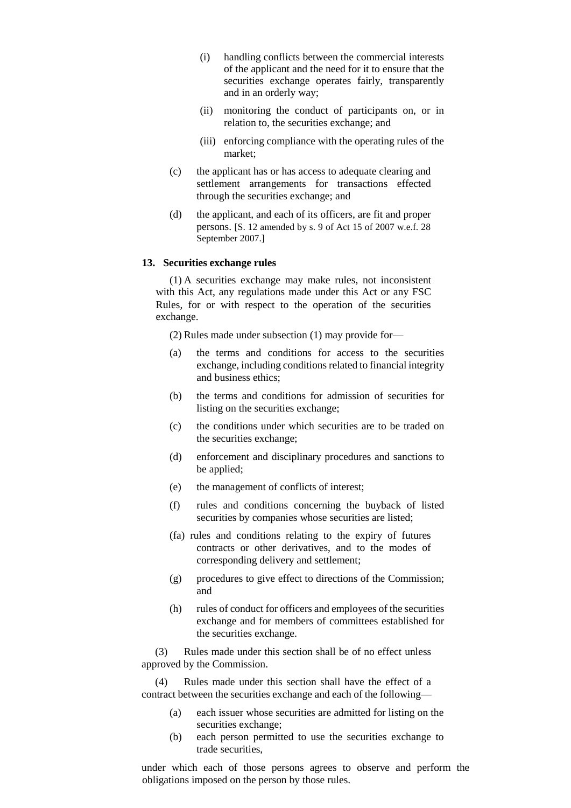- (i) handling conflicts between the commercial interests of the applicant and the need for it to ensure that the securities exchange operates fairly, transparently and in an orderly way;
- (ii) monitoring the conduct of participants on, or in relation to, the securities exchange; and
- (iii) enforcing compliance with the operating rules of the market;
- (c) the applicant has or has access to adequate clearing and settlement arrangements for transactions effected through the securities exchange; and
- (d) the applicant, and each of its officers, are fit and proper persons. [S. 12 amended by s. 9 of Act 15 of 2007 w.e.f. 28 September 2007.]

### **13. Securities exchange rules**

(1) A securities exchange may make rules, not inconsistent with this Act, any regulations made under this Act or any FSC Rules, for or with respect to the operation of the securities exchange.

(2) Rules made under subsection (1) may provide for—

- (a) the terms and conditions for access to the securities exchange, including conditions related to financial integrity and business ethics;
- (b) the terms and conditions for admission of securities for listing on the securities exchange;
- (c) the conditions under which securities are to be traded on the securities exchange;
- (d) enforcement and disciplinary procedures and sanctions to be applied;
- (e) the management of conflicts of interest;
- (f) rules and conditions concerning the buyback of listed securities by companies whose securities are listed;
- (fa) rules and conditions relating to the expiry of futures contracts or other derivatives, and to the modes of corresponding delivery and settlement;
- (g) procedures to give effect to directions of the Commission; and
- (h) rules of conduct for officers and employees of the securities exchange and for members of committees established for the securities exchange.

(3) Rules made under this section shall be of no effect unless approved by the Commission.

(4) Rules made under this section shall have the effect of a contract between the securities exchange and each of the following—

- (a) each issuer whose securities are admitted for listing on the securities exchange;
- (b) each person permitted to use the securities exchange to trade securities,

under which each of those persons agrees to observe and perform the obligations imposed on the person by those rules.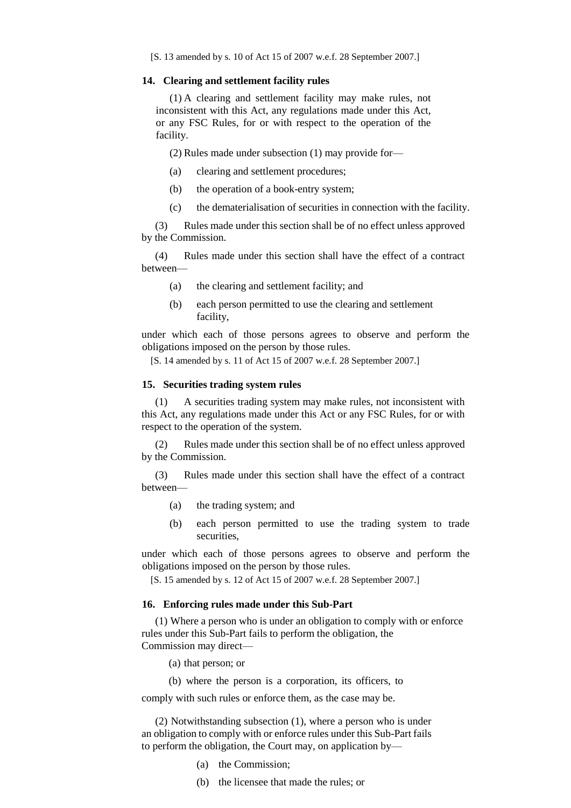#### **14. Clearing and settlement facility rules**

(1) A clearing and settlement facility may make rules, not inconsistent with this Act, any regulations made under this Act, or any FSC Rules, for or with respect to the operation of the facility.

(2) Rules made under subsection (1) may provide for—

- (a) clearing and settlement procedures;
- (b) the operation of a book-entry system;
- (c) the dematerialisation of securities in connection with the facility.

(3) Rules made under this section shall be of no effect unless approved by the Commission.

(4) Rules made under this section shall have the effect of a contract between—

- (a) the clearing and settlement facility; and
- (b) each person permitted to use the clearing and settlement facility,

under which each of those persons agrees to observe and perform the obligations imposed on the person by those rules.

[S. 14 amended by s. 11 of Act 15 of 2007 w.e.f. 28 September 2007.]

#### **15. Securities trading system rules**

(1) A securities trading system may make rules, not inconsistent with this Act, any regulations made under this Act or any FSC Rules, for or with respect to the operation of the system.

(2) Rules made under this section shall be of no effect unless approved by the Commission.

(3) Rules made under this section shall have the effect of a contract between—

- (a) the trading system; and
- (b) each person permitted to use the trading system to trade securities,

under which each of those persons agrees to observe and perform the obligations imposed on the person by those rules.

[S. 15 amended by s. 12 of Act 15 of 2007 w.e.f. 28 September 2007.]

### **16. Enforcing rules made under this Sub-Part**

(1) Where a person who is under an obligation to comply with or enforce rules under this Sub-Part fails to perform the obligation, the Commission may direct—

(a) that person; or

(b) where the person is a corporation, its officers, to

comply with such rules or enforce them, as the case may be.

(2) Notwithstanding subsection (1), where a person who is under an obligation to comply with or enforce rules under this Sub-Part fails to perform the obligation, the Court may, on application by—

- (a) the Commission;
- (b) the licensee that made the rules; or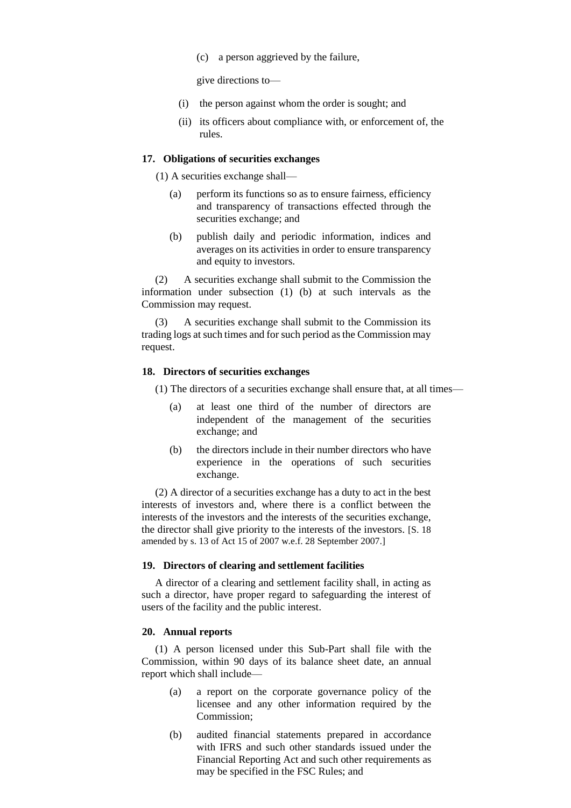(c) a person aggrieved by the failure,

give directions to—

- (i) the person against whom the order is sought; and
- (ii) its officers about compliance with, or enforcement of, the rules.

### **17. Obligations of securities exchanges**

(1) A securities exchange shall—

- (a) perform its functions so as to ensure fairness, efficiency and transparency of transactions effected through the securities exchange; and
- (b) publish daily and periodic information, indices and averages on its activities in order to ensure transparency and equity to investors.

(2) A securities exchange shall submit to the Commission the information under subsection (1) (b) at such intervals as the Commission may request.

(3) A securities exchange shall submit to the Commission its trading logs at such times and for such period as the Commission may request.

### **18. Directors of securities exchanges**

(1) The directors of a securities exchange shall ensure that, at all times—

- (a) at least one third of the number of directors are independent of the management of the securities exchange; and
- (b) the directors include in their number directors who have experience in the operations of such securities exchange.

(2) A director of a securities exchange has a duty to act in the best interests of investors and, where there is a conflict between the interests of the investors and the interests of the securities exchange, the director shall give priority to the interests of the investors. [S. 18 amended by s. 13 of Act 15 of 2007 w.e.f. 28 September 2007.]

### **19. Directors of clearing and settlement facilities**

A director of a clearing and settlement facility shall, in acting as such a director, have proper regard to safeguarding the interest of users of the facility and the public interest.

### **20. Annual reports**

(1) A person licensed under this Sub-Part shall file with the Commission, within 90 days of its balance sheet date, an annual report which shall include—

- (a) a report on the corporate governance policy of the licensee and any other information required by the Commission;
- (b) audited financial statements prepared in accordance with IFRS and such other standards issued under the Financial Reporting Act and such other requirements as may be specified in the FSC Rules; and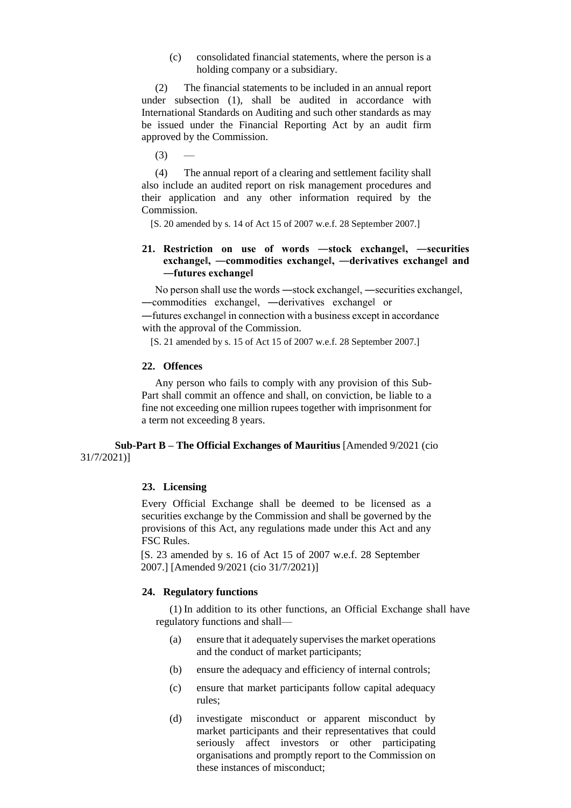(c) consolidated financial statements, where the person is a holding company or a subsidiary.

(2) The financial statements to be included in an annual report under subsection (1), shall be audited in accordance with International Standards on Auditing and such other standards as may be issued under the Financial Reporting Act by an audit firm approved by the Commission.

 $(3)$ 

(4) The annual report of a clearing and settlement facility shall also include an audited report on risk management procedures and their application and any other information required by the Commission.

[S. 20 amended by s. 14 of Act 15 of 2007 w.e.f. 28 September 2007.]

# **21. Restriction on use of words ―stock exchange‖, ―securities exchange‖, ―commodities exchange‖, ―derivatives exchange‖ and ―futures exchange‖**

No person shall use the words ―stock exchange‖, ―securities exchange‖, ―commodities exchange‖, ―derivatives exchange‖ or

―futures exchange‖ in connection with a business except in accordance with the approval of the Commission.

[S. 21 amended by s. 15 of Act 15 of 2007 w.e.f. 28 September 2007.]

#### **22. Offences**

Any person who fails to comply with any provision of this Sub-Part shall commit an offence and shall, on conviction, be liable to a fine not exceeding one million rupees together with imprisonment for a term not exceeding 8 years.

**Sub-Part B – The Official Exchanges of Mauritius** [Amended 9/2021 (cio 31/7/2021)]

### **23. Licensing**

Every Official Exchange shall be deemed to be licensed as a securities exchange by the Commission and shall be governed by the provisions of this Act, any regulations made under this Act and any FSC Rules.

[S. 23 amended by s. 16 of Act 15 of 2007 w.e.f. 28 September 2007.] [Amended 9/2021 (cio 31/7/2021)]

### **24. Regulatory functions**

(1) In addition to its other functions, an Official Exchange shall have regulatory functions and shall—

- (a) ensure that it adequately supervises the market operations and the conduct of market participants;
- (b) ensure the adequacy and efficiency of internal controls;
- (c) ensure that market participants follow capital adequacy rules;
- (d) investigate misconduct or apparent misconduct by market participants and their representatives that could seriously affect investors or other participating organisations and promptly report to the Commission on these instances of misconduct;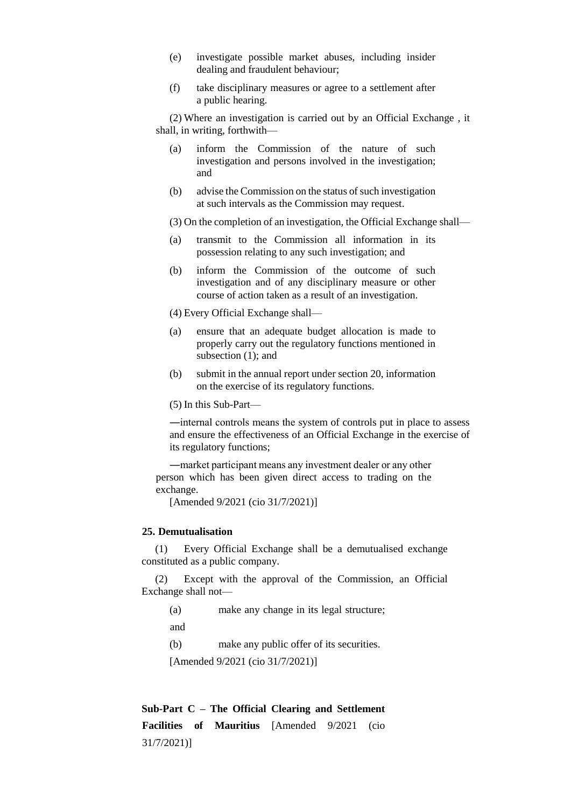- (e) investigate possible market abuses, including insider dealing and fraudulent behaviour;
- (f) take disciplinary measures or agree to a settlement after a public hearing.

(2) Where an investigation is carried out by an Official Exchange , it shall, in writing, forthwith—

- (a) inform the Commission of the nature of such investigation and persons involved in the investigation; and
- (b) advise the Commission on the status of such investigation at such intervals as the Commission may request.

(3) On the completion of an investigation, the Official Exchange shall—

- (a) transmit to the Commission all information in its possession relating to any such investigation; and
- (b) inform the Commission of the outcome of such investigation and of any disciplinary measure or other course of action taken as a result of an investigation.

(4) Every Official Exchange shall—

- (a) ensure that an adequate budget allocation is made to properly carry out the regulatory functions mentioned in subsection (1); and
- (b) submit in the annual report under section 20, information on the exercise of its regulatory functions.

(5) In this Sub-Part—

―internal controls means the system of controls put in place to assess and ensure the effectiveness of an Official Exchange in the exercise of its regulatory functions;

―market participant means any investment dealer or any other person which has been given direct access to trading on the exchange.

[Amended 9/2021 (cio 31/7/2021)]

### **25. Demutualisation**

(1) Every Official Exchange shall be a demutualised exchange constituted as a public company.

(2) Except with the approval of the Commission, an Official Exchange shall not—

(a) make any change in its legal structure;

and

(b) make any public offer of its securities.

[Amended 9/2021 (cio 31/7/2021)]

**Sub-Part C – The Official Clearing and Settlement Facilities of Mauritius** [Amended 9/2021 (cio 31/7/2021)]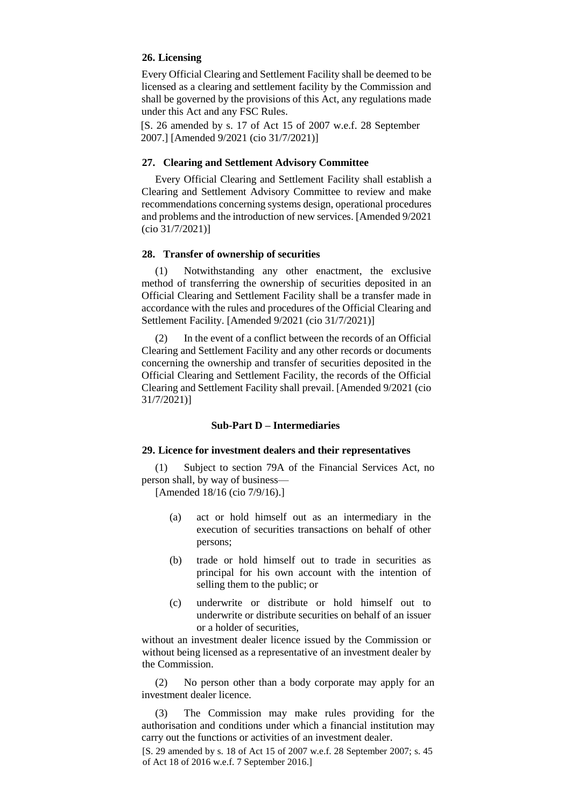# **26. Licensing**

Every Official Clearing and Settlement Facility shall be deemed to be licensed as a clearing and settlement facility by the Commission and shall be governed by the provisions of this Act, any regulations made under this Act and any FSC Rules.

[S. 26 amended by s. 17 of Act 15 of 2007 w.e.f. 28 September 2007.] [Amended 9/2021 (cio 31/7/2021)]

### **27. Clearing and Settlement Advisory Committee**

Every Official Clearing and Settlement Facility shall establish a Clearing and Settlement Advisory Committee to review and make recommendations concerning systems design, operational procedures and problems and the introduction of new services. [Amended 9/2021 (cio 31/7/2021)]

### **28. Transfer of ownership of securities**

(1) Notwithstanding any other enactment, the exclusive method of transferring the ownership of securities deposited in an Official Clearing and Settlement Facility shall be a transfer made in accordance with the rules and procedures of the Official Clearing and Settlement Facility. [Amended 9/2021 (cio 31/7/2021)]

(2) In the event of a conflict between the records of an Official Clearing and Settlement Facility and any other records or documents concerning the ownership and transfer of securities deposited in the Official Clearing and Settlement Facility, the records of the Official Clearing and Settlement Facility shall prevail. [Amended 9/2021 (cio 31/7/2021)]

### **Sub-Part D – Intermediaries**

#### **29. Licence for investment dealers and their representatives**

(1) Subject to section 79A of the Financial Services Act, no person shall, by way of business—

[Amended 18/16 (cio 7/9/16).]

- (a) act or hold himself out as an intermediary in the execution of securities transactions on behalf of other persons;
- (b) trade or hold himself out to trade in securities as principal for his own account with the intention of selling them to the public; or
- (c) underwrite or distribute or hold himself out to underwrite or distribute securities on behalf of an issuer or a holder of securities,

without an investment dealer licence issued by the Commission or without being licensed as a representative of an investment dealer by the Commission.

(2) No person other than a body corporate may apply for an investment dealer licence.

(3) The Commission may make rules providing for the authorisation and conditions under which a financial institution may carry out the functions or activities of an investment dealer.

[S. 29 amended by s. 18 of Act 15 of 2007 w.e.f. 28 September 2007; s. 45 of Act 18 of 2016 w.e.f. 7 September 2016.]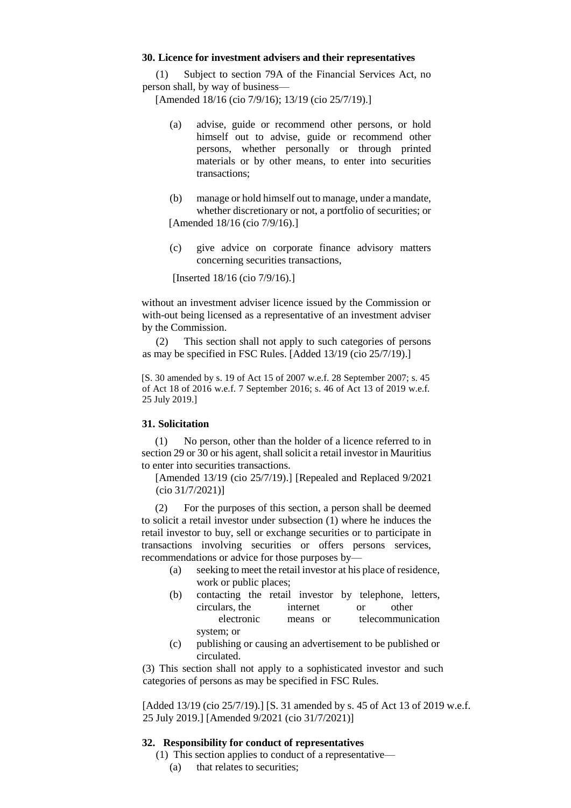### **30. Licence for investment advisers and their representatives**

(1) Subject to section 79A of the Financial Services Act, no person shall, by way of business—

[Amended 18/16 (cio 7/9/16); 13/19 (cio 25/7/19).]

- (a) advise, guide or recommend other persons, or hold himself out to advise, guide or recommend other persons, whether personally or through printed materials or by other means, to enter into securities transactions;
- (b) manage or hold himself out to manage, under a mandate, whether discretionary or not, a portfolio of securities; or [Amended 18/16 (cio 7/9/16).]
- (c) give advice on corporate finance advisory matters concerning securities transactions,

[Inserted 18/16 (cio 7/9/16).]

without an investment adviser licence issued by the Commission or with-out being licensed as a representative of an investment adviser by the Commission.

(2) This section shall not apply to such categories of persons as may be specified in FSC Rules. [Added 13/19 (cio 25/7/19).]

[S. 30 amended by s. 19 of Act 15 of 2007 w.e.f. 28 September 2007; s. 45 of Act 18 of 2016 w.e.f. 7 September 2016; s. 46 of Act 13 of 2019 w.e.f. 25 July 2019.]

### **31. Solicitation**

(1) No person, other than the holder of a licence referred to in section 29 or 30 or his agent, shall solicit a retail investor in Mauritius to enter into securities transactions.

[Amended 13/19 (cio 25/7/19).] [Repealed and Replaced 9/2021 (cio 31/7/2021)]

(2) For the purposes of this section, a person shall be deemed to solicit a retail investor under subsection (1) where he induces the retail investor to buy, sell or exchange securities or to participate in transactions involving securities or offers persons services, recommendations or advice for those purposes by—

- (a) seeking to meet the retail investor at his place of residence, work or public places;
- (b) contacting the retail investor by telephone, letters, circulars, the internet or other electronic means or telecommunication system; or
- (c) publishing or causing an advertisement to be published or circulated.

(3) This section shall not apply to a sophisticated investor and such categories of persons as may be specified in FSC Rules.

[Added 13/19 (cio 25/7/19).] [S. 31 amended by s. 45 of Act 13 of 2019 w.e.f. 25 July 2019.] [Amended 9/2021 (cio 31/7/2021)]

### **32. Responsibility for conduct of representatives**

(1) This section applies to conduct of a representative— (a) that relates to securities;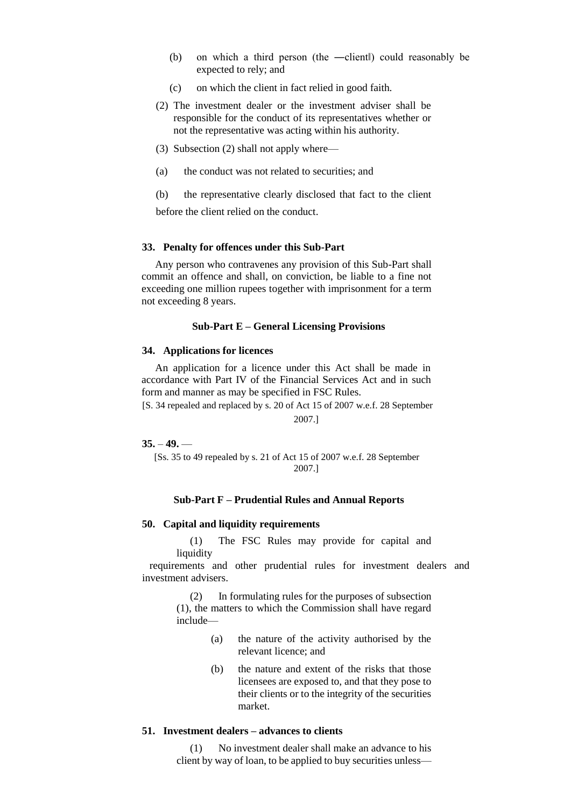- (b) on which a third person (the ―client‖) could reasonably be expected to rely; and
- (c) on which the client in fact relied in good faith.
- (2) The investment dealer or the investment adviser shall be responsible for the conduct of its representatives whether or not the representative was acting within his authority.
- (3) Subsection (2) shall not apply where—
- (a) the conduct was not related to securities; and
- (b) the representative clearly disclosed that fact to the client before the client relied on the conduct.

### **33. Penalty for offences under this Sub-Part**

Any person who contravenes any provision of this Sub-Part shall commit an offence and shall, on conviction, be liable to a fine not exceeding one million rupees together with imprisonment for a term not exceeding 8 years.

### **Sub-Part E – General Licensing Provisions**

### **34. Applications for licences**

An application for a licence under this Act shall be made in accordance with Part IV of the Financial Services Act and in such form and manner as may be specified in FSC Rules.

[S. 34 repealed and replaced by s. 20 of Act 15 of 2007 w.e.f. 28 September 2007.]

# **35.** – **49.** —

[Ss. 35 to 49 repealed by s. 21 of Act 15 of 2007 w.e.f. 28 September 2007.]

### **Sub-Part F – Prudential Rules and Annual Reports**

# **50. Capital and liquidity requirements**

(1) The FSC Rules may provide for capital and liquidity

requirements and other prudential rules for investment dealers and investment advisers.

(2) In formulating rules for the purposes of subsection (1), the matters to which the Commission shall have regard include—

- (a) the nature of the activity authorised by the relevant licence; and
- (b) the nature and extent of the risks that those licensees are exposed to, and that they pose to their clients or to the integrity of the securities market.

# **51. Investment dealers – advances to clients**

(1) No investment dealer shall make an advance to his client by way of loan, to be applied to buy securities unless—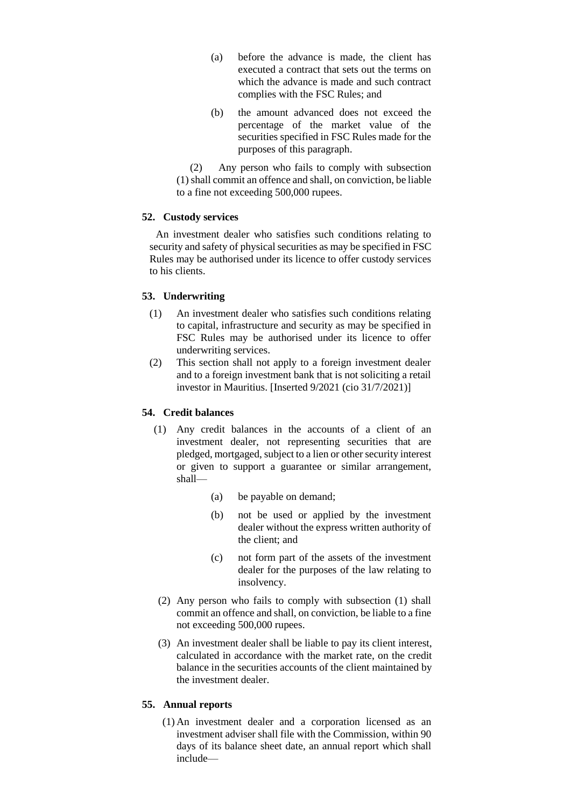- (a) before the advance is made, the client has executed a contract that sets out the terms on which the advance is made and such contract complies with the FSC Rules; and
- (b) the amount advanced does not exceed the percentage of the market value of the securities specified in FSC Rules made for the purposes of this paragraph.

(2) Any person who fails to comply with subsection (1) shall commit an offence and shall, on conviction, be liable to a fine not exceeding 500,000 rupees.

# **52. Custody services**

An investment dealer who satisfies such conditions relating to security and safety of physical securities as may be specified in FSC Rules may be authorised under its licence to offer custody services to his clients.

# **53. Underwriting**

- (1) An investment dealer who satisfies such conditions relating to capital, infrastructure and security as may be specified in FSC Rules may be authorised under its licence to offer underwriting services.
- (2) This section shall not apply to a foreign investment dealer and to a foreign investment bank that is not soliciting a retail investor in Mauritius. [Inserted 9/2021 (cio 31/7/2021)]

# **54. Credit balances**

- (1) Any credit balances in the accounts of a client of an investment dealer, not representing securities that are pledged, mortgaged, subject to a lien or other security interest or given to support a guarantee or similar arrangement, shall—
	- (a) be payable on demand;
	- (b) not be used or applied by the investment dealer without the express written authority of the client; and
	- (c) not form part of the assets of the investment dealer for the purposes of the law relating to insolvency.
- (2) Any person who fails to comply with subsection (1) shall commit an offence and shall, on conviction, be liable to a fine not exceeding 500,000 rupees.
- (3) An investment dealer shall be liable to pay its client interest, calculated in accordance with the market rate, on the credit balance in the securities accounts of the client maintained by the investment dealer.

# **55. Annual reports**

(1) An investment dealer and a corporation licensed as an investment adviser shall file with the Commission, within 90 days of its balance sheet date, an annual report which shall include—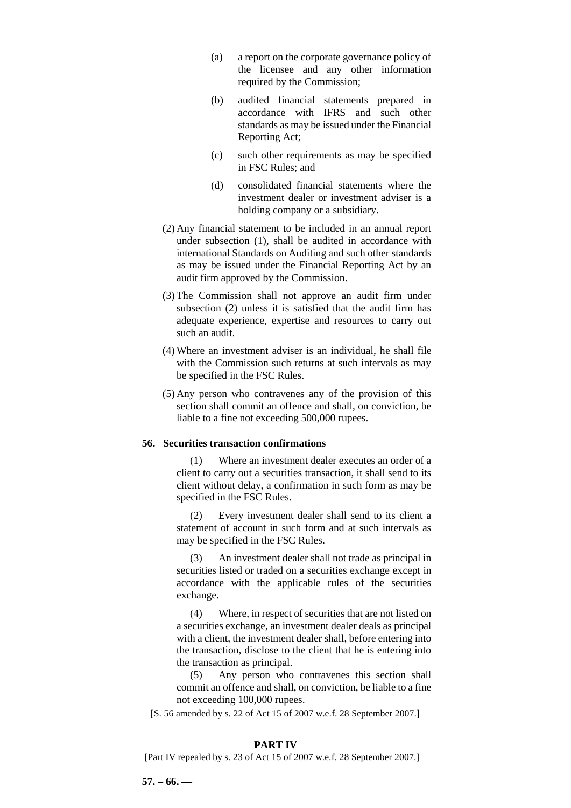- (a) a report on the corporate governance policy of the licensee and any other information required by the Commission;
- (b) audited financial statements prepared in accordance with IFRS and such other standards as may be issued under the Financial Reporting Act;
- (c) such other requirements as may be specified in FSC Rules; and
- (d) consolidated financial statements where the investment dealer or investment adviser is a holding company or a subsidiary.
- (2) Any financial statement to be included in an annual report under subsection (1), shall be audited in accordance with international Standards on Auditing and such other standards as may be issued under the Financial Reporting Act by an audit firm approved by the Commission.
- (3) The Commission shall not approve an audit firm under subsection (2) unless it is satisfied that the audit firm has adequate experience, expertise and resources to carry out such an audit.
- (4)Where an investment adviser is an individual, he shall file with the Commission such returns at such intervals as may be specified in the FSC Rules.
- (5) Any person who contravenes any of the provision of this section shall commit an offence and shall, on conviction, be liable to a fine not exceeding 500,000 rupees.

# **56. Securities transaction confirmations**

(1) Where an investment dealer executes an order of a client to carry out a securities transaction, it shall send to its client without delay, a confirmation in such form as may be specified in the FSC Rules.

(2) Every investment dealer shall send to its client a statement of account in such form and at such intervals as may be specified in the FSC Rules.

(3) An investment dealer shall not trade as principal in securities listed or traded on a securities exchange except in accordance with the applicable rules of the securities exchange.

(4) Where, in respect of securities that are not listed on a securities exchange, an investment dealer deals as principal with a client, the investment dealer shall, before entering into the transaction, disclose to the client that he is entering into the transaction as principal.

(5) Any person who contravenes this section shall commit an offence and shall, on conviction, be liable to a fine not exceeding 100,000 rupees.

[S. 56 amended by s. 22 of Act 15 of 2007 w.e.f. 28 September 2007.]

#### **PART IV**

[Part IV repealed by s. 23 of Act 15 of 2007 w.e.f. 28 September 2007.]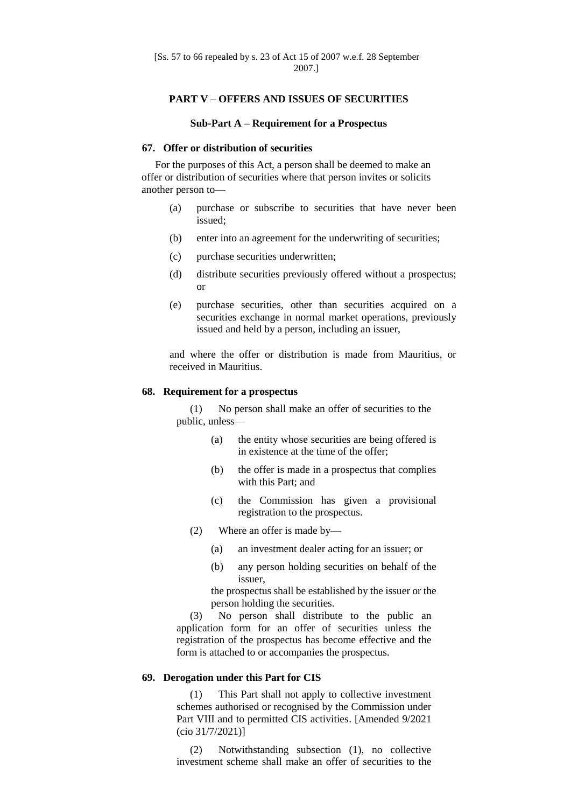### **PART V – OFFERS AND ISSUES OF SECURITIES**

#### **Sub-Part A – Requirement for a Prospectus**

### **67. Offer or distribution of securities**

For the purposes of this Act, a person shall be deemed to make an offer or distribution of securities where that person invites or solicits another person to—

- (a) purchase or subscribe to securities that have never been issued;
- (b) enter into an agreement for the underwriting of securities;
- (c) purchase securities underwritten;
- (d) distribute securities previously offered without a prospectus; or
- (e) purchase securities, other than securities acquired on a securities exchange in normal market operations, previously issued and held by a person, including an issuer,

and where the offer or distribution is made from Mauritius, or received in Mauritius.

### **68. Requirement for a prospectus**

(1) No person shall make an offer of securities to the public, unless—

- (a) the entity whose securities are being offered is in existence at the time of the offer;
- (b) the offer is made in a prospectus that complies with this Part; and
- (c) the Commission has given a provisional registration to the prospectus.
- (2) Where an offer is made by—
	- (a) an investment dealer acting for an issuer; or
	- (b) any person holding securities on behalf of the issuer,

the prospectus shall be established by the issuer or the person holding the securities.

(3) No person shall distribute to the public an application form for an offer of securities unless the registration of the prospectus has become effective and the form is attached to or accompanies the prospectus.

### **69. Derogation under this Part for CIS**

(1) This Part shall not apply to collective investment schemes authorised or recognised by the Commission under Part VIII and to permitted CIS activities. [Amended 9/2021 (cio 31/7/2021)]

(2) Notwithstanding subsection (1), no collective investment scheme shall make an offer of securities to the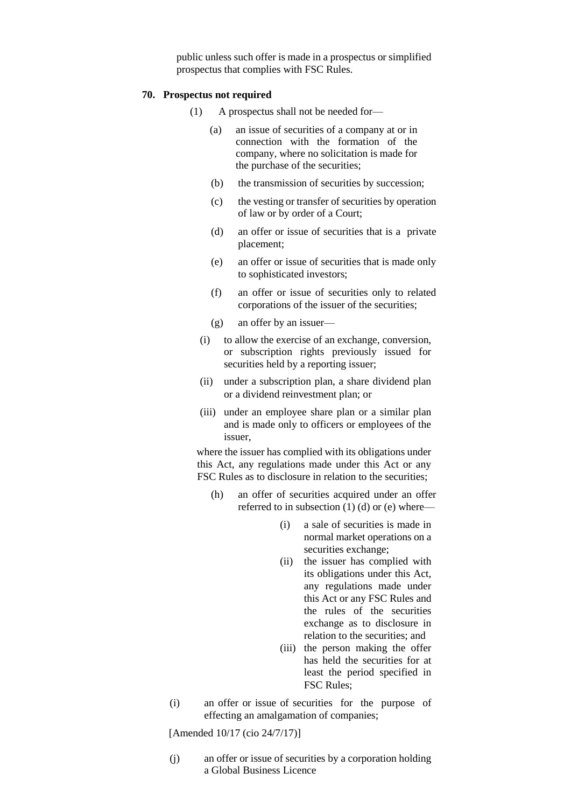public unless such offer is made in a prospectus or simplified prospectus that complies with FSC Rules.

### **70. Prospectus not required**

- (1) A prospectus shall not be needed for—
	- (a) an issue of securities of a company at or in connection with the formation of the company, where no solicitation is made for the purchase of the securities;
	- (b) the transmission of securities by succession;
	- (c) the vesting or transfer of securities by operation of law or by order of a Court;
	- (d) an offer or issue of securities that is a private placement;
	- (e) an offer or issue of securities that is made only to sophisticated investors;
	- (f) an offer or issue of securities only to related corporations of the issuer of the securities;
	- (g) an offer by an issuer—
	- (i) to allow the exercise of an exchange, conversion, or subscription rights previously issued for securities held by a reporting issuer;
	- (ii) under a subscription plan, a share dividend plan or a dividend reinvestment plan; or
	- (iii) under an employee share plan or a similar plan and is made only to officers or employees of the issuer,

where the issuer has complied with its obligations under this Act, any regulations made under this Act or any FSC Rules as to disclosure in relation to the securities;

- (h) an offer of securities acquired under an offer referred to in subsection (1) (d) or (e) where—
	- (i) a sale of securities is made in normal market operations on a securities exchange;
	- (ii) the issuer has complied with its obligations under this Act, any regulations made under this Act or any FSC Rules and the rules of the securities exchange as to disclosure in relation to the securities; and
	- (iii) the person making the offer has held the securities for at least the period specified in FSC Rules;
- (i) an offer or issue of securities for the purpose of effecting an amalgamation of companies;

[Amended 10/17 (cio 24/7/17)]

(j) an offer or issue of securities by a corporation holding a Global Business Licence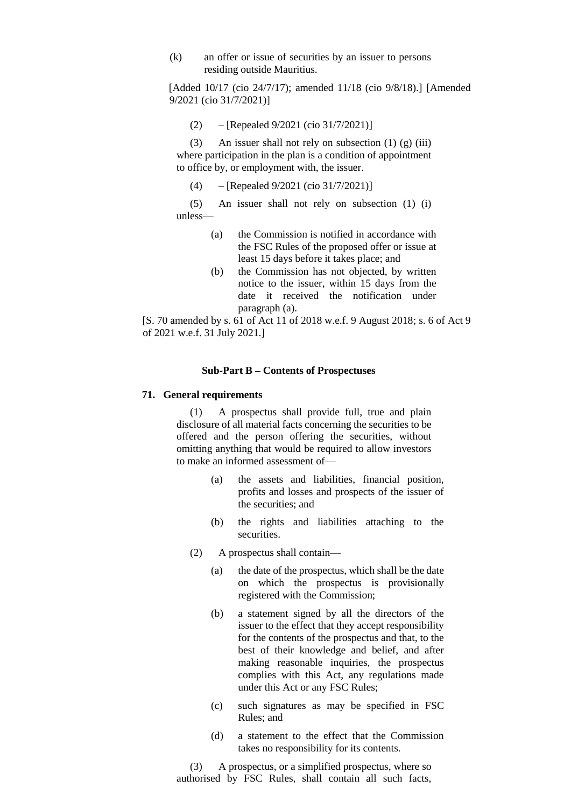(k) an offer or issue of securities by an issuer to persons residing outside Mauritius.

[Added 10/17 (cio 24/7/17); amended 11/18 (cio 9/8/18).] [Amended 9/2021 (cio 31/7/2021)]

(2) – [Repealed 9/2021 (cio 31/7/2021)]

(3) An issuer shall not rely on subsection (1) (g) (iii) where participation in the plan is a condition of appointment to office by, or employment with, the issuer.

(4) – [Repealed 9/2021 (cio 31/7/2021)]

(5) An issuer shall not rely on subsection (1) (i) unless—

- (a) the Commission is notified in accordance with the FSC Rules of the proposed offer or issue at least 15 days before it takes place; and
- (b) the Commission has not objected, by written notice to the issuer, within 15 days from the date it received the notification under paragraph (a).

[S. 70 amended by s. 61 of Act 11 of 2018 w.e.f. 9 August 2018; s. 6 of Act 9 of 2021 w.e.f. 31 July 2021.]

### **Sub-Part B – Contents of Prospectuses**

### **71. General requirements**

(1) A prospectus shall provide full, true and plain disclosure of all material facts concerning the securities to be offered and the person offering the securities, without omitting anything that would be required to allow investors to make an informed assessment of—

- (a) the assets and liabilities, financial position, profits and losses and prospects of the issuer of the securities; and
- (b) the rights and liabilities attaching to the securities.
- (2) A prospectus shall contain—
	- (a) the date of the prospectus, which shall be the date on which the prospectus is provisionally registered with the Commission;
	- (b) a statement signed by all the directors of the issuer to the effect that they accept responsibility for the contents of the prospectus and that, to the best of their knowledge and belief, and after making reasonable inquiries, the prospectus complies with this Act, any regulations made under this Act or any FSC Rules;
	- (c) such signatures as may be specified in FSC Rules; and
	- (d) a statement to the effect that the Commission takes no responsibility for its contents.

(3) A prospectus, or a simplified prospectus, where so authorised by FSC Rules, shall contain all such facts,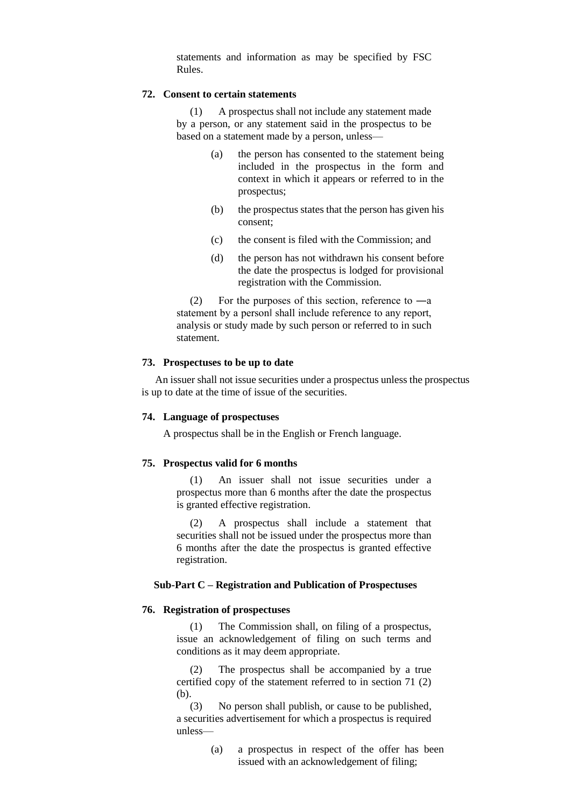statements and information as may be specified by FSC Rules.

### **72. Consent to certain statements**

(1) A prospectus shall not include any statement made by a person, or any statement said in the prospectus to be based on a statement made by a person, unless—

- (a) the person has consented to the statement being included in the prospectus in the form and context in which it appears or referred to in the prospectus;
- (b) the prospectus states that the person has given his consent;
- (c) the consent is filed with the Commission; and
- (d) the person has not withdrawn his consent before the date the prospectus is lodged for provisional registration with the Commission.

(2) For the purposes of this section, reference to  $-a$ statement by a person‖ shall include reference to any report, analysis or study made by such person or referred to in such statement.

### **73. Prospectuses to be up to date**

An issuer shall not issue securities under a prospectus unless the prospectus is up to date at the time of issue of the securities.

### **74. Language of prospectuses**

A prospectus shall be in the English or French language.

### **75. Prospectus valid for 6 months**

(1) An issuer shall not issue securities under a prospectus more than 6 months after the date the prospectus is granted effective registration.

(2) A prospectus shall include a statement that securities shall not be issued under the prospectus more than 6 months after the date the prospectus is granted effective registration.

### **Sub-Part C – Registration and Publication of Prospectuses**

### **76. Registration of prospectuses**

(1) The Commission shall, on filing of a prospectus, issue an acknowledgement of filing on such terms and conditions as it may deem appropriate.

(2) The prospectus shall be accompanied by a true certified copy of the statement referred to in section 71 (2) (b).

(3) No person shall publish, or cause to be published, a securities advertisement for which a prospectus is required unless—

> (a) a prospectus in respect of the offer has been issued with an acknowledgement of filing;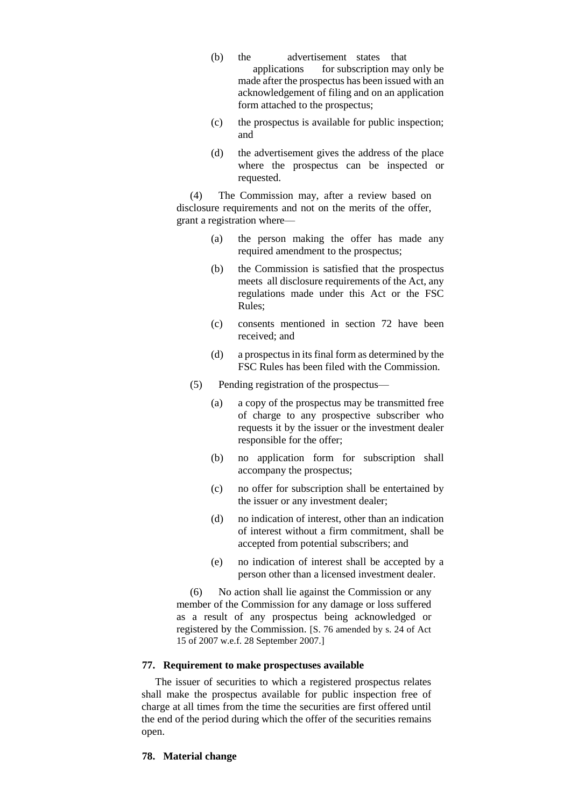- (b) the advertisement states that applications for subscription may only be made after the prospectus has been issued with an acknowledgement of filing and on an application form attached to the prospectus;
- (c) the prospectus is available for public inspection; and
- (d) the advertisement gives the address of the place where the prospectus can be inspected or requested.

(4) The Commission may, after a review based on disclosure requirements and not on the merits of the offer, grant a registration where—

- (a) the person making the offer has made any required amendment to the prospectus;
- (b) the Commission is satisfied that the prospectus meets all disclosure requirements of the Act, any regulations made under this Act or the FSC Rules;
- (c) consents mentioned in section 72 have been received; and
- (d) a prospectus in its final form as determined by the FSC Rules has been filed with the Commission.
- (5) Pending registration of the prospectus—
	- (a) a copy of the prospectus may be transmitted free of charge to any prospective subscriber who requests it by the issuer or the investment dealer responsible for the offer;
	- (b) no application form for subscription shall accompany the prospectus;
	- (c) no offer for subscription shall be entertained by the issuer or any investment dealer;
	- (d) no indication of interest, other than an indication of interest without a firm commitment, shall be accepted from potential subscribers; and
	- (e) no indication of interest shall be accepted by a person other than a licensed investment dealer.

(6) No action shall lie against the Commission or any member of the Commission for any damage or loss suffered as a result of any prospectus being acknowledged or registered by the Commission. [S. 76 amended by s. 24 of Act 15 of 2007 w.e.f. 28 September 2007.]

### **77. Requirement to make prospectuses available**

The issuer of securities to which a registered prospectus relates shall make the prospectus available for public inspection free of charge at all times from the time the securities are first offered until the end of the period during which the offer of the securities remains open.

### **78. Material change**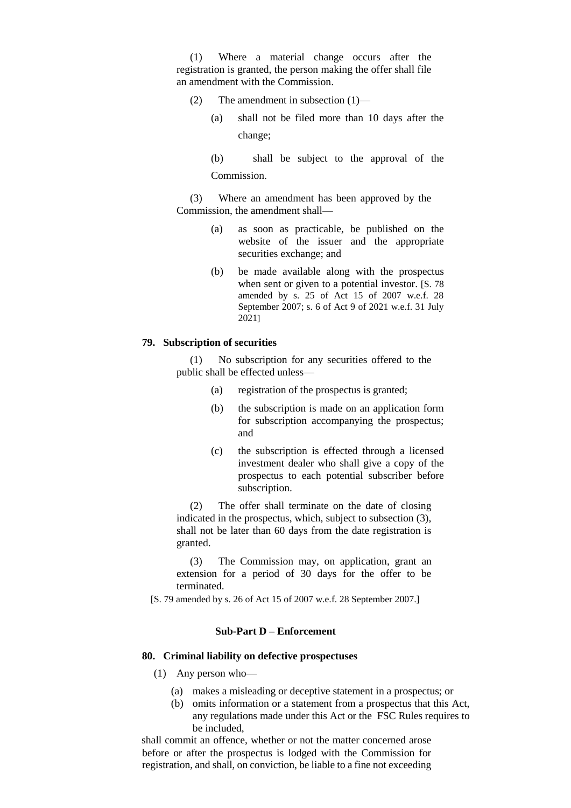(1) Where a material change occurs after the registration is granted, the person making the offer shall file an amendment with the Commission.

- (2) The amendment in subsection (1)—
	- (a) shall not be filed more than 10 days after the change;

(b) shall be subject to the approval of the Commission.

(3) Where an amendment has been approved by the Commission, the amendment shall—

- (a) as soon as practicable, be published on the website of the issuer and the appropriate securities exchange; and
- (b) be made available along with the prospectus when sent or given to a potential investor. [S. 78 amended by s. 25 of Act 15 of 2007 w.e.f. 28 September 2007; s. 6 of Act 9 of 2021 w.e.f. 31 July 2021]

# **79. Subscription of securities**

(1) No subscription for any securities offered to the public shall be effected unless—

- (a) registration of the prospectus is granted;
- (b) the subscription is made on an application form for subscription accompanying the prospectus; and
- (c) the subscription is effected through a licensed investment dealer who shall give a copy of the prospectus to each potential subscriber before subscription.

(2) The offer shall terminate on the date of closing indicated in the prospectus, which, subject to subsection (3), shall not be later than 60 days from the date registration is granted.

(3) The Commission may, on application, grant an extension for a period of 30 days for the offer to be terminated.

[S. 79 amended by s. 26 of Act 15 of 2007 w.e.f. 28 September 2007.]

### **Sub-Part D – Enforcement**

# **80. Criminal liability on defective prospectuses**

- (1) Any person who—
	- (a) makes a misleading or deceptive statement in a prospectus; or
	- (b) omits information or a statement from a prospectus that this Act, any regulations made under this Act or the FSC Rules requires to be included,

shall commit an offence, whether or not the matter concerned arose before or after the prospectus is lodged with the Commission for registration, and shall, on conviction, be liable to a fine not exceeding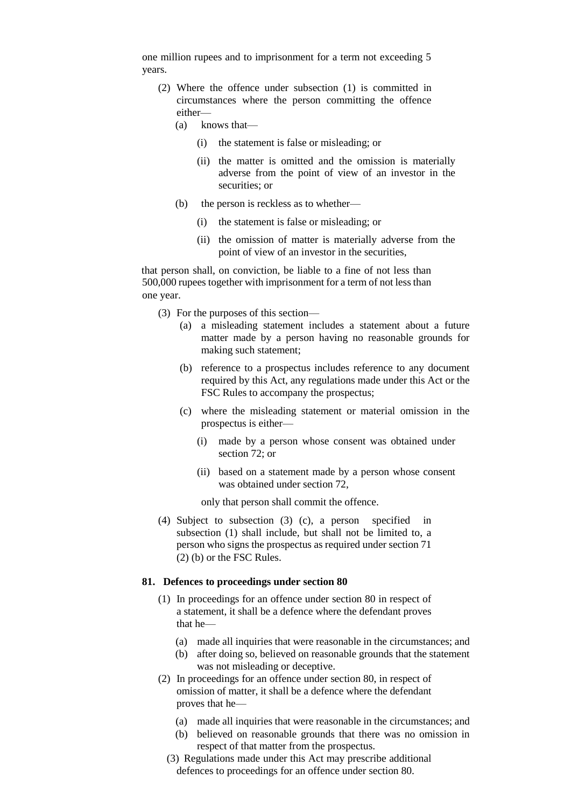one million rupees and to imprisonment for a term not exceeding 5 years.

- (2) Where the offence under subsection (1) is committed in circumstances where the person committing the offence either—
	- (a) knows that—
		- (i) the statement is false or misleading; or
		- (ii) the matter is omitted and the omission is materially adverse from the point of view of an investor in the securities; or
	- (b) the person is reckless as to whether—
		- (i) the statement is false or misleading; or
		- (ii) the omission of matter is materially adverse from the point of view of an investor in the securities,

that person shall, on conviction, be liable to a fine of not less than 500,000 rupees together with imprisonment for a term of not less than one year.

- (3) For the purposes of this section—
	- (a) a misleading statement includes a statement about a future matter made by a person having no reasonable grounds for making such statement;
	- (b) reference to a prospectus includes reference to any document required by this Act, any regulations made under this Act or the FSC Rules to accompany the prospectus;
	- (c) where the misleading statement or material omission in the prospectus is either—
		- (i) made by a person whose consent was obtained under section 72; or
		- (ii) based on a statement made by a person whose consent was obtained under section 72,

only that person shall commit the offence.

(4) Subject to subsection (3) (c), a person specified in subsection (1) shall include, but shall not be limited to, a person who signs the prospectus as required under section 71 (2) (b) or the FSC Rules.

### **81. Defences to proceedings under section 80**

- (1) In proceedings for an offence under section 80 in respect of a statement, it shall be a defence where the defendant proves that he—
	- (a) made all inquiries that were reasonable in the circumstances; and
	- (b) after doing so, believed on reasonable grounds that the statement was not misleading or deceptive.
- (2) In proceedings for an offence under section 80, in respect of omission of matter, it shall be a defence where the defendant proves that he—
	- (a) made all inquiries that were reasonable in the circumstances; and
	- (b) believed on reasonable grounds that there was no omission in respect of that matter from the prospectus.
	- (3) Regulations made under this Act may prescribe additional defences to proceedings for an offence under section 80.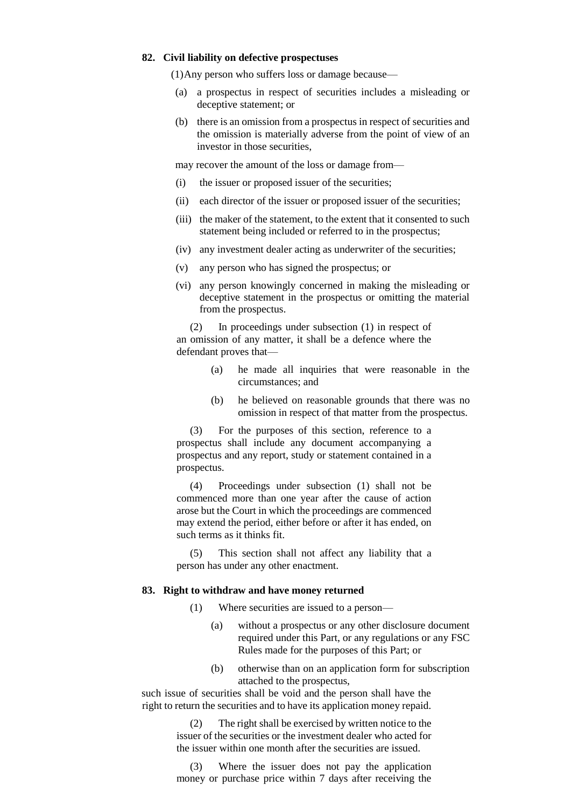# **82. Civil liability on defective prospectuses**

(1)Any person who suffers loss or damage because—

- (a) a prospectus in respect of securities includes a misleading or deceptive statement; or
- (b) there is an omission from a prospectus in respect of securities and the omission is materially adverse from the point of view of an investor in those securities,

may recover the amount of the loss or damage from—

- (i) the issuer or proposed issuer of the securities;
- (ii) each director of the issuer or proposed issuer of the securities;
- (iii) the maker of the statement, to the extent that it consented to such statement being included or referred to in the prospectus;
- (iv) any investment dealer acting as underwriter of the securities;
- (v) any person who has signed the prospectus; or
- (vi) any person knowingly concerned in making the misleading or deceptive statement in the prospectus or omitting the material from the prospectus.

(2) In proceedings under subsection (1) in respect of an omission of any matter, it shall be a defence where the defendant proves that—

- (a) he made all inquiries that were reasonable in the circumstances; and
- (b) he believed on reasonable grounds that there was no omission in respect of that matter from the prospectus.

(3) For the purposes of this section, reference to a prospectus shall include any document accompanying a prospectus and any report, study or statement contained in a prospectus.

(4) Proceedings under subsection (1) shall not be commenced more than one year after the cause of action arose but the Court in which the proceedings are commenced may extend the period, either before or after it has ended, on such terms as it thinks fit.

(5) This section shall not affect any liability that a person has under any other enactment.

# **83. Right to withdraw and have money returned**

- (1) Where securities are issued to a person—
	- (a) without a prospectus or any other disclosure document required under this Part, or any regulations or any FSC Rules made for the purposes of this Part; or
	- (b) otherwise than on an application form for subscription attached to the prospectus,

such issue of securities shall be void and the person shall have the right to return the securities and to have its application money repaid.

> (2) The right shall be exercised by written notice to the issuer of the securities or the investment dealer who acted for the issuer within one month after the securities are issued.

> (3) Where the issuer does not pay the application money or purchase price within 7 days after receiving the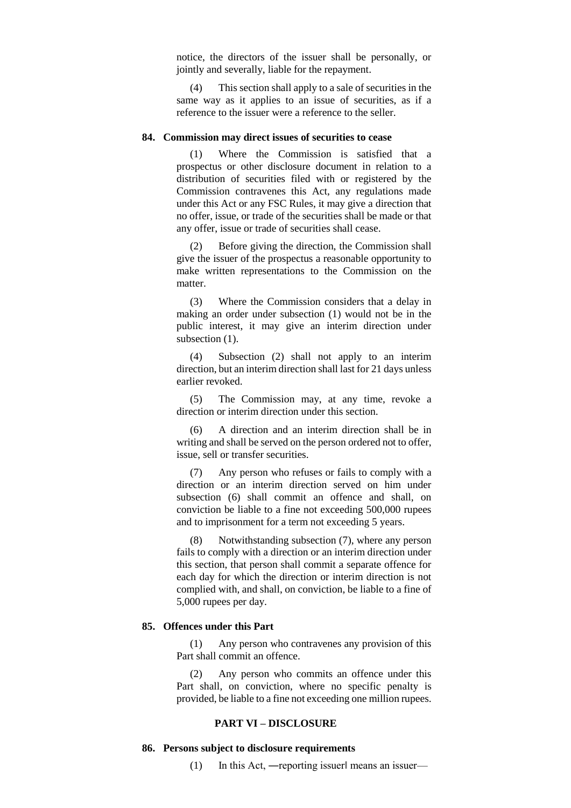notice, the directors of the issuer shall be personally, or jointly and severally, liable for the repayment.

(4) This section shall apply to a sale of securities in the same way as it applies to an issue of securities, as if a reference to the issuer were a reference to the seller.

### **84. Commission may direct issues of securities to cease**

(1) Where the Commission is satisfied that a prospectus or other disclosure document in relation to a distribution of securities filed with or registered by the Commission contravenes this Act, any regulations made under this Act or any FSC Rules, it may give a direction that no offer, issue, or trade of the securities shall be made or that any offer, issue or trade of securities shall cease.

(2) Before giving the direction, the Commission shall give the issuer of the prospectus a reasonable opportunity to make written representations to the Commission on the matter.

(3) Where the Commission considers that a delay in making an order under subsection (1) would not be in the public interest, it may give an interim direction under subsection  $(1)$ .

(4) Subsection (2) shall not apply to an interim direction, but an interim direction shall last for 21 days unless earlier revoked.

(5) The Commission may, at any time, revoke a direction or interim direction under this section.

(6) A direction and an interim direction shall be in writing and shall be served on the person ordered not to offer, issue, sell or transfer securities.

(7) Any person who refuses or fails to comply with a direction or an interim direction served on him under subsection (6) shall commit an offence and shall, on conviction be liable to a fine not exceeding 500,000 rupees and to imprisonment for a term not exceeding 5 years.

(8) Notwithstanding subsection (7), where any person fails to comply with a direction or an interim direction under this section, that person shall commit a separate offence for each day for which the direction or interim direction is not complied with, and shall, on conviction, be liable to a fine of 5,000 rupees per day.

# **85. Offences under this Part**

(1) Any person who contravenes any provision of this Part shall commit an offence.

(2) Any person who commits an offence under this Part shall, on conviction, where no specific penalty is provided, be liable to a fine not exceeding one million rupees.

# **PART VI – DISCLOSURE**

#### **86. Persons subject to disclosure requirements**

(1) In this Act, ―reporting issuer‖ means an issuer—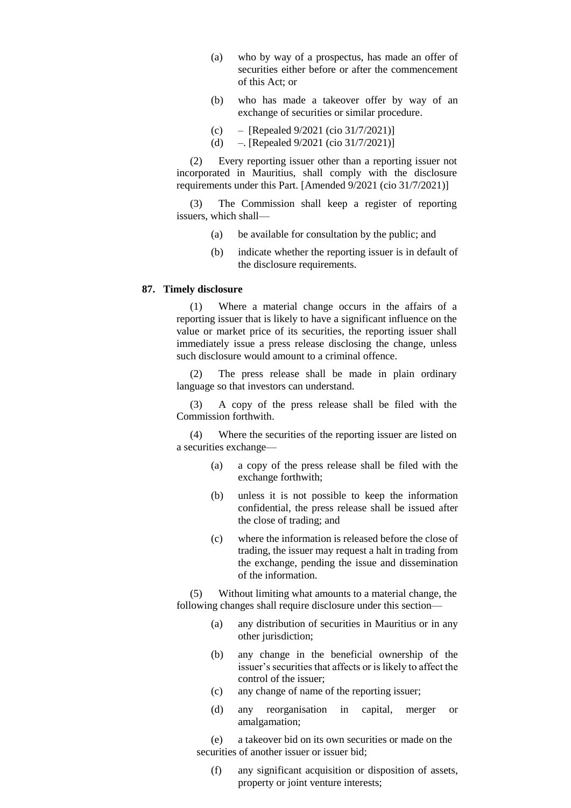- (a) who by way of a prospectus, has made an offer of securities either before or after the commencement of this Act; or
- (b) who has made a takeover offer by way of an exchange of securities or similar procedure.
- (c) [Repealed  $9/2021$  (cio  $31/7/2021$ ]]
- (d) –. [Repealed 9/2021 (cio 31/7/2021)]

(2) Every reporting issuer other than a reporting issuer not incorporated in Mauritius, shall comply with the disclosure requirements under this Part. [Amended 9/2021 (cio 31/7/2021)]

(3) The Commission shall keep a register of reporting issuers, which shall—

- (a) be available for consultation by the public; and
- (b) indicate whether the reporting issuer is in default of the disclosure requirements.

### **87. Timely disclosure**

(1) Where a material change occurs in the affairs of a reporting issuer that is likely to have a significant influence on the value or market price of its securities, the reporting issuer shall immediately issue a press release disclosing the change, unless such disclosure would amount to a criminal offence.

(2) The press release shall be made in plain ordinary language so that investors can understand.

(3) A copy of the press release shall be filed with the Commission forthwith.

(4) Where the securities of the reporting issuer are listed on a securities exchange—

- (a) a copy of the press release shall be filed with the exchange forthwith;
- (b) unless it is not possible to keep the information confidential, the press release shall be issued after the close of trading; and
- (c) where the information is released before the close of trading, the issuer may request a halt in trading from the exchange, pending the issue and dissemination of the information.

(5) Without limiting what amounts to a material change, the following changes shall require disclosure under this section—

- (a) any distribution of securities in Mauritius or in any other jurisdiction;
- (b) any change in the beneficial ownership of the issuer's securities that affects or is likely to affect the control of the issuer;
- (c) any change of name of the reporting issuer;
- (d) any reorganisation in capital, merger or amalgamation;

(e) a takeover bid on its own securities or made on the securities of another issuer or issuer bid:

(f) any significant acquisition or disposition of assets, property or joint venture interests;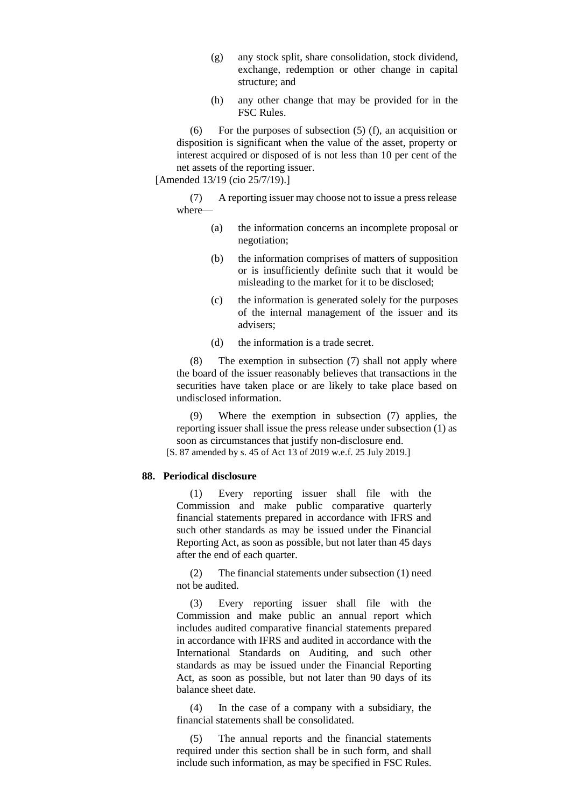- (g) any stock split, share consolidation, stock dividend, exchange, redemption or other change in capital structure; and
- (h) any other change that may be provided for in the FSC Rules.

(6) For the purposes of subsection  $(5)$  (f), an acquisition or disposition is significant when the value of the asset, property or interest acquired or disposed of is not less than 10 per cent of the net assets of the reporting issuer.

[Amended 13/19 (cio 25/7/19).]

(7) A reporting issuer may choose not to issue a press release where—

- (a) the information concerns an incomplete proposal or negotiation;
- (b) the information comprises of matters of supposition or is insufficiently definite such that it would be misleading to the market for it to be disclosed;
- (c) the information is generated solely for the purposes of the internal management of the issuer and its advisers;
- (d) the information is a trade secret.

(8) The exemption in subsection (7) shall not apply where the board of the issuer reasonably believes that transactions in the securities have taken place or are likely to take place based on undisclosed information.

(9) Where the exemption in subsection (7) applies, the reporting issuer shall issue the press release under subsection (1) as soon as circumstances that justify non-disclosure end.

[S. 87 amended by s. 45 of Act 13 of 2019 w.e.f. 25 July 2019.]

# **88. Periodical disclosure**

(1) Every reporting issuer shall file with the Commission and make public comparative quarterly financial statements prepared in accordance with IFRS and such other standards as may be issued under the Financial Reporting Act, as soon as possible, but not later than 45 days after the end of each quarter.

(2) The financial statements under subsection (1) need not be audited.

(3) Every reporting issuer shall file with the Commission and make public an annual report which includes audited comparative financial statements prepared in accordance with IFRS and audited in accordance with the International Standards on Auditing, and such other standards as may be issued under the Financial Reporting Act, as soon as possible, but not later than 90 days of its balance sheet date.

(4) In the case of a company with a subsidiary, the financial statements shall be consolidated.

(5) The annual reports and the financial statements required under this section shall be in such form, and shall include such information, as may be specified in FSC Rules.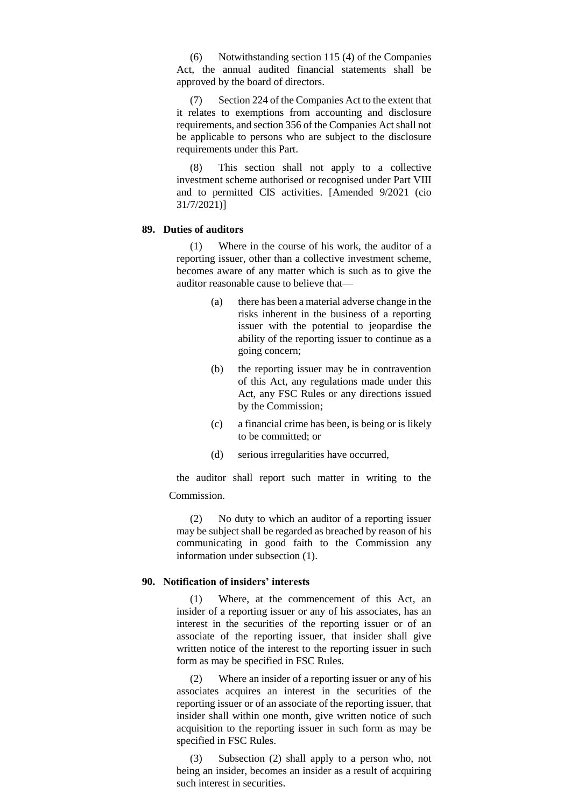(6) Notwithstanding section 115 (4) of the Companies Act, the annual audited financial statements shall be approved by the board of directors.

(7) Section 224 of the Companies Act to the extent that it relates to exemptions from accounting and disclosure requirements, and section 356 of the Companies Act shall not be applicable to persons who are subject to the disclosure requirements under this Part.

(8) This section shall not apply to a collective investment scheme authorised or recognised under Part VIII and to permitted CIS activities. [Amended 9/2021 (cio 31/7/2021)]

# **89. Duties of auditors**

(1) Where in the course of his work, the auditor of a reporting issuer, other than a collective investment scheme, becomes aware of any matter which is such as to give the auditor reasonable cause to believe that—

- (a) there has been a material adverse change in the risks inherent in the business of a reporting issuer with the potential to jeopardise the ability of the reporting issuer to continue as a going concern;
- (b) the reporting issuer may be in contravention of this Act, any regulations made under this Act, any FSC Rules or any directions issued by the Commission;
- (c) a financial crime has been, is being or is likely to be committed; or
- (d) serious irregularities have occurred,

the auditor shall report such matter in writing to the Commission.

(2) No duty to which an auditor of a reporting issuer may be subject shall be regarded as breached by reason of his communicating in good faith to the Commission any information under subsection (1).

# **90. Notification of insiders' interests**

(1) Where, at the commencement of this Act, an insider of a reporting issuer or any of his associates, has an interest in the securities of the reporting issuer or of an associate of the reporting issuer, that insider shall give written notice of the interest to the reporting issuer in such form as may be specified in FSC Rules.

(2) Where an insider of a reporting issuer or any of his associates acquires an interest in the securities of the reporting issuer or of an associate of the reporting issuer, that insider shall within one month, give written notice of such acquisition to the reporting issuer in such form as may be specified in FSC Rules.

(3) Subsection (2) shall apply to a person who, not being an insider, becomes an insider as a result of acquiring such interest in securities.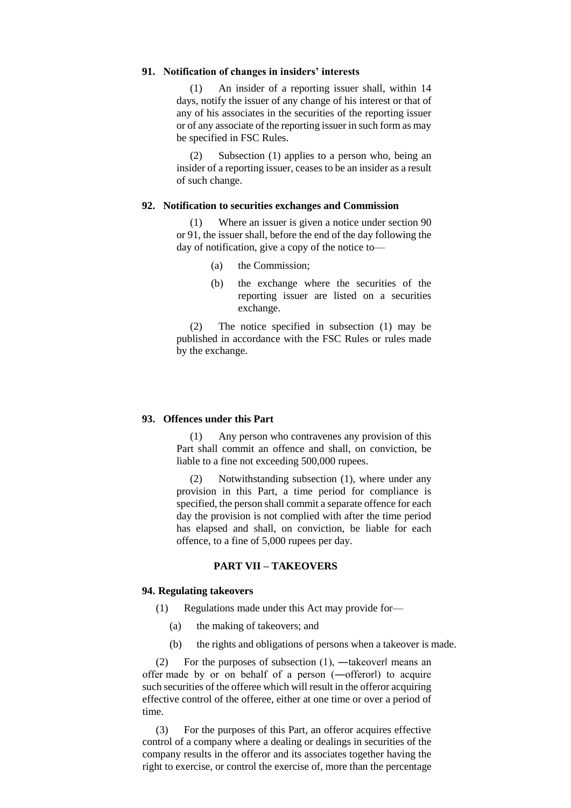# **91. Notification of changes in insiders' interests**

(1) An insider of a reporting issuer shall, within 14 days, notify the issuer of any change of his interest or that of any of his associates in the securities of the reporting issuer or of any associate of the reporting issuer in such form as may be specified in FSC Rules.

(2) Subsection (1) applies to a person who, being an insider of a reporting issuer, ceases to be an insider as a result of such change.

#### **92. Notification to securities exchanges and Commission**

(1) Where an issuer is given a notice under section 90 or 91, the issuer shall, before the end of the day following the day of notification, give a copy of the notice to—

- (a) the Commission;
- (b) the exchange where the securities of the reporting issuer are listed on a securities exchange.

(2) The notice specified in subsection (1) may be published in accordance with the FSC Rules or rules made by the exchange.

# **93. Offences under this Part**

(1) Any person who contravenes any provision of this Part shall commit an offence and shall, on conviction, be liable to a fine not exceeding 500,000 rupees.

(2) Notwithstanding subsection (1), where under any provision in this Part, a time period for compliance is specified, the person shall commit a separate offence for each day the provision is not complied with after the time period has elapsed and shall, on conviction, be liable for each offence, to a fine of 5,000 rupees per day.

### **PART VII – TAKEOVERS**

# **94. Regulating takeovers**

- (1) Regulations made under this Act may provide for—
	- (a) the making of takeovers; and
	- (b) the rights and obligations of persons when a takeover is made.

(2) For the purposes of subsection  $(1)$ , —takeoverl means an offer made by or on behalf of a person (―offeror‖) to acquire such securities of the offeree which will result in the offeror acquiring effective control of the offeree, either at one time or over a period of time.

(3) For the purposes of this Part, an offeror acquires effective control of a company where a dealing or dealings in securities of the company results in the offeror and its associates together having the right to exercise, or control the exercise of, more than the percentage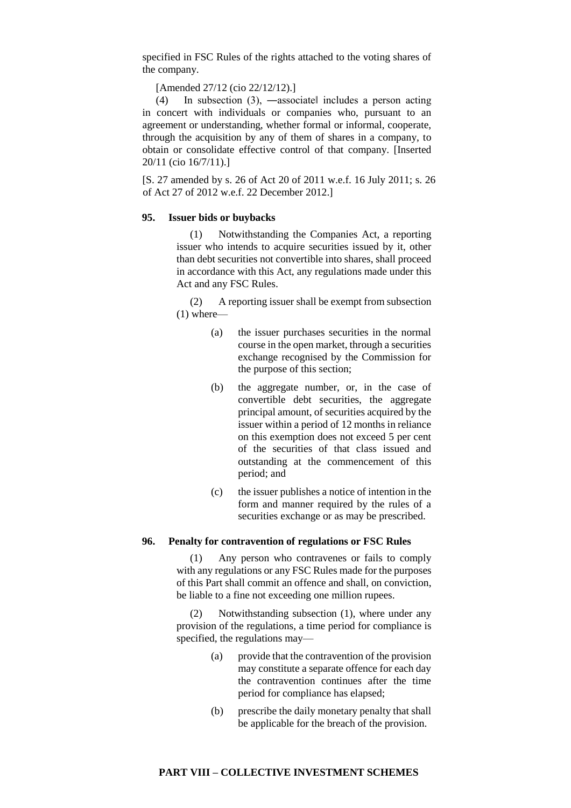specified in FSC Rules of the rights attached to the voting shares of the company.

[Amended 27/12 (cio 22/12/12).]

(4) In subsection (3), ―associate‖ includes a person acting in concert with individuals or companies who, pursuant to an agreement or understanding, whether formal or informal, cooperate, through the acquisition by any of them of shares in a company, to obtain or consolidate effective control of that company. [Inserted 20/11 (cio 16/7/11).]

[S. 27 amended by s. 26 of Act 20 of 2011 w.e.f. 16 July 2011; s. 26 of Act 27 of 2012 w.e.f. 22 December 2012.]

### **95. Issuer bids or buybacks**

(1) Notwithstanding the Companies Act, a reporting issuer who intends to acquire securities issued by it, other than debt securities not convertible into shares, shall proceed in accordance with this Act, any regulations made under this Act and any FSC Rules.

(2) A reporting issuer shall be exempt from subsection  $(1)$  where—

- (a) the issuer purchases securities in the normal course in the open market, through a securities exchange recognised by the Commission for the purpose of this section;
- (b) the aggregate number, or, in the case of convertible debt securities, the aggregate principal amount, of securities acquired by the issuer within a period of 12 months in reliance on this exemption does not exceed 5 per cent of the securities of that class issued and outstanding at the commencement of this period; and
- (c) the issuer publishes a notice of intention in the form and manner required by the rules of a securities exchange or as may be prescribed.

### **96. Penalty for contravention of regulations or FSC Rules**

(1) Any person who contravenes or fails to comply with any regulations or any FSC Rules made for the purposes of this Part shall commit an offence and shall, on conviction, be liable to a fine not exceeding one million rupees.

(2) Notwithstanding subsection (1), where under any provision of the regulations, a time period for compliance is specified, the regulations may—

- (a) provide that the contravention of the provision may constitute a separate offence for each day the contravention continues after the time period for compliance has elapsed;
- (b) prescribe the daily monetary penalty that shall be applicable for the breach of the provision.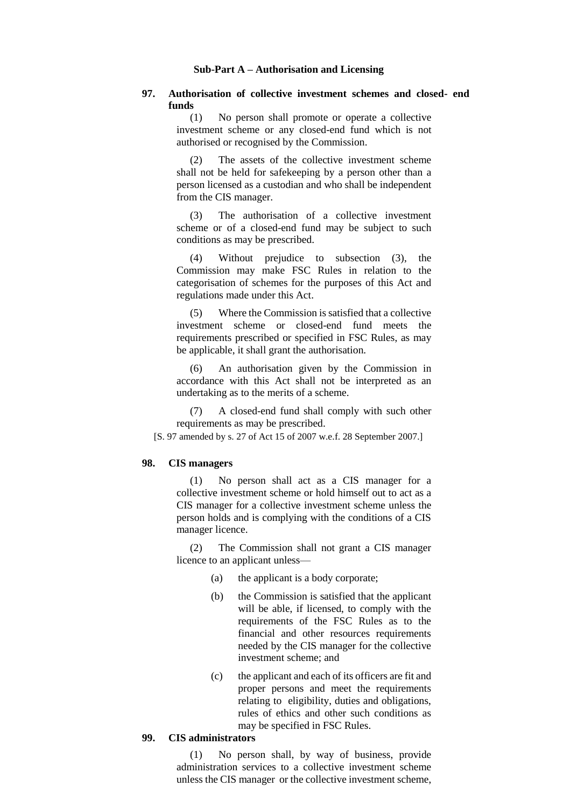### **Sub-Part A – Authorisation and Licensing**

# **97. Authorisation of collective investment schemes and closed- end funds**

(1) No person shall promote or operate a collective investment scheme or any closed-end fund which is not authorised or recognised by the Commission.

(2) The assets of the collective investment scheme shall not be held for safekeeping by a person other than a person licensed as a custodian and who shall be independent from the CIS manager.

(3) The authorisation of a collective investment scheme or of a closed-end fund may be subject to such conditions as may be prescribed.

(4) Without prejudice to subsection (3), the Commission may make FSC Rules in relation to the categorisation of schemes for the purposes of this Act and regulations made under this Act.

(5) Where the Commission is satisfied that a collective investment scheme or closed-end fund meets the requirements prescribed or specified in FSC Rules, as may be applicable, it shall grant the authorisation.

(6) An authorisation given by the Commission in accordance with this Act shall not be interpreted as an undertaking as to the merits of a scheme.

(7) A closed-end fund shall comply with such other requirements as may be prescribed.

[S. 97 amended by s. 27 of Act 15 of 2007 w.e.f. 28 September 2007.]

### **98. CIS managers**

(1) No person shall act as a CIS manager for a collective investment scheme or hold himself out to act as a CIS manager for a collective investment scheme unless the person holds and is complying with the conditions of a CIS manager licence.

(2) The Commission shall not grant a CIS manager licence to an applicant unless—

- (a) the applicant is a body corporate;
- (b) the Commission is satisfied that the applicant will be able, if licensed, to comply with the requirements of the FSC Rules as to the financial and other resources requirements needed by the CIS manager for the collective investment scheme; and
- (c) the applicant and each of its officers are fit and proper persons and meet the requirements relating to eligibility, duties and obligations, rules of ethics and other such conditions as may be specified in FSC Rules.

### **99. CIS administrators**

(1) No person shall, by way of business, provide administration services to a collective investment scheme unless the CIS manager or the collective investment scheme,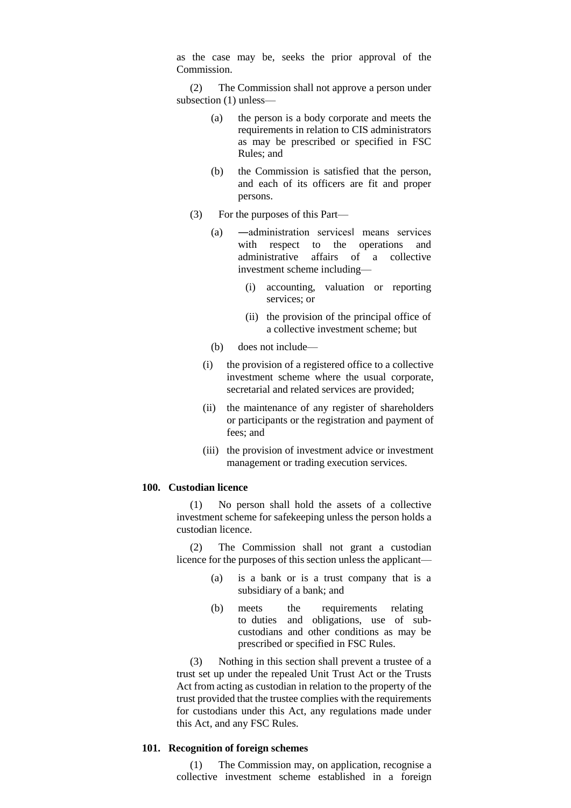as the case may be, seeks the prior approval of the Commission.

(2) The Commission shall not approve a person under subsection (1) unless—

- (a) the person is a body corporate and meets the requirements in relation to CIS administrators as may be prescribed or specified in FSC Rules; and
- (b) the Commission is satisfied that the person, and each of its officers are fit and proper persons.
- (3) For the purposes of this Part—
	- (a) ―administration services‖ means services with respect to the operations and administrative affairs of a collective investment scheme including—
		- (i) accounting, valuation or reporting services; or
		- (ii) the provision of the principal office of a collective investment scheme; but
	- (b) does not include—
	- (i) the provision of a registered office to a collective investment scheme where the usual corporate, secretarial and related services are provided;
	- (ii) the maintenance of any register of shareholders or participants or the registration and payment of fees; and
	- (iii) the provision of investment advice or investment management or trading execution services.

### **100. Custodian licence**

(1) No person shall hold the assets of a collective investment scheme for safekeeping unless the person holds a custodian licence.

(2) The Commission shall not grant a custodian licence for the purposes of this section unless the applicant—

- (a) is a bank or is a trust company that is a subsidiary of a bank; and
- (b) meets the requirements relating to duties and obligations, use of subcustodians and other conditions as may be prescribed or specified in FSC Rules.

(3) Nothing in this section shall prevent a trustee of a trust set up under the repealed Unit Trust Act or the Trusts Act from acting as custodian in relation to the property of the trust provided that the trustee complies with the requirements for custodians under this Act, any regulations made under this Act, and any FSC Rules.

# **101. Recognition of foreign schemes**

(1) The Commission may, on application, recognise a collective investment scheme established in a foreign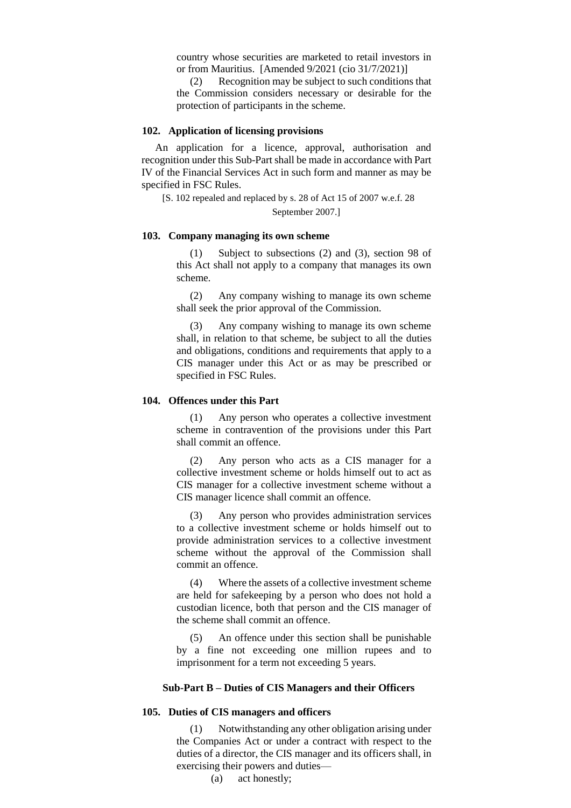country whose securities are marketed to retail investors in or from Mauritius. [Amended 9/2021 (cio 31/7/2021)]

(2) Recognition may be subject to such conditions that the Commission considers necessary or desirable for the protection of participants in the scheme.

### **102. Application of licensing provisions**

An application for a licence, approval, authorisation and recognition under this Sub-Part shall be made in accordance with Part IV of the Financial Services Act in such form and manner as may be specified in FSC Rules.

[S. 102 repealed and replaced by s. 28 of Act 15 of 2007 w.e.f. 28 September 2007.]

### **103. Company managing its own scheme**

(1) Subject to subsections (2) and (3), section 98 of this Act shall not apply to a company that manages its own scheme.

(2) Any company wishing to manage its own scheme shall seek the prior approval of the Commission.

(3) Any company wishing to manage its own scheme shall, in relation to that scheme, be subject to all the duties and obligations, conditions and requirements that apply to a CIS manager under this Act or as may be prescribed or specified in FSC Rules.

# **104. Offences under this Part**

Any person who operates a collective investment scheme in contravention of the provisions under this Part shall commit an offence.

(2) Any person who acts as a CIS manager for a collective investment scheme or holds himself out to act as CIS manager for a collective investment scheme without a CIS manager licence shall commit an offence.

(3) Any person who provides administration services to a collective investment scheme or holds himself out to provide administration services to a collective investment scheme without the approval of the Commission shall commit an offence.

(4) Where the assets of a collective investment scheme are held for safekeeping by a person who does not hold a custodian licence, both that person and the CIS manager of the scheme shall commit an offence.

(5) An offence under this section shall be punishable by a fine not exceeding one million rupees and to imprisonment for a term not exceeding 5 years.

# **Sub-Part B – Duties of CIS Managers and their Officers**

### **105. Duties of CIS managers and officers**

(1) Notwithstanding any other obligation arising under the Companies Act or under a contract with respect to the duties of a director, the CIS manager and its officers shall, in exercising their powers and duties—

(a) act honestly;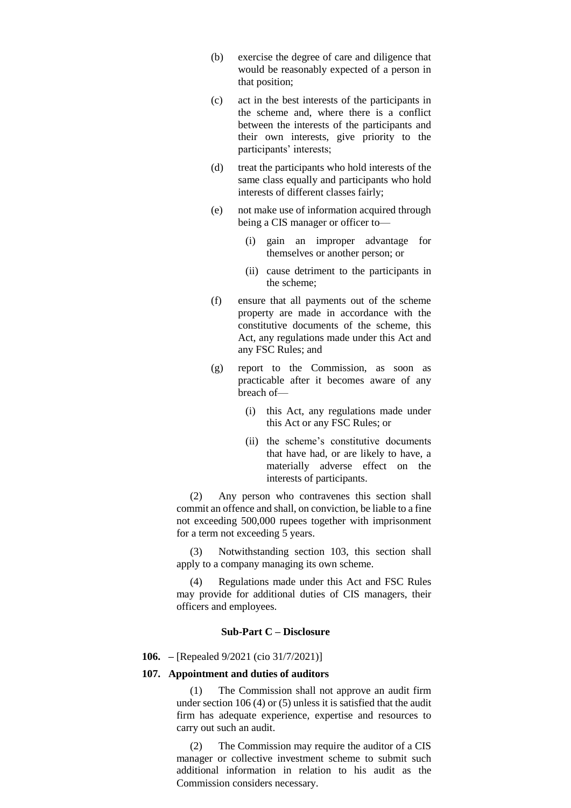- (b) exercise the degree of care and diligence that would be reasonably expected of a person in that position;
- (c) act in the best interests of the participants in the scheme and, where there is a conflict between the interests of the participants and their own interests, give priority to the participants' interests;
- (d) treat the participants who hold interests of the same class equally and participants who hold interests of different classes fairly;
- (e) not make use of information acquired through being a CIS manager or officer to—
	- (i) gain an improper advantage for themselves or another person; or
	- (ii) cause detriment to the participants in the scheme;
- (f) ensure that all payments out of the scheme property are made in accordance with the constitutive documents of the scheme, this Act, any regulations made under this Act and any FSC Rules; and
- (g) report to the Commission, as soon as practicable after it becomes aware of any breach of—
	- (i) this Act, any regulations made under this Act or any FSC Rules; or
	- (ii) the scheme's constitutive documents that have had, or are likely to have, a materially adverse effect on the interests of participants.

(2) Any person who contravenes this section shall commit an offence and shall, on conviction, be liable to a fine not exceeding 500,000 rupees together with imprisonment for a term not exceeding 5 years.

(3) Notwithstanding section 103, this section shall apply to a company managing its own scheme.

(4) Regulations made under this Act and FSC Rules may provide for additional duties of CIS managers, their officers and employees.

# **Sub-Part C – Disclosure**

#### **106. –** [Repealed 9/2021 (cio 31/7/2021)]

### **107. Appointment and duties of auditors**

(1) The Commission shall not approve an audit firm under section 106 (4) or (5) unless it is satisfied that the audit firm has adequate experience, expertise and resources to carry out such an audit.

(2) The Commission may require the auditor of a CIS manager or collective investment scheme to submit such additional information in relation to his audit as the Commission considers necessary.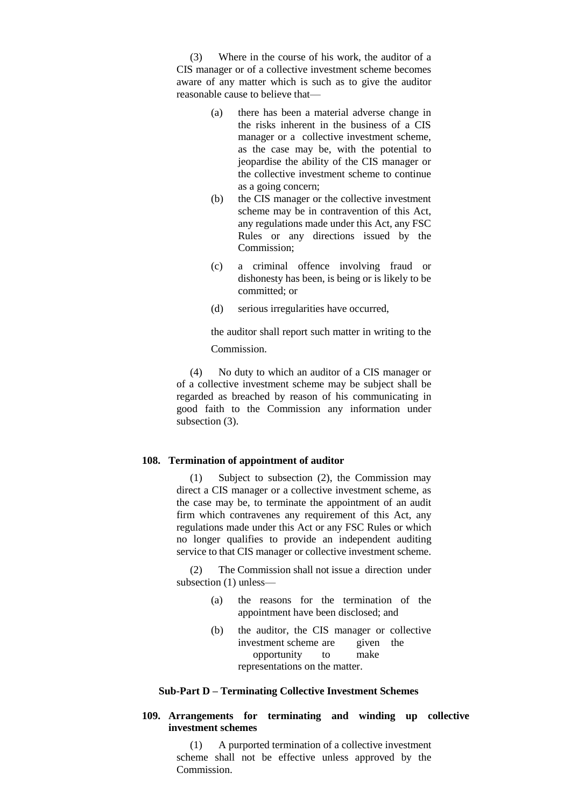(3) Where in the course of his work, the auditor of a CIS manager or of a collective investment scheme becomes aware of any matter which is such as to give the auditor reasonable cause to believe that—

- (a) there has been a material adverse change in the risks inherent in the business of a CIS manager or a collective investment scheme, as the case may be, with the potential to jeopardise the ability of the CIS manager or the collective investment scheme to continue as a going concern;
- (b) the CIS manager or the collective investment scheme may be in contravention of this Act, any regulations made under this Act, any FSC Rules or any directions issued by the Commission;
- (c) a criminal offence involving fraud or dishonesty has been, is being or is likely to be committed; or
- (d) serious irregularities have occurred,

the auditor shall report such matter in writing to the Commission.

(4) No duty to which an auditor of a CIS manager or of a collective investment scheme may be subject shall be regarded as breached by reason of his communicating in good faith to the Commission any information under subsection (3).

### **108. Termination of appointment of auditor**

(1) Subject to subsection (2), the Commission may direct a CIS manager or a collective investment scheme, as the case may be, to terminate the appointment of an audit firm which contravenes any requirement of this Act, any regulations made under this Act or any FSC Rules or which no longer qualifies to provide an independent auditing service to that CIS manager or collective investment scheme.

(2) The Commission shall not issue a direction under subsection (1) unless—

- (a) the reasons for the termination of the appointment have been disclosed; and
- (b) the auditor, the CIS manager or collective investment scheme are given the opportunity to make representations on the matter.

### **Sub-Part D – Terminating Collective Investment Schemes**

# **109. Arrangements for terminating and winding up collective investment schemes**

(1) A purported termination of a collective investment scheme shall not be effective unless approved by the Commission.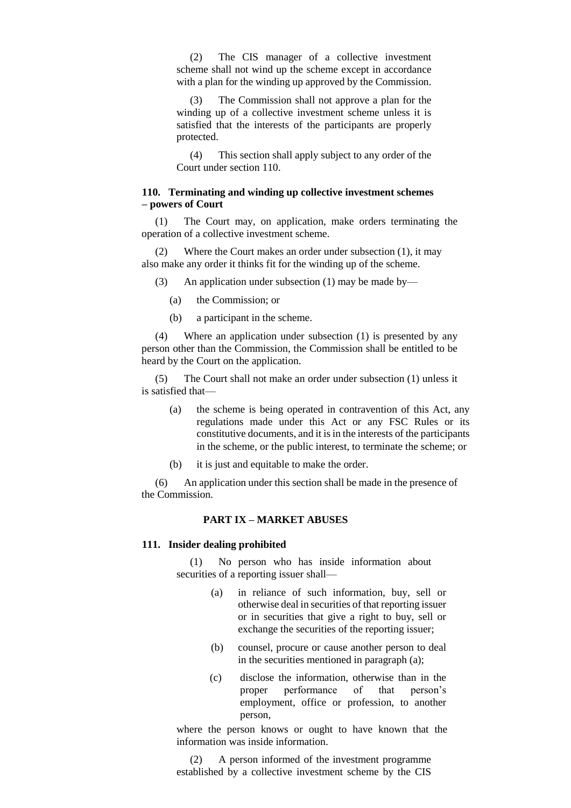(2) The CIS manager of a collective investment scheme shall not wind up the scheme except in accordance with a plan for the winding up approved by the Commission.

(3) The Commission shall not approve a plan for the winding up of a collective investment scheme unless it is satisfied that the interests of the participants are properly protected.

(4) This section shall apply subject to any order of the Court under section 110.

# **110. Terminating and winding up collective investment schemes – powers of Court**

(1) The Court may, on application, make orders terminating the operation of a collective investment scheme.

(2) Where the Court makes an order under subsection (1), it may also make any order it thinks fit for the winding up of the scheme.

(3) An application under subsection (1) may be made by—

- (a) the Commission; or
- (b) a participant in the scheme.

(4) Where an application under subsection (1) is presented by any person other than the Commission, the Commission shall be entitled to be heard by the Court on the application.

(5) The Court shall not make an order under subsection (1) unless it is satisfied that—

- (a) the scheme is being operated in contravention of this Act, any regulations made under this Act or any FSC Rules or its constitutive documents, and it is in the interests of the participants in the scheme, or the public interest, to terminate the scheme; or
- (b) it is just and equitable to make the order.

(6) An application under this section shall be made in the presence of the Commission.

# **PART IX – MARKET ABUSES**

#### **111. Insider dealing prohibited**

(1) No person who has inside information about securities of a reporting issuer shall—

- (a) in reliance of such information, buy, sell or otherwise deal in securities of that reporting issuer or in securities that give a right to buy, sell or exchange the securities of the reporting issuer;
- (b) counsel, procure or cause another person to deal in the securities mentioned in paragraph (a);
- (c) disclose the information, otherwise than in the proper performance of that person's employment, office or profession, to another person,

where the person knows or ought to have known that the information was inside information.

(2) A person informed of the investment programme established by a collective investment scheme by the CIS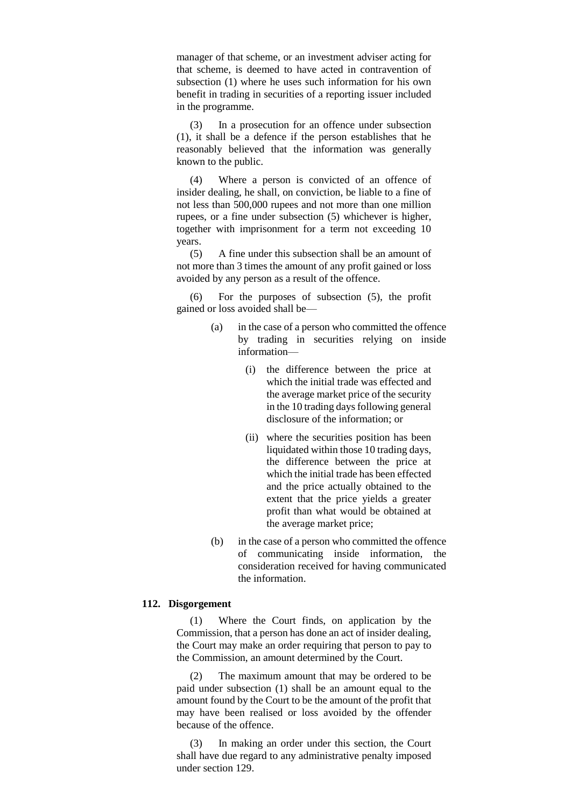manager of that scheme, or an investment adviser acting for that scheme, is deemed to have acted in contravention of subsection (1) where he uses such information for his own benefit in trading in securities of a reporting issuer included in the programme.

(3) In a prosecution for an offence under subsection (1), it shall be a defence if the person establishes that he reasonably believed that the information was generally known to the public.

(4) Where a person is convicted of an offence of insider dealing, he shall, on conviction, be liable to a fine of not less than 500,000 rupees and not more than one million rupees, or a fine under subsection (5) whichever is higher, together with imprisonment for a term not exceeding 10 years.

(5) A fine under this subsection shall be an amount of not more than 3 times the amount of any profit gained or loss avoided by any person as a result of the offence.

(6) For the purposes of subsection (5), the profit gained or loss avoided shall be—

- (a) in the case of a person who committed the offence by trading in securities relying on inside information—
	- (i) the difference between the price at which the initial trade was effected and the average market price of the security in the 10 trading days following general disclosure of the information; or
	- (ii) where the securities position has been liquidated within those 10 trading days, the difference between the price at which the initial trade has been effected and the price actually obtained to the extent that the price yields a greater profit than what would be obtained at the average market price;
- (b) in the case of a person who committed the offence of communicating inside information, the consideration received for having communicated the information.

### **112. Disgorgement**

(1) Where the Court finds, on application by the Commission, that a person has done an act of insider dealing, the Court may make an order requiring that person to pay to the Commission, an amount determined by the Court.

(2) The maximum amount that may be ordered to be paid under subsection (1) shall be an amount equal to the amount found by the Court to be the amount of the profit that may have been realised or loss avoided by the offender because of the offence.

(3) In making an order under this section, the Court shall have due regard to any administrative penalty imposed under section 129.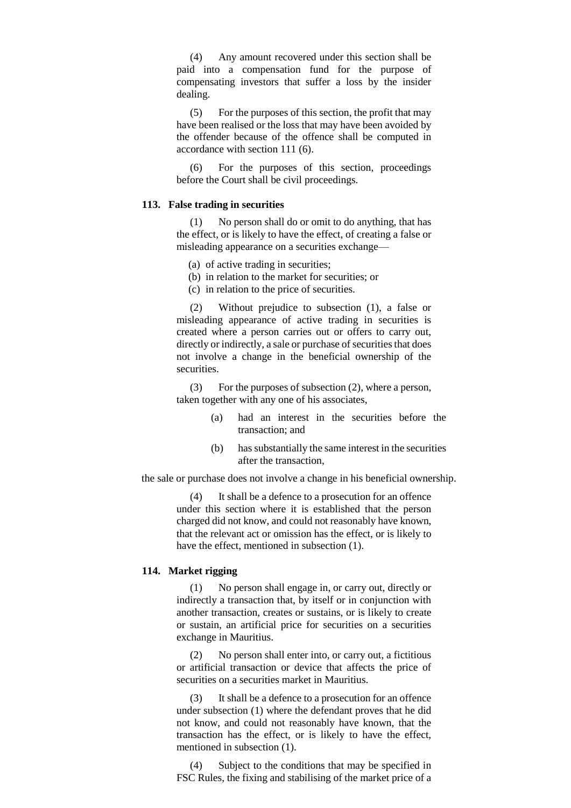(4) Any amount recovered under this section shall be paid into a compensation fund for the purpose of compensating investors that suffer a loss by the insider dealing.

(5) For the purposes of this section, the profit that may have been realised or the loss that may have been avoided by the offender because of the offence shall be computed in accordance with section 111 (6).

(6) For the purposes of this section, proceedings before the Court shall be civil proceedings.

### **113. False trading in securities**

(1) No person shall do or omit to do anything, that has the effect, or is likely to have the effect, of creating a false or misleading appearance on a securities exchange—

(a) of active trading in securities;

- (b) in relation to the market for securities; or
- (c) in relation to the price of securities.

(2) Without prejudice to subsection (1), a false or misleading appearance of active trading in securities is created where a person carries out or offers to carry out, directly or indirectly, a sale or purchase of securities that does not involve a change in the beneficial ownership of the securities.

(3) For the purposes of subsection (2), where a person, taken together with any one of his associates,

- (a) had an interest in the securities before the transaction; and
- (b) has substantially the same interest in the securities after the transaction,

the sale or purchase does not involve a change in his beneficial ownership.

(4) It shall be a defence to a prosecution for an offence under this section where it is established that the person charged did not know, and could not reasonably have known, that the relevant act or omission has the effect, or is likely to have the effect, mentioned in subsection (1).

### **114. Market rigging**

(1) No person shall engage in, or carry out, directly or indirectly a transaction that, by itself or in conjunction with another transaction, creates or sustains, or is likely to create or sustain, an artificial price for securities on a securities exchange in Mauritius.

(2) No person shall enter into, or carry out, a fictitious or artificial transaction or device that affects the price of securities on a securities market in Mauritius.

(3) It shall be a defence to a prosecution for an offence under subsection (1) where the defendant proves that he did not know, and could not reasonably have known, that the transaction has the effect, or is likely to have the effect, mentioned in subsection (1).

(4) Subject to the conditions that may be specified in FSC Rules, the fixing and stabilising of the market price of a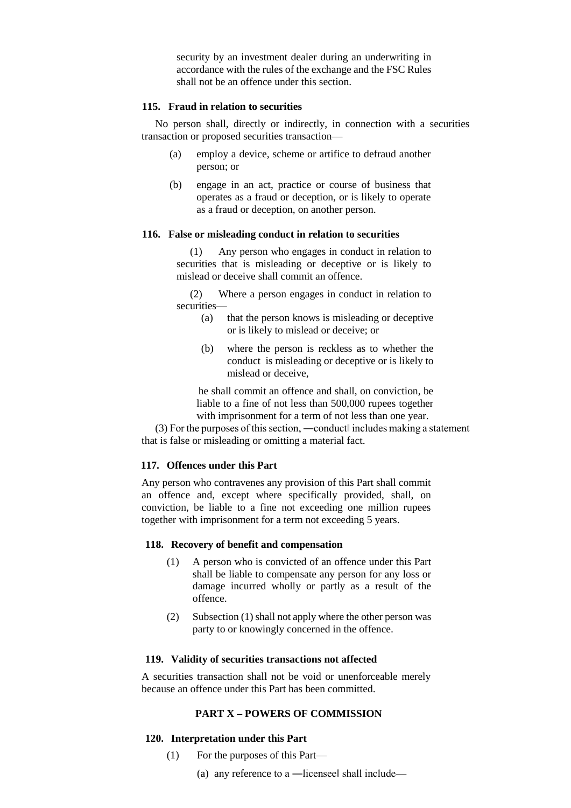security by an investment dealer during an underwriting in accordance with the rules of the exchange and the FSC Rules shall not be an offence under this section.

### **115. Fraud in relation to securities**

No person shall, directly or indirectly, in connection with a securities transaction or proposed securities transaction—

- (a) employ a device, scheme or artifice to defraud another person; or
- (b) engage in an act, practice or course of business that operates as a fraud or deception, or is likely to operate as a fraud or deception, on another person.

### **116. False or misleading conduct in relation to securities**

(1) Any person who engages in conduct in relation to securities that is misleading or deceptive or is likely to mislead or deceive shall commit an offence.

(2) Where a person engages in conduct in relation to securities—

- (a) that the person knows is misleading or deceptive or is likely to mislead or deceive; or
- (b) where the person is reckless as to whether the conduct is misleading or deceptive or is likely to mislead or deceive,

he shall commit an offence and shall, on conviction, be liable to a fine of not less than 500,000 rupees together with imprisonment for a term of not less than one year.

(3) For the purposes of this section, ―conduct‖ includes making a statement that is false or misleading or omitting a material fact.

# **117. Offences under this Part**

Any person who contravenes any provision of this Part shall commit an offence and, except where specifically provided, shall, on conviction, be liable to a fine not exceeding one million rupees together with imprisonment for a term not exceeding 5 years.

### **118. Recovery of benefit and compensation**

- (1) A person who is convicted of an offence under this Part shall be liable to compensate any person for any loss or damage incurred wholly or partly as a result of the offence.
- (2) Subsection (1) shall not apply where the other person was party to or knowingly concerned in the offence.

### **119. Validity of securities transactions not affected**

A securities transaction shall not be void or unenforceable merely because an offence under this Part has been committed.

# **PART X – POWERS OF COMMISSION**

### **120. Interpretation under this Part**

- (1) For the purposes of this Part—
	- (a) any reference to a ―licensee‖ shall include—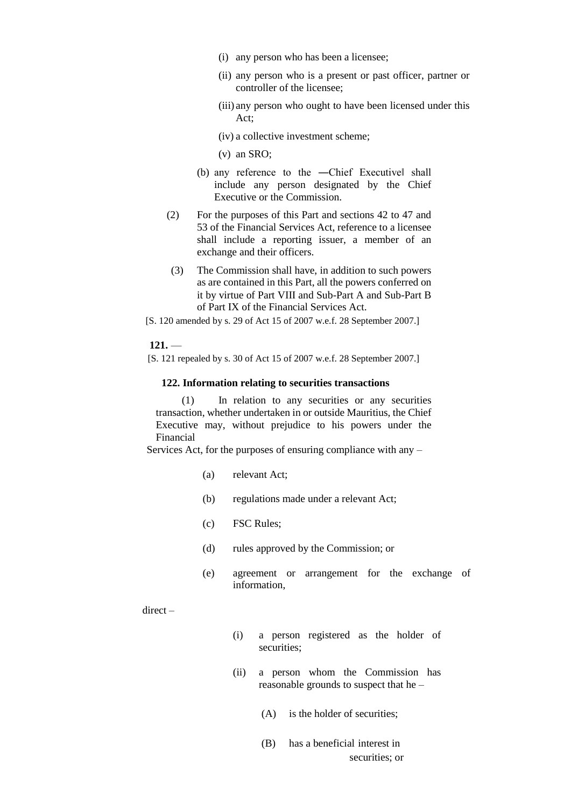- (i) any person who has been a licensee;
- (ii) any person who is a present or past officer, partner or controller of the licensee;
- (iii) any person who ought to have been licensed under this Act;
- (iv) a collective investment scheme;
- (v) an SRO;
- (b) any reference to the -Chief Executive shall include any person designated by the Chief Executive or the Commission.
- (2) For the purposes of this Part and sections 42 to 47 and 53 of the Financial Services Act, reference to a licensee shall include a reporting issuer, a member of an exchange and their officers.
- (3) The Commission shall have, in addition to such powers as are contained in this Part, all the powers conferred on it by virtue of Part VIII and Sub-Part A and Sub-Part B of Part IX of the Financial Services Act.
- [S. 120 amended by s. 29 of Act 15 of 2007 w.e.f. 28 September 2007.]

 $121.$ 

[S. 121 repealed by s. 30 of Act 15 of 2007 w.e.f. 28 September 2007.]

### **122. Information relating to securities transactions**

(1) In relation to any securities or any securities transaction, whether undertaken in or outside Mauritius, the Chief Executive may, without prejudice to his powers under the Financial

Services Act, for the purposes of ensuring compliance with any –

- (a) relevant Act;
- (b) regulations made under a relevant Act;
- (c) FSC Rules;
- (d) rules approved by the Commission; or
- (e) agreement or arrangement for the exchange of information,

direct –

- (i) a person registered as the holder of securities;
- (ii) a person whom the Commission has reasonable grounds to suspect that he –
	- (A) is the holder of securities;
	- (B) has a beneficial interest in securities; or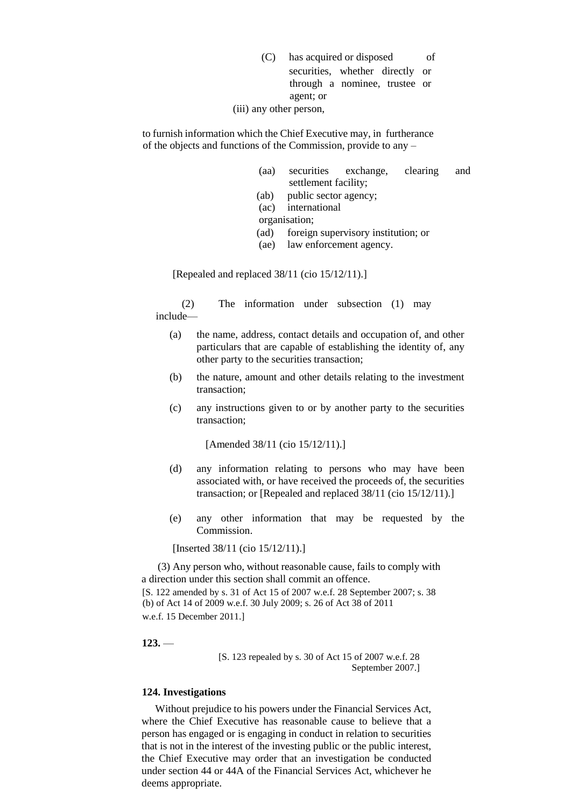- (C) has acquired or disposed of securities, whether directly or through a nominee, trustee or agent; or
- (iii) any other person,

to furnish information which the Chief Executive may, in furtherance of the objects and functions of the Commission, provide to any –

- (aa) securities exchange, clearing and settlement facility;
- (ab) public sector agency;
- (ac) international
- organisation;
- (ad) foreign supervisory institution; or
- (ae) law enforcement agency.

[Repealed and replaced 38/11 (cio 15/12/11).]

(2) The information under subsection (1) may include—

- (a) the name, address, contact details and occupation of, and other particulars that are capable of establishing the identity of, any other party to the securities transaction;
- (b) the nature, amount and other details relating to the investment transaction;
- (c) any instructions given to or by another party to the securities transaction;

[Amended 38/11 (cio 15/12/11).]

- (d) any information relating to persons who may have been associated with, or have received the proceeds of, the securities transaction; or [Repealed and replaced 38/11 (cio 15/12/11).]
- (e) any other information that may be requested by the Commission.

[Inserted 38/11 (cio 15/12/11).]

(3) Any person who, without reasonable cause, fails to comply with a direction under this section shall commit an offence. [S. 122 amended by s. 31 of Act 15 of 2007 w.e.f. 28 September 2007; s. 38 (b) of Act 14 of 2009 w.e.f. 30 July 2009; s. 26 of Act 38 of 2011 w.e.f. 15 December 2011.]

**123.** —

[S. 123 repealed by s. 30 of Act 15 of 2007 w.e.f. 28 September 2007.]

### **124. Investigations**

Without prejudice to his powers under the Financial Services Act, where the Chief Executive has reasonable cause to believe that a person has engaged or is engaging in conduct in relation to securities that is not in the interest of the investing public or the public interest, the Chief Executive may order that an investigation be conducted under section 44 or 44A of the Financial Services Act, whichever he deems appropriate.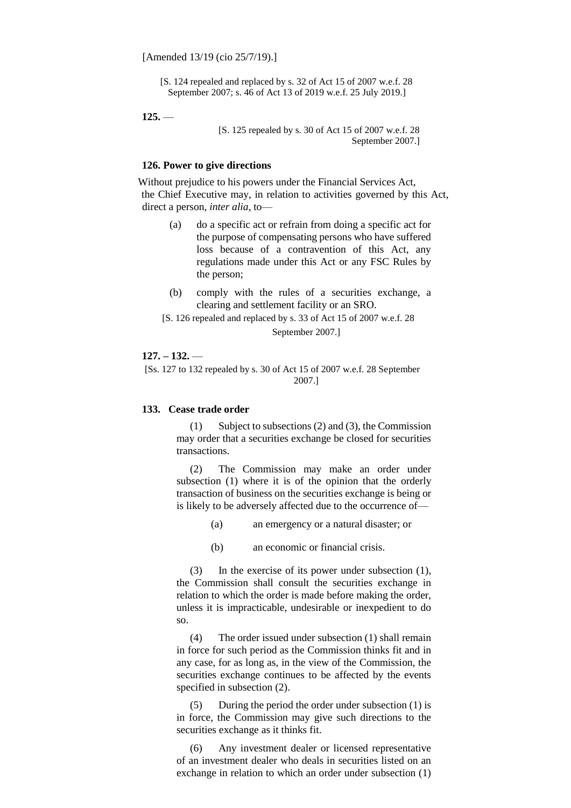[S. 124 repealed and replaced by s. 32 of Act 15 of 2007 w.e.f. 28 September 2007; s. 46 of Act 13 of 2019 w.e.f. 25 July 2019.]

 $125.$ 

[S. 125 repealed by s. 30 of Act 15 of 2007 w.e.f. 28 September 2007.]

### **126. Power to give directions**

Without prejudice to his powers under the Financial Services Act, the Chief Executive may, in relation to activities governed by this Act, direct a person, *inter alia*, to—

- (a) do a specific act or refrain from doing a specific act for the purpose of compensating persons who have suffered loss because of a contravention of this Act, any regulations made under this Act or any FSC Rules by the person;
- (b) comply with the rules of a securities exchange, a clearing and settlement facility or an SRO.
- [S. 126 repealed and replaced by s. 33 of Act 15 of 2007 w.e.f. 28 September 2007.]

# **127. – 132.** —

[Ss. 127 to 132 repealed by s. 30 of Act 15 of 2007 w.e.f. 28 September 2007.]

### **133. Cease trade order**

(1) Subject to subsections (2) and (3), the Commission may order that a securities exchange be closed for securities transactions.

(2) The Commission may make an order under subsection (1) where it is of the opinion that the orderly transaction of business on the securities exchange is being or is likely to be adversely affected due to the occurrence of—

(a) an emergency or a natural disaster; or

(b) an economic or financial crisis.

(3) In the exercise of its power under subsection (1), the Commission shall consult the securities exchange in relation to which the order is made before making the order, unless it is impracticable, undesirable or inexpedient to do so.

(4) The order issued under subsection (1) shall remain in force for such period as the Commission thinks fit and in any case, for as long as, in the view of the Commission, the securities exchange continues to be affected by the events specified in subsection (2).

(5) During the period the order under subsection (1) is in force, the Commission may give such directions to the securities exchange as it thinks fit.

(6) Any investment dealer or licensed representative of an investment dealer who deals in securities listed on an exchange in relation to which an order under subsection (1)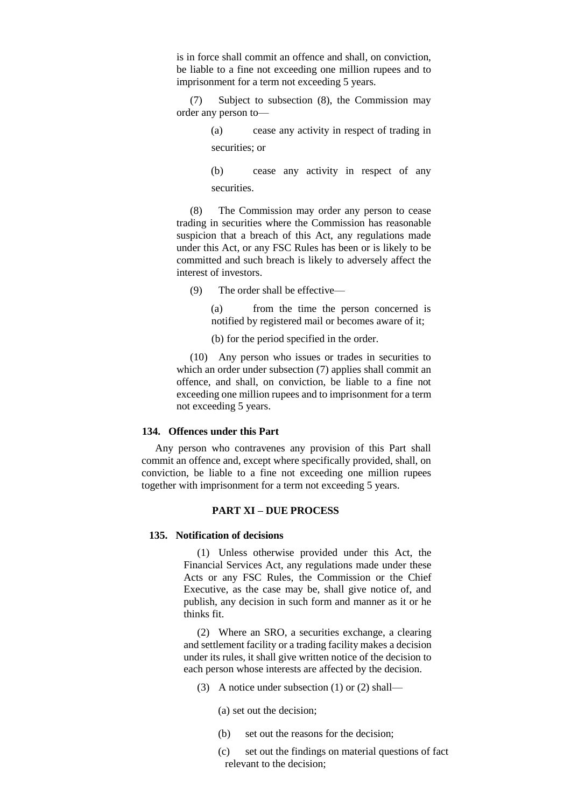is in force shall commit an offence and shall, on conviction, be liable to a fine not exceeding one million rupees and to imprisonment for a term not exceeding 5 years.

(7) Subject to subsection (8), the Commission may order any person to—

> (a) cease any activity in respect of trading in securities; or

> (b) cease any activity in respect of any securities.

(8) The Commission may order any person to cease trading in securities where the Commission has reasonable suspicion that a breach of this Act, any regulations made under this Act, or any FSC Rules has been or is likely to be committed and such breach is likely to adversely affect the interest of investors.

(9) The order shall be effective—

(a) from the time the person concerned is notified by registered mail or becomes aware of it;

(b) for the period specified in the order.

(10) Any person who issues or trades in securities to which an order under subsection (7) applies shall commit an offence, and shall, on conviction, be liable to a fine not exceeding one million rupees and to imprisonment for a term not exceeding 5 years.

### **134. Offences under this Part**

Any person who contravenes any provision of this Part shall commit an offence and, except where specifically provided, shall, on conviction, be liable to a fine not exceeding one million rupees together with imprisonment for a term not exceeding 5 years.

# **PART XI – DUE PROCESS**

#### **135. Notification of decisions**

(1) Unless otherwise provided under this Act, the Financial Services Act, any regulations made under these Acts or any FSC Rules, the Commission or the Chief Executive, as the case may be, shall give notice of, and publish, any decision in such form and manner as it or he thinks fit.

(2) Where an SRO, a securities exchange, a clearing and settlement facility or a trading facility makes a decision under its rules, it shall give written notice of the decision to each person whose interests are affected by the decision.

- (3) A notice under subsection (1) or (2) shall—
	- (a) set out the decision;
	- (b) set out the reasons for the decision;
	- (c) set out the findings on material questions of fact relevant to the decision;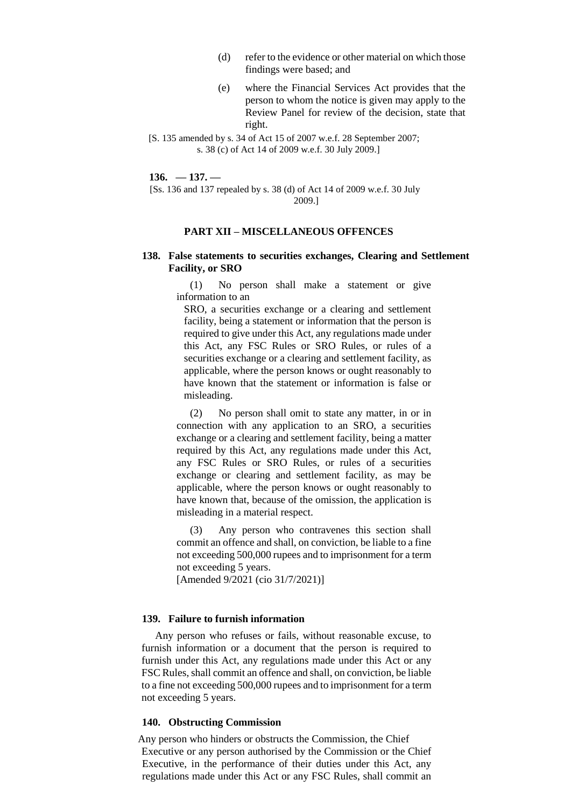- (d) refer to the evidence or other material on which those findings were based; and
- (e) where the Financial Services Act provides that the person to whom the notice is given may apply to the Review Panel for review of the decision, state that right.
- [S. 135 amended by s. 34 of Act 15 of 2007 w.e.f. 28 September 2007; s. 38 (c) of Act 14 of 2009 w.e.f. 30 July 2009.]

 $136. -137.$ 

[Ss. 136 and 137 repealed by s. 38 (d) of Act 14 of 2009 w.e.f. 30 July 2009.]

### **PART XII – MISCELLANEOUS OFFENCES**

# **138. False statements to securities exchanges, Clearing and Settlement Facility, or SRO**

(1) No person shall make a statement or give information to an

SRO, a securities exchange or a clearing and settlement facility, being a statement or information that the person is required to give under this Act, any regulations made under this Act, any FSC Rules or SRO Rules, or rules of a securities exchange or a clearing and settlement facility, as applicable, where the person knows or ought reasonably to have known that the statement or information is false or misleading.

(2) No person shall omit to state any matter, in or in connection with any application to an SRO, a securities exchange or a clearing and settlement facility, being a matter required by this Act, any regulations made under this Act, any FSC Rules or SRO Rules, or rules of a securities exchange or clearing and settlement facility, as may be applicable, where the person knows or ought reasonably to have known that, because of the omission, the application is misleading in a material respect.

(3) Any person who contravenes this section shall commit an offence and shall, on conviction, be liable to a fine not exceeding 500,000 rupees and to imprisonment for a term not exceeding 5 years.

[Amended 9/2021 (cio 31/7/2021)]

#### **139. Failure to furnish information**

Any person who refuses or fails, without reasonable excuse, to furnish information or a document that the person is required to furnish under this Act, any regulations made under this Act or any FSC Rules, shall commit an offence and shall, on conviction, be liable to a fine not exceeding 500,000 rupees and to imprisonment for a term not exceeding 5 years.

#### **140. Obstructing Commission**

Any person who hinders or obstructs the Commission, the Chief Executive or any person authorised by the Commission or the Chief Executive, in the performance of their duties under this Act, any regulations made under this Act or any FSC Rules, shall commit an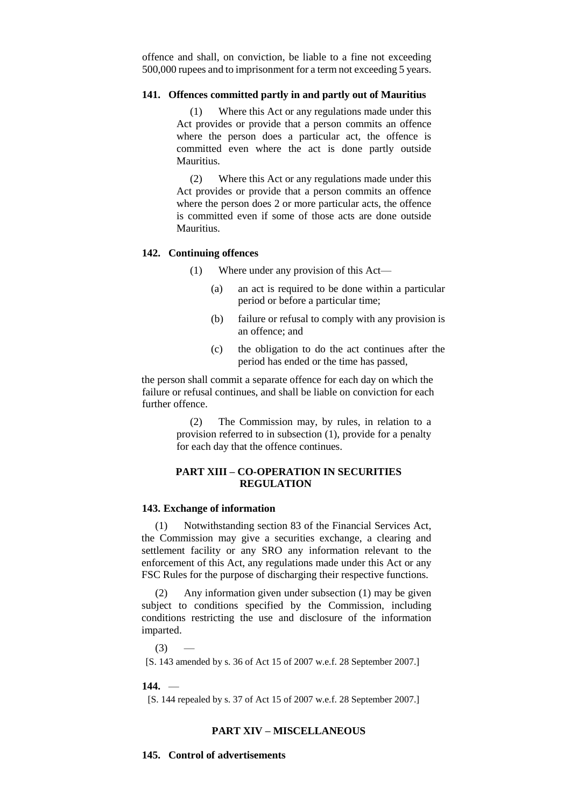offence and shall, on conviction, be liable to a fine not exceeding 500,000 rupees and to imprisonment for a term not exceeding 5 years.

### **141. Offences committed partly in and partly out of Mauritius**

(1) Where this Act or any regulations made under this Act provides or provide that a person commits an offence where the person does a particular act, the offence is committed even where the act is done partly outside Mauritius.

(2) Where this Act or any regulations made under this Act provides or provide that a person commits an offence where the person does 2 or more particular acts, the offence is committed even if some of those acts are done outside Mauritius.

### **142. Continuing offences**

(1) Where under any provision of this Act—

- (a) an act is required to be done within a particular period or before a particular time;
- (b) failure or refusal to comply with any provision is an offence; and
- (c) the obligation to do the act continues after the period has ended or the time has passed,

the person shall commit a separate offence for each day on which the failure or refusal continues, and shall be liable on conviction for each further offence.

> (2) The Commission may, by rules, in relation to a provision referred to in subsection (1), provide for a penalty for each day that the offence continues.

# **PART XIII – CO-OPERATION IN SECURITIES REGULATION**

### **143. Exchange of information**

(1) Notwithstanding section 83 of the Financial Services Act, the Commission may give a securities exchange, a clearing and settlement facility or any SRO any information relevant to the enforcement of this Act, any regulations made under this Act or any FSC Rules for the purpose of discharging their respective functions.

(2) Any information given under subsection (1) may be given subject to conditions specified by the Commission, including conditions restricting the use and disclosure of the information imparted.

 $(3)$ 

[S. 143 amended by s. 36 of Act 15 of 2007 w.e.f. 28 September 2007.]

#### **144.** —

[S. 144 repealed by s. 37 of Act 15 of 2007 w.e.f. 28 September 2007.]

# **PART XIV – MISCELLANEOUS**

**145. Control of advertisements**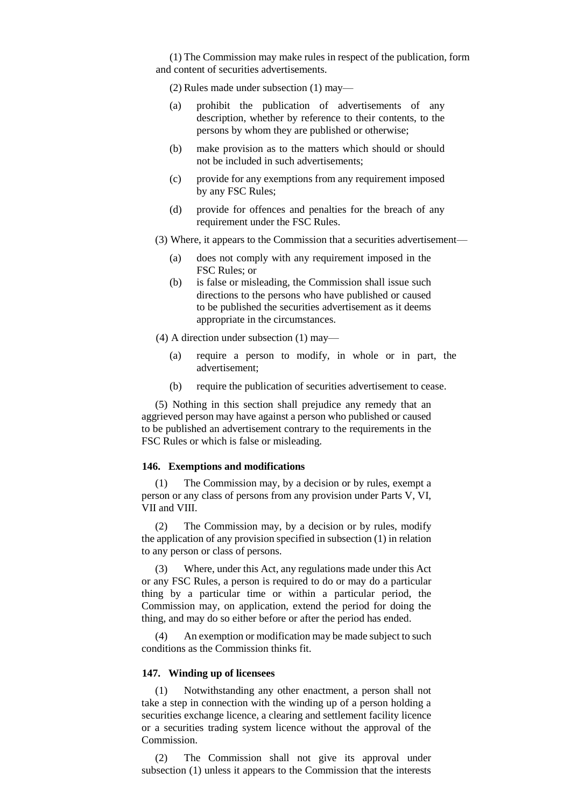(1) The Commission may make rules in respect of the publication, form and content of securities advertisements.

(2) Rules made under subsection (1) may—

- (a) prohibit the publication of advertisements of any description, whether by reference to their contents, to the persons by whom they are published or otherwise;
- (b) make provision as to the matters which should or should not be included in such advertisements;
- (c) provide for any exemptions from any requirement imposed by any FSC Rules;
- (d) provide for offences and penalties for the breach of any requirement under the FSC Rules.
- (3) Where, it appears to the Commission that a securities advertisement—
	- (a) does not comply with any requirement imposed in the FSC Rules; or
	- (b) is false or misleading, the Commission shall issue such directions to the persons who have published or caused to be published the securities advertisement as it deems appropriate in the circumstances.

(4) A direction under subsection (1) may—

- (a) require a person to modify, in whole or in part, the advertisement;
- (b) require the publication of securities advertisement to cease.

(5) Nothing in this section shall prejudice any remedy that an aggrieved person may have against a person who published or caused to be published an advertisement contrary to the requirements in the FSC Rules or which is false or misleading.

### **146. Exemptions and modifications**

(1) The Commission may, by a decision or by rules, exempt a person or any class of persons from any provision under Parts V, VI, VII and VIII.

(2) The Commission may, by a decision or by rules, modify the application of any provision specified in subsection (1) in relation to any person or class of persons.

(3) Where, under this Act, any regulations made under this Act or any FSC Rules, a person is required to do or may do a particular thing by a particular time or within a particular period, the Commission may, on application, extend the period for doing the thing, and may do so either before or after the period has ended.

(4) An exemption or modification may be made subject to such conditions as the Commission thinks fit.

### **147. Winding up of licensees**

(1) Notwithstanding any other enactment, a person shall not take a step in connection with the winding up of a person holding a securities exchange licence, a clearing and settlement facility licence or a securities trading system licence without the approval of the Commission.

(2) The Commission shall not give its approval under subsection (1) unless it appears to the Commission that the interests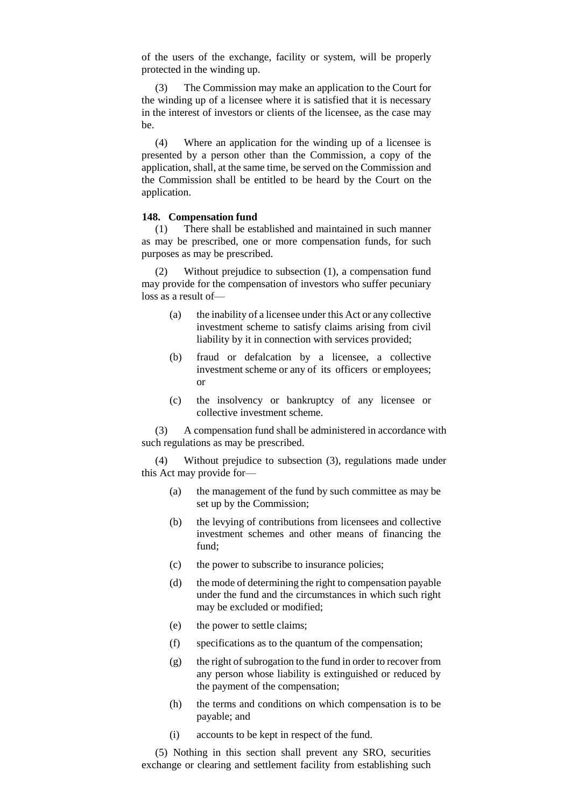of the users of the exchange, facility or system, will be properly protected in the winding up.

(3) The Commission may make an application to the Court for the winding up of a licensee where it is satisfied that it is necessary in the interest of investors or clients of the licensee, as the case may be.

(4) Where an application for the winding up of a licensee is presented by a person other than the Commission, a copy of the application, shall, at the same time, be served on the Commission and the Commission shall be entitled to be heard by the Court on the application.

# **148. Compensation fund**

(1) There shall be established and maintained in such manner as may be prescribed, one or more compensation funds, for such purposes as may be prescribed.

Without prejudice to subsection (1), a compensation fund may provide for the compensation of investors who suffer pecuniary loss as a result of—

- (a) the inability of a licensee under this Act or any collective investment scheme to satisfy claims arising from civil liability by it in connection with services provided;
- (b) fraud or defalcation by a licensee, a collective investment scheme or any of its officers or employees; or
- (c) the insolvency or bankruptcy of any licensee or collective investment scheme.

(3) A compensation fund shall be administered in accordance with such regulations as may be prescribed.

(4) Without prejudice to subsection (3), regulations made under this Act may provide for—

- (a) the management of the fund by such committee as may be set up by the Commission;
- (b) the levying of contributions from licensees and collective investment schemes and other means of financing the fund;
- (c) the power to subscribe to insurance policies;
- (d) the mode of determining the right to compensation payable under the fund and the circumstances in which such right may be excluded or modified;
- (e) the power to settle claims;
- (f) specifications as to the quantum of the compensation;
- (g) the right of subrogation to the fund in order to recover from any person whose liability is extinguished or reduced by the payment of the compensation;
- (h) the terms and conditions on which compensation is to be payable; and
- (i) accounts to be kept in respect of the fund.

(5) Nothing in this section shall prevent any SRO, securities exchange or clearing and settlement facility from establishing such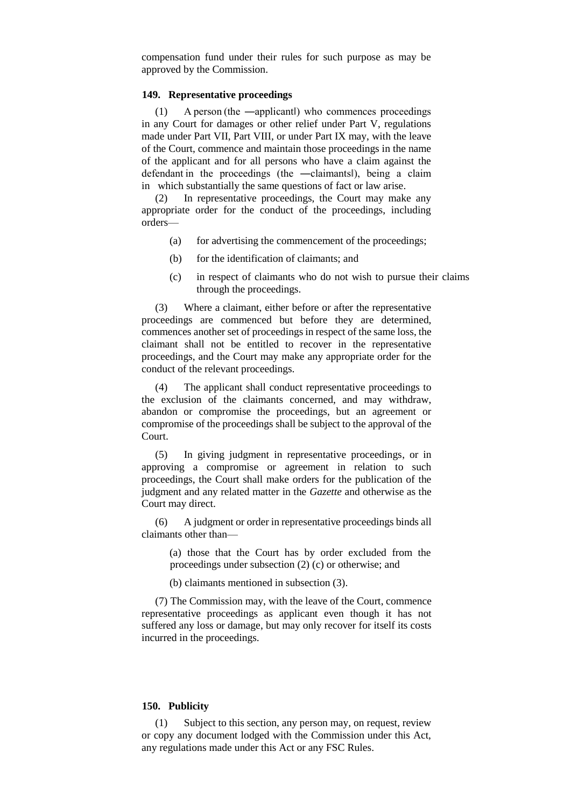compensation fund under their rules for such purpose as may be approved by the Commission.

### **149. Representative proceedings**

(1) A person (the ―applicant‖) who commences proceedings in any Court for damages or other relief under Part V, regulations made under Part VII, Part VIII, or under Part IX may, with the leave of the Court, commence and maintain those proceedings in the name of the applicant and for all persons who have a claim against the defendant in the proceedings (the ―claimants‖), being a claim in which substantially the same questions of fact or law arise.

(2) In representative proceedings, the Court may make any appropriate order for the conduct of the proceedings, including orders—

- (a) for advertising the commencement of the proceedings;
- (b) for the identification of claimants; and
- (c) in respect of claimants who do not wish to pursue their claims through the proceedings.

(3) Where a claimant, either before or after the representative proceedings are commenced but before they are determined, commences another set of proceedings in respect of the same loss, the claimant shall not be entitled to recover in the representative proceedings, and the Court may make any appropriate order for the conduct of the relevant proceedings.

(4) The applicant shall conduct representative proceedings to the exclusion of the claimants concerned, and may withdraw, abandon or compromise the proceedings, but an agreement or compromise of the proceedings shall be subject to the approval of the Court.

(5) In giving judgment in representative proceedings, or in approving a compromise or agreement in relation to such proceedings, the Court shall make orders for the publication of the judgment and any related matter in the *Gazette* and otherwise as the Court may direct.

(6) A judgment or order in representative proceedings binds all claimants other than—

(a) those that the Court has by order excluded from the proceedings under subsection (2) (c) or otherwise; and

(b) claimants mentioned in subsection (3).

(7) The Commission may, with the leave of the Court, commence representative proceedings as applicant even though it has not suffered any loss or damage, but may only recover for itself its costs incurred in the proceedings.

### **150. Publicity**

(1) Subject to this section, any person may, on request, review or copy any document lodged with the Commission under this Act, any regulations made under this Act or any FSC Rules.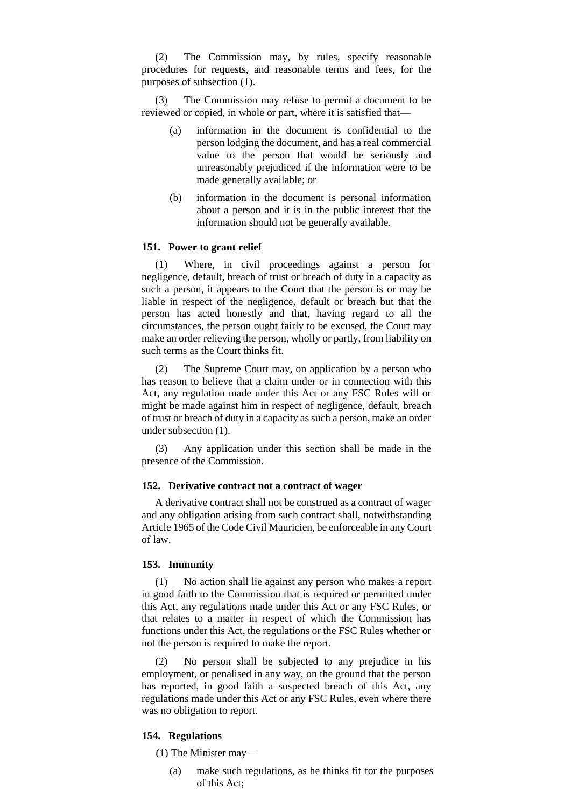(2) The Commission may, by rules, specify reasonable procedures for requests, and reasonable terms and fees, for the purposes of subsection (1).

(3) The Commission may refuse to permit a document to be reviewed or copied, in whole or part, where it is satisfied that—

- (a) information in the document is confidential to the person lodging the document, and has a real commercial value to the person that would be seriously and unreasonably prejudiced if the information were to be made generally available; or
- (b) information in the document is personal information about a person and it is in the public interest that the information should not be generally available.

### **151. Power to grant relief**

(1) Where, in civil proceedings against a person for negligence, default, breach of trust or breach of duty in a capacity as such a person, it appears to the Court that the person is or may be liable in respect of the negligence, default or breach but that the person has acted honestly and that, having regard to all the circumstances, the person ought fairly to be excused, the Court may make an order relieving the person, wholly or partly, from liability on such terms as the Court thinks fit.

(2) The Supreme Court may, on application by a person who has reason to believe that a claim under or in connection with this Act, any regulation made under this Act or any FSC Rules will or might be made against him in respect of negligence, default, breach of trust or breach of duty in a capacity as such a person, make an order under subsection (1).

(3) Any application under this section shall be made in the presence of the Commission.

### **152. Derivative contract not a contract of wager**

A derivative contract shall not be construed as a contract of wager and any obligation arising from such contract shall, notwithstanding Article 1965 of the Code Civil Mauricien, be enforceable in any Court of law.

# **153. Immunity**

(1) No action shall lie against any person who makes a report in good faith to the Commission that is required or permitted under this Act, any regulations made under this Act or any FSC Rules, or that relates to a matter in respect of which the Commission has functions under this Act, the regulations or the FSC Rules whether or not the person is required to make the report.

(2) No person shall be subjected to any prejudice in his employment, or penalised in any way, on the ground that the person has reported, in good faith a suspected breach of this Act, any regulations made under this Act or any FSC Rules, even where there was no obligation to report.

#### **154. Regulations**

- (1) The Minister may—
	- (a) make such regulations, as he thinks fit for the purposes of this Act;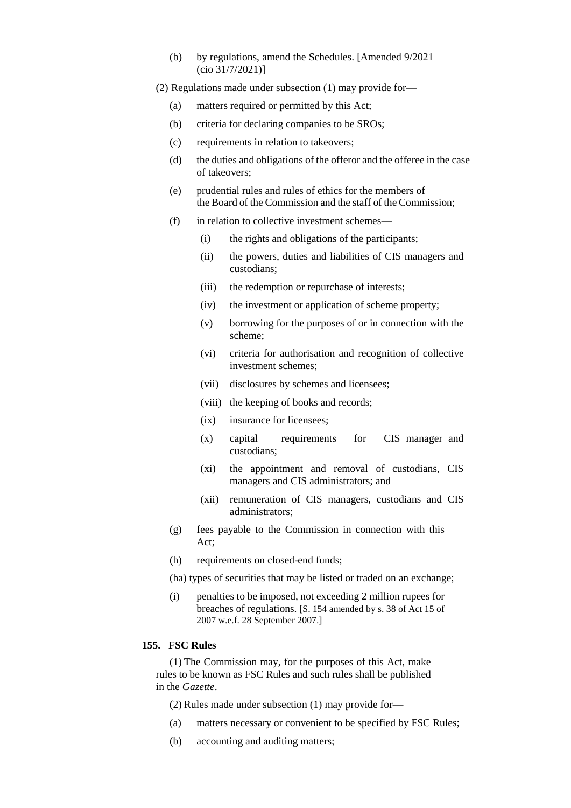(b) by regulations, amend the Schedules. [Amended 9/2021 (cio 31/7/2021)]

(2) Regulations made under subsection (1) may provide for—

- (a) matters required or permitted by this Act;
- (b) criteria for declaring companies to be SROs;
- (c) requirements in relation to takeovers;
- (d) the duties and obligations of the offeror and the offeree in the case of takeovers;
- (e) prudential rules and rules of ethics for the members of the Board of the Commission and the staff of the Commission;
- (f) in relation to collective investment schemes—
	- (i) the rights and obligations of the participants;
	- (ii) the powers, duties and liabilities of CIS managers and custodians;
	- (iii) the redemption or repurchase of interests;
	- (iv) the investment or application of scheme property;
	- (v) borrowing for the purposes of or in connection with the scheme;
	- (vi) criteria for authorisation and recognition of collective investment schemes;
	- (vii) disclosures by schemes and licensees;
	- (viii) the keeping of books and records;
	- (ix) insurance for licensees;
	- (x) capital requirements for CIS manager and custodians;
	- (xi) the appointment and removal of custodians, CIS managers and CIS administrators; and
	- (xii) remuneration of CIS managers, custodians and CIS administrators;
- (g) fees payable to the Commission in connection with this Act;
- (h) requirements on closed-end funds;

(ha) types of securities that may be listed or traded on an exchange;

(i) penalties to be imposed, not exceeding 2 million rupees for breaches of regulations. [S. 154 amended by s. 38 of Act 15 of 2007 w.e.f. 28 September 2007.]

# **155. FSC Rules**

(1) The Commission may, for the purposes of this Act, make rules to be known as FSC Rules and such rules shall be published in the *Gazette*.

(2) Rules made under subsection (1) may provide for—

- (a) matters necessary or convenient to be specified by FSC Rules;
- (b) accounting and auditing matters;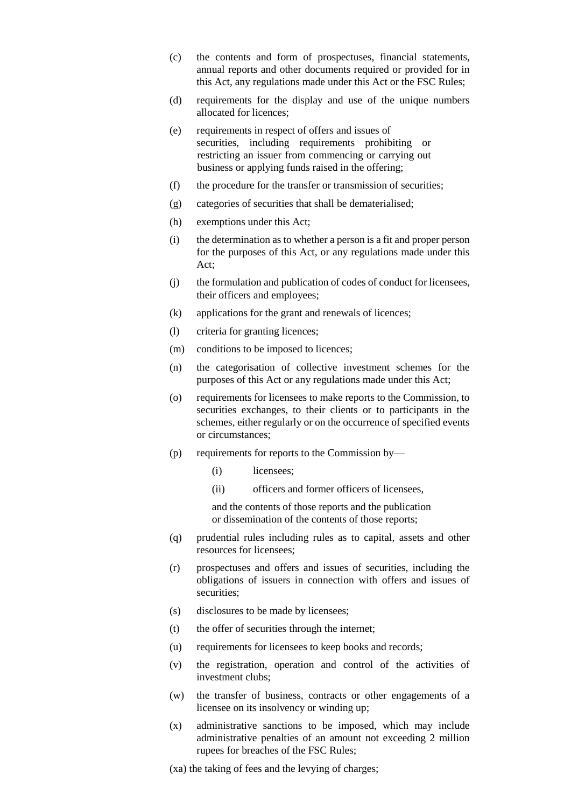- (c) the contents and form of prospectuses, financial statements, annual reports and other documents required or provided for in this Act, any regulations made under this Act or the FSC Rules;
- (d) requirements for the display and use of the unique numbers allocated for licences;
- (e) requirements in respect of offers and issues of securities, including requirements prohibiting or restricting an issuer from commencing or carrying out business or applying funds raised in the offering;
- (f) the procedure for the transfer or transmission of securities;
- (g) categories of securities that shall be dematerialised;
- (h) exemptions under this Act;
- (i) the determination as to whether a person is a fit and proper person for the purposes of this Act, or any regulations made under this Act;
- (j) the formulation and publication of codes of conduct for licensees, their officers and employees;
- (k) applications for the grant and renewals of licences;
- (l) criteria for granting licences;
- (m) conditions to be imposed to licences;
- (n) the categorisation of collective investment schemes for the purposes of this Act or any regulations made under this Act;
- (o) requirements for licensees to make reports to the Commission, to securities exchanges, to their clients or to participants in the schemes, either regularly or on the occurrence of specified events or circumstances;
- (p) requirements for reports to the Commission by—
	- (i) licensees;
	- (ii) officers and former officers of licensees,

and the contents of those reports and the publication or dissemination of the contents of those reports;

- (q) prudential rules including rules as to capital, assets and other resources for licensees;
- (r) prospectuses and offers and issues of securities, including the obligations of issuers in connection with offers and issues of securities;
- (s) disclosures to be made by licensees;
- (t) the offer of securities through the internet;
- (u) requirements for licensees to keep books and records;
- (v) the registration, operation and control of the activities of investment clubs;
- (w) the transfer of business, contracts or other engagements of a licensee on its insolvency or winding up;
- (x) administrative sanctions to be imposed, which may include administrative penalties of an amount not exceeding 2 million rupees for breaches of the FSC Rules;

(xa) the taking of fees and the levying of charges;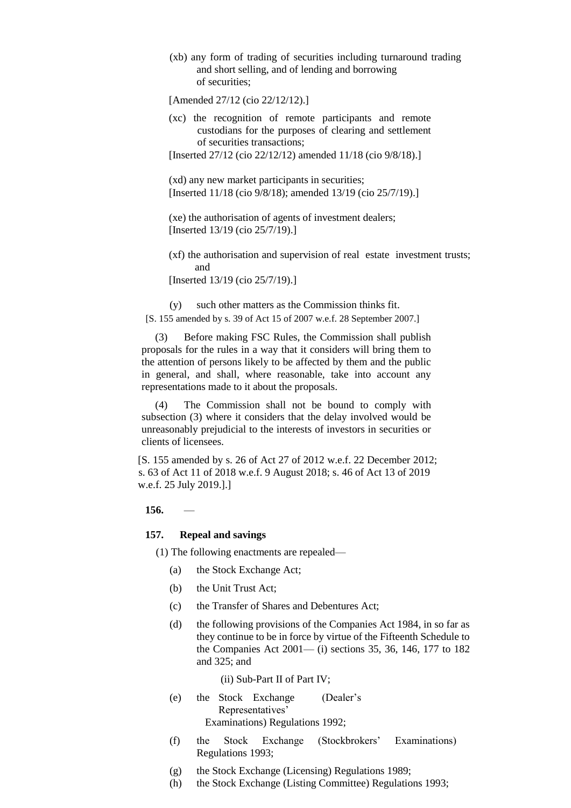(xb) any form of trading of securities including turnaround trading and short selling, and of lending and borrowing of securities;

[Amended 27/12 (cio 22/12/12).]

(xc) the recognition of remote participants and remote custodians for the purposes of clearing and settlement of securities transactions;

[Inserted 27/12 (cio 22/12/12) amended 11/18 (cio 9/8/18).]

(xd) any new market participants in securities; [Inserted 11/18 (cio 9/8/18); amended 13/19 (cio 25/7/19).]

(xe) the authorisation of agents of investment dealers; [Inserted 13/19 (cio 25/7/19).]

(xf) the authorisation and supervision of real estate investment trusts; and

[Inserted 13/19 (cio 25/7/19).]

(y) such other matters as the Commission thinks fit. [S. 155 amended by s. 39 of Act 15 of 2007 w.e.f. 28 September 2007.]

Before making FSC Rules, the Commission shall publish proposals for the rules in a way that it considers will bring them to the attention of persons likely to be affected by them and the public in general, and shall, where reasonable, take into account any representations made to it about the proposals.

(4) The Commission shall not be bound to comply with subsection (3) where it considers that the delay involved would be unreasonably prejudicial to the interests of investors in securities or clients of licensees.

[S. 155 amended by s. 26 of Act 27 of 2012 w.e.f. 22 December 2012; s. 63 of Act 11 of 2018 w.e.f. 9 August 2018; s. 46 of Act 13 of 2019 w.e.f. 25 July 2019.].]

### **156.** —

#### **157. Repeal and savings**

(1) The following enactments are repealed—

- (a) the Stock Exchange Act;
- (b) the Unit Trust Act;
- (c) the Transfer of Shares and Debentures Act;
- (d) the following provisions of the Companies Act 1984, in so far as they continue to be in force by virtue of the Fifteenth Schedule to the Companies Act 2001— (i) sections 35, 36, 146, 177 to 182 and 325; and

(ii) Sub-Part II of Part IV;

- (e) the Stock Exchange (Dealer's Representatives' Examinations) Regulations 1992;
- (f) the Stock Exchange (Stockbrokers' Examinations) Regulations 1993;
- (g) the Stock Exchange (Licensing) Regulations 1989;
- (h) the Stock Exchange (Listing Committee) Regulations 1993;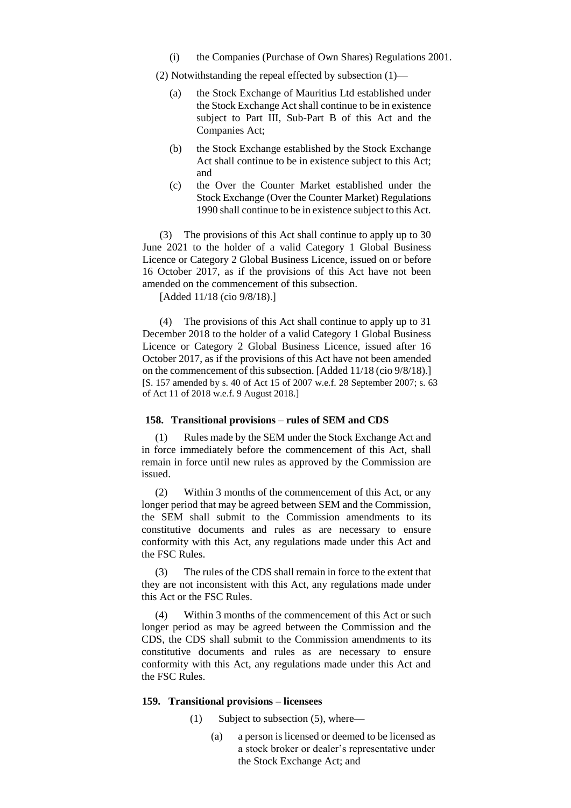(i) the Companies (Purchase of Own Shares) Regulations 2001.

(2) Notwithstanding the repeal effected by subsection (1)—

- (a) the Stock Exchange of Mauritius Ltd established under the Stock Exchange Act shall continue to be in existence subject to Part III, Sub-Part B of this Act and the Companies Act;
- (b) the Stock Exchange established by the Stock Exchange Act shall continue to be in existence subject to this Act; and
- (c) the Over the Counter Market established under the Stock Exchange (Over the Counter Market) Regulations 1990 shall continue to be in existence subject to this Act.

(3) The provisions of this Act shall continue to apply up to 30 June 2021 to the holder of a valid Category 1 Global Business Licence or Category 2 Global Business Licence, issued on or before 16 October 2017, as if the provisions of this Act have not been amended on the commencement of this subsection.

[Added 11/18 (cio 9/8/18).]

(4) The provisions of this Act shall continue to apply up to 31 December 2018 to the holder of a valid Category 1 Global Business Licence or Category 2 Global Business Licence, issued after 16 October 2017, as if the provisions of this Act have not been amended on the commencement of this subsection. [Added 11/18 (cio 9/8/18).] [S. 157 amended by s. 40 of Act 15 of 2007 w.e.f. 28 September 2007; s. 63 of Act 11 of 2018 w.e.f. 9 August 2018.]

# **158. Transitional provisions – rules of SEM and CDS**

(1) Rules made by the SEM under the Stock Exchange Act and in force immediately before the commencement of this Act, shall remain in force until new rules as approved by the Commission are issued.

(2) Within 3 months of the commencement of this Act, or any longer period that may be agreed between SEM and the Commission, the SEM shall submit to the Commission amendments to its constitutive documents and rules as are necessary to ensure conformity with this Act, any regulations made under this Act and the FSC Rules.

(3) The rules of the CDS shall remain in force to the extent that they are not inconsistent with this Act, any regulations made under this Act or the FSC Rules.

(4) Within 3 months of the commencement of this Act or such longer period as may be agreed between the Commission and the CDS, the CDS shall submit to the Commission amendments to its constitutive documents and rules as are necessary to ensure conformity with this Act, any regulations made under this Act and the FSC Rules.

### **159. Transitional provisions – licensees**

- (1) Subject to subsection (5), where—
	- (a) a person is licensed or deemed to be licensed as a stock broker or dealer's representative under the Stock Exchange Act; and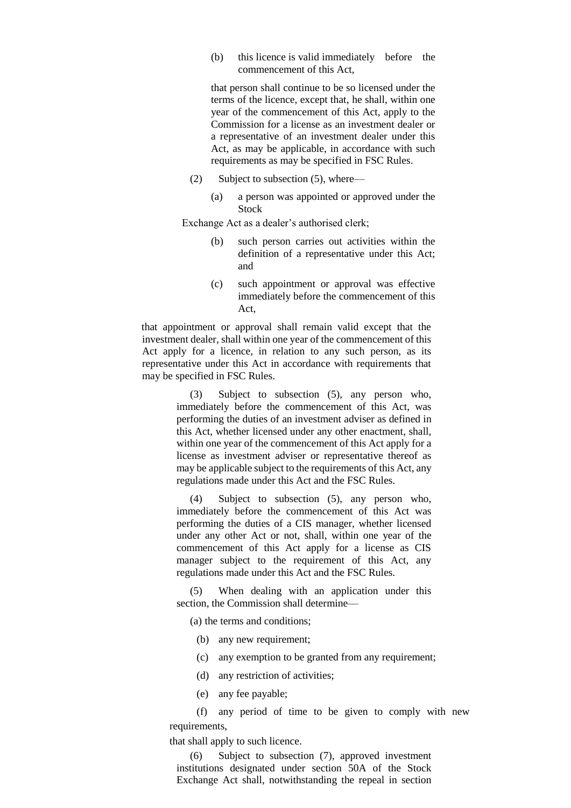(b) this licence is valid immediately before the commencement of this Act,

that person shall continue to be so licensed under the terms of the licence, except that, he shall, within one year of the commencement of this Act, apply to the Commission for a license as an investment dealer or a representative of an investment dealer under this Act, as may be applicable, in accordance with such requirements as may be specified in FSC Rules.

- (2) Subject to subsection (5), where—
	- (a) a person was appointed or approved under the Stock

Exchange Act as a dealer's authorised clerk;

- (b) such person carries out activities within the definition of a representative under this Act; and
- (c) such appointment or approval was effective immediately before the commencement of this Act,

that appointment or approval shall remain valid except that the investment dealer, shall within one year of the commencement of this Act apply for a licence, in relation to any such person, as its representative under this Act in accordance with requirements that may be specified in FSC Rules.

> (3) Subject to subsection (5), any person who, immediately before the commencement of this Act, was performing the duties of an investment adviser as defined in this Act, whether licensed under any other enactment, shall, within one year of the commencement of this Act apply for a license as investment adviser or representative thereof as may be applicable subject to the requirements of this Act, any regulations made under this Act and the FSC Rules.

> (4) Subject to subsection (5), any person who, immediately before the commencement of this Act was performing the duties of a CIS manager, whether licensed under any other Act or not, shall, within one year of the commencement of this Act apply for a license as CIS manager subject to the requirement of this Act, any regulations made under this Act and the FSC Rules.

> (5) When dealing with an application under this section, the Commission shall determine—

(a) the terms and conditions;

- (b) any new requirement;
- (c) any exemption to be granted from any requirement;
- (d) any restriction of activities;
- (e) any fee payable;

(f) any period of time to be given to comply with new requirements,

that shall apply to such licence.

(6) Subject to subsection (7), approved investment institutions designated under section 50A of the Stock Exchange Act shall, notwithstanding the repeal in section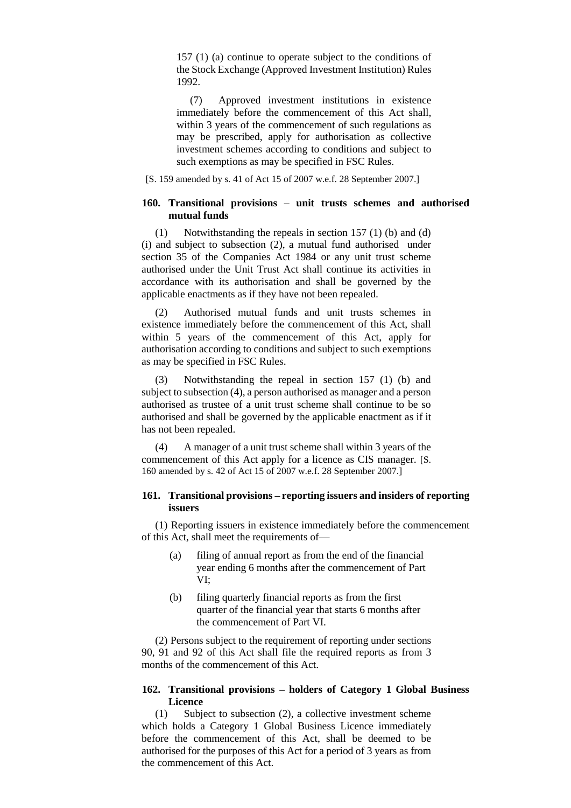157 (1) (a) continue to operate subject to the conditions of the Stock Exchange (Approved Investment Institution) Rules 1992.

(7) Approved investment institutions in existence immediately before the commencement of this Act shall, within 3 years of the commencement of such regulations as may be prescribed, apply for authorisation as collective investment schemes according to conditions and subject to such exemptions as may be specified in FSC Rules.

[S. 159 amended by s. 41 of Act 15 of 2007 w.e.f. 28 September 2007.]

### **160. Transitional provisions – unit trusts schemes and authorised mutual funds**

(1) Notwithstanding the repeals in section 157 (1) (b) and (d) (i) and subject to subsection (2), a mutual fund authorised under section 35 of the Companies Act 1984 or any unit trust scheme authorised under the Unit Trust Act shall continue its activities in accordance with its authorisation and shall be governed by the applicable enactments as if they have not been repealed.

(2) Authorised mutual funds and unit trusts schemes in existence immediately before the commencement of this Act, shall within 5 years of the commencement of this Act, apply for authorisation according to conditions and subject to such exemptions as may be specified in FSC Rules.

Notwithstanding the repeal in section  $157$  (1) (b) and subject to subsection (4), a person authorised as manager and a person authorised as trustee of a unit trust scheme shall continue to be so authorised and shall be governed by the applicable enactment as if it has not been repealed.

(4) A manager of a unit trust scheme shall within 3 years of the commencement of this Act apply for a licence as CIS manager. [S. 160 amended by s. 42 of Act 15 of 2007 w.e.f. 28 September 2007.]

# **161. Transitional provisions – reporting issuers and insiders of reporting issuers**

(1) Reporting issuers in existence immediately before the commencement of this Act, shall meet the requirements of—

- (a) filing of annual report as from the end of the financial year ending 6 months after the commencement of Part VI;
- (b) filing quarterly financial reports as from the first quarter of the financial year that starts 6 months after the commencement of Part VI.

(2) Persons subject to the requirement of reporting under sections 90, 91 and 92 of this Act shall file the required reports as from 3 months of the commencement of this Act.

# **162. Transitional provisions – holders of Category 1 Global Business Licence**

(1) Subject to subsection (2), a collective investment scheme which holds a Category 1 Global Business Licence immediately before the commencement of this Act, shall be deemed to be authorised for the purposes of this Act for a period of 3 years as from the commencement of this Act.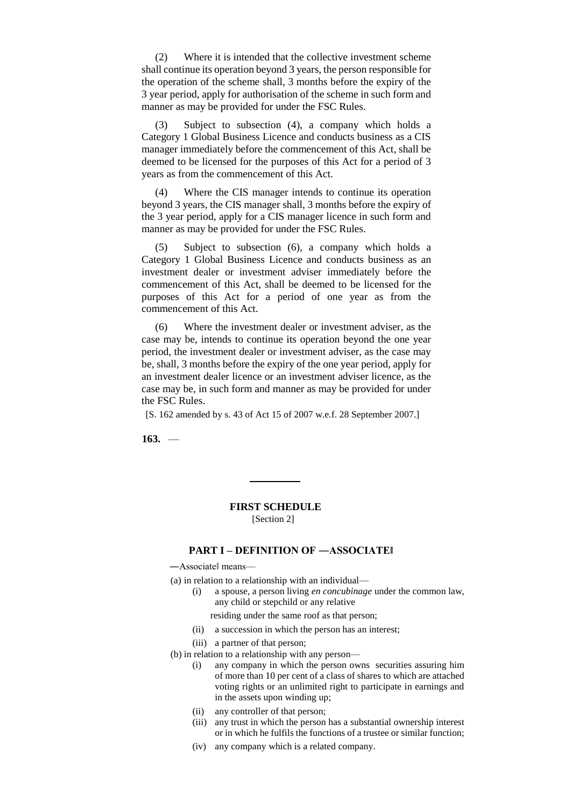(2) Where it is intended that the collective investment scheme shall continue its operation beyond 3 years, the person responsible for the operation of the scheme shall, 3 months before the expiry of the 3 year period, apply for authorisation of the scheme in such form and manner as may be provided for under the FSC Rules.

(3) Subject to subsection (4), a company which holds a Category 1 Global Business Licence and conducts business as a CIS manager immediately before the commencement of this Act, shall be deemed to be licensed for the purposes of this Act for a period of 3 years as from the commencement of this Act.

(4) Where the CIS manager intends to continue its operation beyond 3 years, the CIS manager shall, 3 months before the expiry of the 3 year period, apply for a CIS manager licence in such form and manner as may be provided for under the FSC Rules.

(5) Subject to subsection (6), a company which holds a Category 1 Global Business Licence and conducts business as an investment dealer or investment adviser immediately before the commencement of this Act, shall be deemed to be licensed for the purposes of this Act for a period of one year as from the commencement of this Act.

(6) Where the investment dealer or investment adviser, as the case may be, intends to continue its operation beyond the one year period, the investment dealer or investment adviser, as the case may be, shall, 3 months before the expiry of the one year period, apply for an investment dealer licence or an investment adviser licence, as the case may be, in such form and manner as may be provided for under the FSC Rules.

[S. 162 amended by s. 43 of Act 15 of 2007 w.e.f. 28 September 2007.]

**163.** —

# **FIRST SCHEDULE**

[Section 2]

# **PART I – DEFINITION OF ―ASSOCIATE‖**

―Associate‖ means—

- (a) in relation to a relationship with an individual—
	- (i) a spouse, a person living *en concubinage* under the common law, any child or stepchild or any relative
		- residing under the same roof as that person;
	- (ii) a succession in which the person has an interest;
	- (iii) a partner of that person;
- (b) in relation to a relationship with any person—
	- (i) any company in which the person owns securities assuring him of more than 10 per cent of a class of shares to which are attached voting rights or an unlimited right to participate in earnings and in the assets upon winding up;
	- (ii) any controller of that person;
	- (iii) any trust in which the person has a substantial ownership interest or in which he fulfils the functions of a trustee or similar function;
	- (iv) any company which is a related company.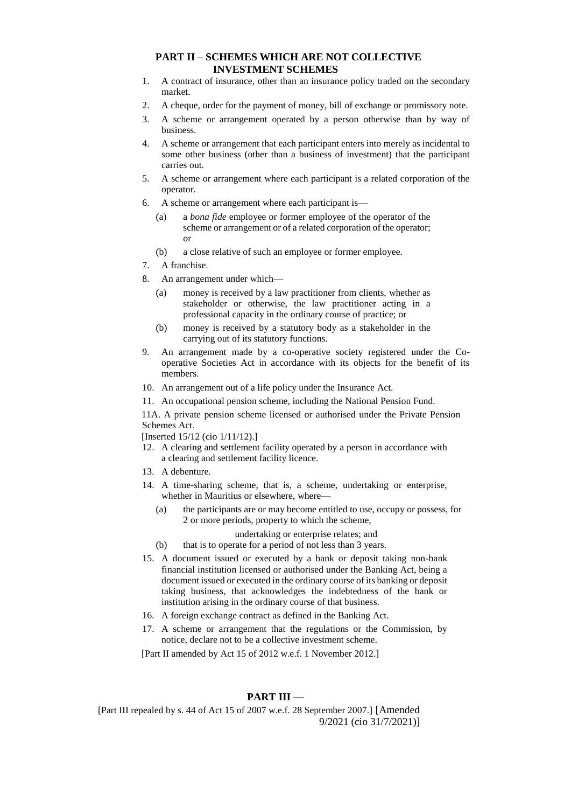### **PART II – SCHEMES WHICH ARE NOT COLLECTIVE INVESTMENT SCHEMES**

- 1. A contract of insurance, other than an insurance policy traded on the secondary market.
- 2. A cheque, order for the payment of money, bill of exchange or promissory note.
- 3. A scheme or arrangement operated by a person otherwise than by way of business.
- 4. A scheme or arrangement that each participant enters into merely as incidental to some other business (other than a business of investment) that the participant carries out.
- 5. A scheme or arrangement where each participant is a related corporation of the operator.
- 6. A scheme or arrangement where each participant is—
	- (a) a *bona fide* employee or former employee of the operator of the scheme or arrangement or of a related corporation of the operator; or
	- (b) a close relative of such an employee or former employee.
- 7. A franchise.
- 8. An arrangement under which—
	- (a) money is received by a law practitioner from clients, whether as stakeholder or otherwise, the law practitioner acting in a professional capacity in the ordinary course of practice; or
	- (b) money is received by a statutory body as a stakeholder in the carrying out of its statutory functions.
- 9. An arrangement made by a co-operative society registered under the Cooperative Societies Act in accordance with its objects for the benefit of its members.
- 10. An arrangement out of a life policy under the Insurance Act.
- 11. An occupational pension scheme, including the National Pension Fund.

11A. A private pension scheme licensed or authorised under the Private Pension Schemes Act.

[Inserted 15/12 (cio 1/11/12).]

- 12. A clearing and settlement facility operated by a person in accordance with a clearing and settlement facility licence.
- 13. A debenture.
- 14. A time-sharing scheme, that is, a scheme, undertaking or enterprise, whether in Mauritius or elsewhere, where—
	- (a) the participants are or may become entitled to use, occupy or possess, for 2 or more periods, property to which the scheme,
		- undertaking or enterprise relates; and
	- (b) that is to operate for a period of not less than 3 years.
- 15. A document issued or executed by a bank or deposit taking non-bank financial institution licensed or authorised under the Banking Act, being a document issued or executed in the ordinary course of its banking or deposit taking business, that acknowledges the indebtedness of the bank or institution arising in the ordinary course of that business.
- 16. A foreign exchange contract as defined in the Banking Act.
- 17. A scheme or arrangement that the regulations or the Commission, by notice, declare not to be a collective investment scheme.

[Part II amended by Act 15 of 2012 w.e.f. 1 November 2012.]

### **PART III —**

[Part III repealed by s. 44 of Act 15 of 2007 w.e.f. 28 September 2007.] [Amended 9/2021 (cio 31/7/2021)]